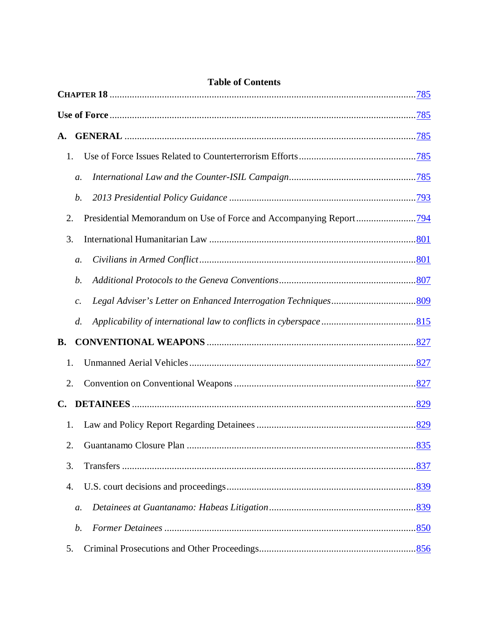| <b>Table of Contents</b> |  |
|--------------------------|--|
|                          |  |
|                          |  |
| A.                       |  |
| 1.                       |  |
| $a$ .                    |  |
| b.                       |  |
| 2.                       |  |
| 3.                       |  |
| $a$ .                    |  |
| b.                       |  |
| $\mathcal{C}$ .          |  |
| $d$ .                    |  |
| <b>B.</b>                |  |
| 1.                       |  |
| 2.                       |  |
| $\mathbf{C}$ .           |  |
| 1.                       |  |
| 2.                       |  |
| 3.                       |  |
| 4.                       |  |
| <i>a</i> .               |  |
| b.                       |  |
| 5.                       |  |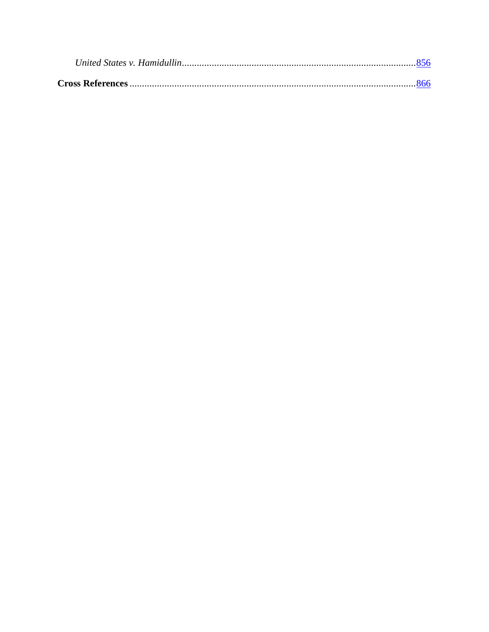<span id="page-1-0"></span>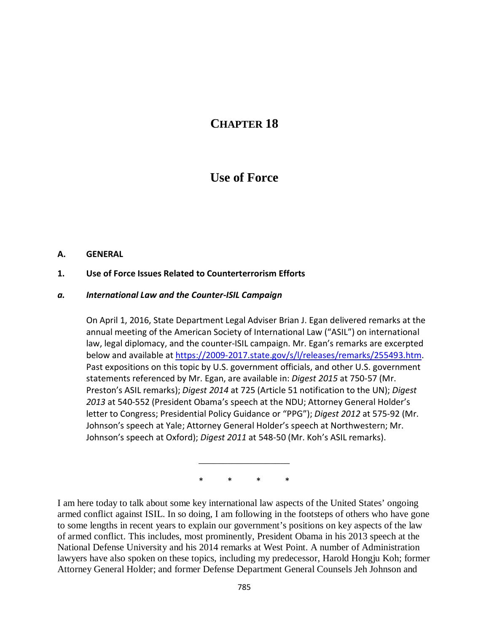# **CHAPTER 18**

# **Use of Force**

## <span id="page-2-1"></span><span id="page-2-0"></span>**A. GENERAL**

# <span id="page-2-2"></span>**1. Use of Force Issues Related to Counterterrorism Efforts**

#### <span id="page-2-3"></span>*a. International Law and the Counter-ISIL Campaign*

On April 1, 2016, State Department Legal Adviser Brian J. Egan delivered remarks at the annual meeting of the American Society of International Law ("ASIL") on international law, legal diplomacy, and the counter-ISIL campaign. Mr. Egan's remarks are excerpted below and available at [https://2009-2017.state.gov/s/l/releases/remarks/255493.htm.](https://2009-2017.state.gov/s/l/releases/remarks/255493.htm) Past expositions on this topic by U.S. government officials, and other U.S. government statements referenced by Mr. Egan, are available in: *Digest 2015* at 750-57 (Mr. Preston's ASIL remarks); *Digest 2014* at 725 (Article 51 notification to the UN); *Digest 2013* at 540-552 (President Obama's speech at the NDU; Attorney General Holder's letter to Congress; Presidential Policy Guidance or "PPG"); *Digest 2012* at 575-92 (Mr. Johnson's speech at Yale; Attorney General Holder's speech at Northwestern; Mr. Johnson's speech at Oxford); *Digest 2011* at 548-50 (Mr. Koh's ASIL remarks).

\* \* \* \*

\_\_\_\_\_\_\_\_\_\_\_\_\_\_\_\_\_\_\_

I am here today to talk about some key international law aspects of the United States' ongoing armed conflict against ISIL. In so doing, I am following in the footsteps of others who have gone to some lengths in recent years to explain our government's positions on key aspects of the law of armed conflict. This includes, most prominently, President Obama in his 2013 speech at the National Defense University and his 2014 remarks at West Point. A number of Administration lawyers have also spoken on these topics, including my predecessor, Harold Hongju Koh; former Attorney General Holder; and former Defense Department General Counsels Jeh Johnson and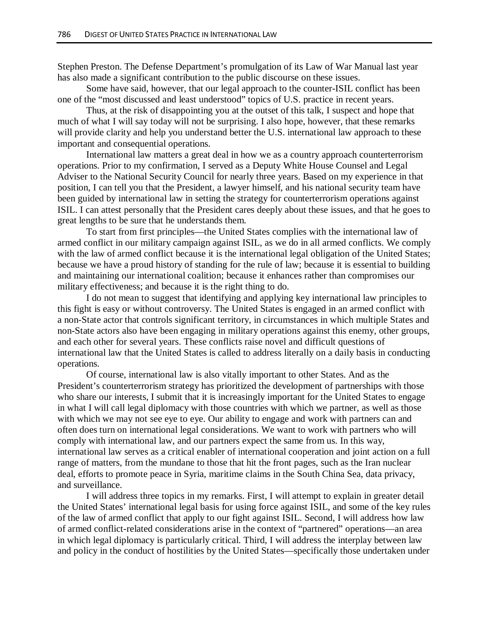Stephen Preston. The Defense Department's promulgation of its Law of War Manual last year has also made a significant contribution to the public discourse on these issues.

Some have said, however, that our legal approach to the counter-ISIL conflict has been one of the "most discussed and least understood" topics of U.S. practice in recent years.

Thus, at the risk of disappointing you at the outset of this talk, I suspect and hope that much of what I will say today will not be surprising. I also hope, however, that these remarks will provide clarity and help you understand better the U.S. international law approach to these important and consequential operations.

International law matters a great deal in how we as a country approach counterterrorism operations. Prior to my confirmation, I served as a Deputy White House Counsel and Legal Adviser to the National Security Council for nearly three years. Based on my experience in that position, I can tell you that the President, a lawyer himself, and his national security team have been guided by international law in setting the strategy for counterterrorism operations against ISIL. I can attest personally that the President cares deeply about these issues, and that he goes to great lengths to be sure that he understands them.

To start from first principles—the United States complies with the international law of armed conflict in our military campaign against ISIL, as we do in all armed conflicts. We comply with the law of armed conflict because it is the international legal obligation of the United States; because we have a proud history of standing for the rule of law; because it is essential to building and maintaining our international coalition; because it enhances rather than compromises our military effectiveness; and because it is the right thing to do.

I do not mean to suggest that identifying and applying key international law principles to this fight is easy or without controversy. The United States is engaged in an armed conflict with a non-State actor that controls significant territory, in circumstances in which multiple States and non-State actors also have been engaging in military operations against this enemy, other groups, and each other for several years. These conflicts raise novel and difficult questions of international law that the United States is called to address literally on a daily basis in conducting operations.

Of course, international law is also vitally important to other States. And as the President's counterterrorism strategy has prioritized the development of partnerships with those who share our interests, I submit that it is increasingly important for the United States to engage in what I will call legal diplomacy with those countries with which we partner, as well as those with which we may not see eye to eye. Our ability to engage and work with partners can and often does turn on international legal considerations. We want to work with partners who will comply with international law, and our partners expect the same from us. In this way, international law serves as a critical enabler of international cooperation and joint action on a full range of matters, from the mundane to those that hit the front pages, such as the Iran nuclear deal, efforts to promote peace in Syria, maritime claims in the South China Sea, data privacy, and surveillance.

I will address three topics in my remarks. First, I will attempt to explain in greater detail the United States' international legal basis for using force against ISIL, and some of the key rules of the law of armed conflict that apply to our fight against ISIL. Second, I will address how law of armed conflict-related considerations arise in the context of "partnered" operations—an area in which legal diplomacy is particularly critical. Third, I will address the interplay between law and policy in the conduct of hostilities by the United States—specifically those undertaken under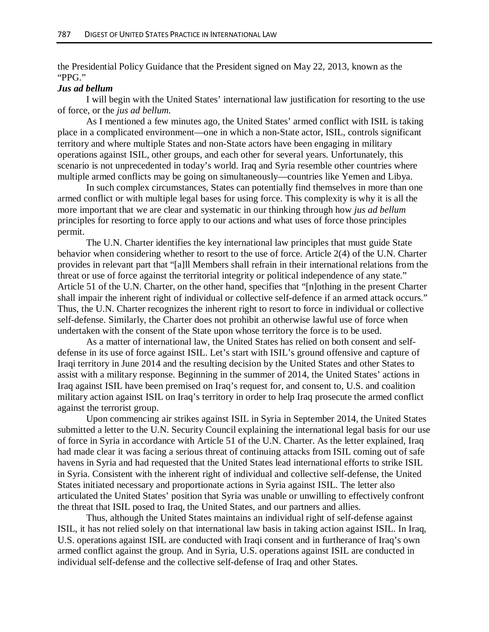the Presidential Policy Guidance that the President signed on May 22, 2013, known as the "PPG."

## *Jus ad bellum*

I will begin with the United States' international law justification for resorting to the use of force, or the *jus ad bellum*.

As I mentioned a few minutes ago, the United States' armed conflict with ISIL is taking place in a complicated environment—one in which a non-State actor, ISIL, controls significant territory and where multiple States and non-State actors have been engaging in military operations against ISIL, other groups, and each other for several years. Unfortunately, this scenario is not unprecedented in today's world. Iraq and Syria resemble other countries where multiple armed conflicts may be going on simultaneously—countries like Yemen and Libya.

In such complex circumstances, States can potentially find themselves in more than one armed conflict or with multiple legal bases for using force. This complexity is why it is all the more important that we are clear and systematic in our thinking through how *jus ad bellum* principles for resorting to force apply to our actions and what uses of force those principles permit.

The U.N. Charter identifies the key international law principles that must guide State behavior when considering whether to resort to the use of force. Article 2(4) of the U.N. Charter provides in relevant part that "[a]ll Members shall refrain in their international relations from the threat or use of force against the territorial integrity or political independence of any state." Article 51 of the U.N. Charter, on the other hand, specifies that "[n]othing in the present Charter shall impair the inherent right of individual or collective self-defence if an armed attack occurs." Thus, the U.N. Charter recognizes the inherent right to resort to force in individual or collective self-defense. Similarly, the Charter does not prohibit an otherwise lawful use of force when undertaken with the consent of the State upon whose territory the force is to be used.

As a matter of international law, the United States has relied on both consent and selfdefense in its use of force against ISIL. Let's start with ISIL's ground offensive and capture of Iraqi territory in June 2014 and the resulting decision by the United States and other States to assist with a military response. Beginning in the summer of 2014, the United States' actions in Iraq against ISIL have been premised on Iraq's request for, and consent to, U.S. and coalition military action against ISIL on Iraq's territory in order to help Iraq prosecute the armed conflict against the terrorist group.

Upon commencing air strikes against ISIL in Syria in September 2014, the United States submitted a letter to the U.N. Security Council explaining the international legal basis for our use of force in Syria in accordance with Article 51 of the U.N. Charter. As the letter explained, Iraq had made clear it was facing a serious threat of continuing attacks from ISIL coming out of safe havens in Syria and had requested that the United States lead international efforts to strike ISIL in Syria. Consistent with the inherent right of individual and collective self-defense, the United States initiated necessary and proportionate actions in Syria against ISIL. The letter also articulated the United States' position that Syria was unable or unwilling to effectively confront the threat that ISIL posed to Iraq, the United States, and our partners and allies.

Thus, although the United States maintains an individual right of self-defense against ISIL, it has not relied solely on that international law basis in taking action against ISIL. In Iraq, U.S. operations against ISIL are conducted with Iraqi consent and in furtherance of Iraq's own armed conflict against the group. And in Syria, U.S. operations against ISIL are conducted in individual self-defense and the collective self-defense of Iraq and other States.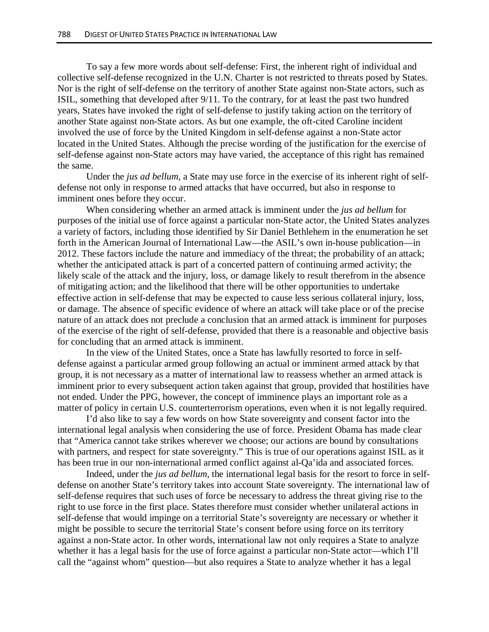To say a few more words about self-defense: First, the inherent right of individual and collective self-defense recognized in the U.N. Charter is not restricted to threats posed by States. Nor is the right of self-defense on the territory of another State against non-State actors, such as ISIL, something that developed after 9/11. To the contrary, for at least the past two hundred years, States have invoked the right of self-defense to justify taking action on the territory of another State against non-State actors. As but one example, the oft-cited Caroline incident involved the use of force by the United Kingdom in self-defense against a non-State actor located in the United States. Although the precise wording of the justification for the exercise of self-defense against non-State actors may have varied, the acceptance of this right has remained the same.

Under the *jus ad bellum*, a State may use force in the exercise of its inherent right of selfdefense not only in response to armed attacks that have occurred, but also in response to imminent ones before they occur.

When considering whether an armed attack is imminent under the *jus ad bellum* for purposes of the initial use of force against a particular non-State actor, the United States analyzes a variety of factors, including those identified by Sir Daniel Bethlehem in the enumeration he set forth in the American Journal of International Law—the ASIL's own in-house publication—in 2012. These factors include the nature and immediacy of the threat; the probability of an attack; whether the anticipated attack is part of a concerted pattern of continuing armed activity; the likely scale of the attack and the injury, loss, or damage likely to result therefrom in the absence of mitigating action; and the likelihood that there will be other opportunities to undertake effective action in self-defense that may be expected to cause less serious collateral injury, loss, or damage. The absence of specific evidence of where an attack will take place or of the precise nature of an attack does not preclude a conclusion that an armed attack is imminent for purposes of the exercise of the right of self-defense, provided that there is a reasonable and objective basis for concluding that an armed attack is imminent.

In the view of the United States, once a State has lawfully resorted to force in selfdefense against a particular armed group following an actual or imminent armed attack by that group, it is not necessary as a matter of international law to reassess whether an armed attack is imminent prior to every subsequent action taken against that group, provided that hostilities have not ended. Under the PPG, however, the concept of imminence plays an important role as a matter of policy in certain U.S. counterterrorism operations, even when it is not legally required.

I'd also like to say a few words on how State sovereignty and consent factor into the international legal analysis when considering the use of force. President Obama has made clear that "America cannot take strikes wherever we choose; our actions are bound by consultations with partners, and respect for state sovereignty." This is true of our operations against ISIL as it has been true in our non-international armed conflict against al-Qa'ida and associated forces.

Indeed, under the *jus ad bellum*, the international legal basis for the resort to force in selfdefense on another State's territory takes into account State sovereignty. The international law of self-defense requires that such uses of force be necessary to address the threat giving rise to the right to use force in the first place. States therefore must consider whether unilateral actions in self-defense that would impinge on a territorial State's sovereignty are necessary or whether it might be possible to secure the territorial State's consent before using force on its territory against a non-State actor. In other words, international law not only requires a State to analyze whether it has a legal basis for the use of force against a particular non-State actor—which I'll call the "against whom" question—but also requires a State to analyze whether it has a legal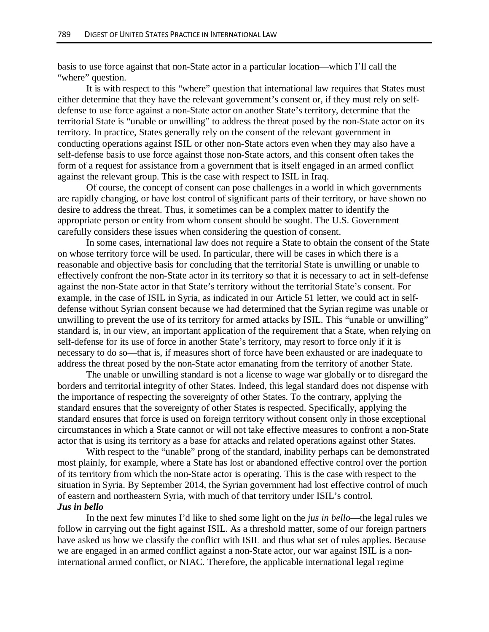basis to use force against that non-State actor in a particular location—which I'll call the "where" question.

It is with respect to this "where" question that international law requires that States must either determine that they have the relevant government's consent or, if they must rely on selfdefense to use force against a non-State actor on another State's territory, determine that the territorial State is "unable or unwilling" to address the threat posed by the non-State actor on its territory. In practice, States generally rely on the consent of the relevant government in conducting operations against ISIL or other non-State actors even when they may also have a self-defense basis to use force against those non-State actors, and this consent often takes the form of a request for assistance from a government that is itself engaged in an armed conflict against the relevant group. This is the case with respect to ISIL in Iraq.

Of course, the concept of consent can pose challenges in a world in which governments are rapidly changing, or have lost control of significant parts of their territory, or have shown no desire to address the threat. Thus, it sometimes can be a complex matter to identify the appropriate person or entity from whom consent should be sought. The U.S. Government carefully considers these issues when considering the question of consent.

In some cases, international law does not require a State to obtain the consent of the State on whose territory force will be used. In particular, there will be cases in which there is a reasonable and objective basis for concluding that the territorial State is unwilling or unable to effectively confront the non-State actor in its territory so that it is necessary to act in self-defense against the non-State actor in that State's territory without the territorial State's consent. For example, in the case of ISIL in Syria, as indicated in our Article 51 letter, we could act in selfdefense without Syrian consent because we had determined that the Syrian regime was unable or unwilling to prevent the use of its territory for armed attacks by ISIL. This "unable or unwilling" standard is, in our view, an important application of the requirement that a State, when relying on self-defense for its use of force in another State's territory, may resort to force only if it is necessary to do so—that is, if measures short of force have been exhausted or are inadequate to address the threat posed by the non-State actor emanating from the territory of another State.

The unable or unwilling standard is not a license to wage war globally or to disregard the borders and territorial integrity of other States. Indeed, this legal standard does not dispense with the importance of respecting the sovereignty of other States. To the contrary, applying the standard ensures that the sovereignty of other States is respected. Specifically, applying the standard ensures that force is used on foreign territory without consent only in those exceptional circumstances in which a State cannot or will not take effective measures to confront a non-State actor that is using its territory as a base for attacks and related operations against other States.

With respect to the "unable" prong of the standard, inability perhaps can be demonstrated most plainly, for example, where a State has lost or abandoned effective control over the portion of its territory from which the non-State actor is operating. This is the case with respect to the situation in Syria. By September 2014, the Syrian government had lost effective control of much of eastern and northeastern Syria, with much of that territory under ISIL's control. *Jus in bello* 

In the next few minutes I'd like to shed some light on the *jus in bello*—the legal rules we follow in carrying out the fight against ISIL. As a threshold matter, some of our foreign partners have asked us how we classify the conflict with ISIL and thus what set of rules applies. Because we are engaged in an armed conflict against a non-State actor, our war against ISIL is a noninternational armed conflict, or NIAC. Therefore, the applicable international legal regime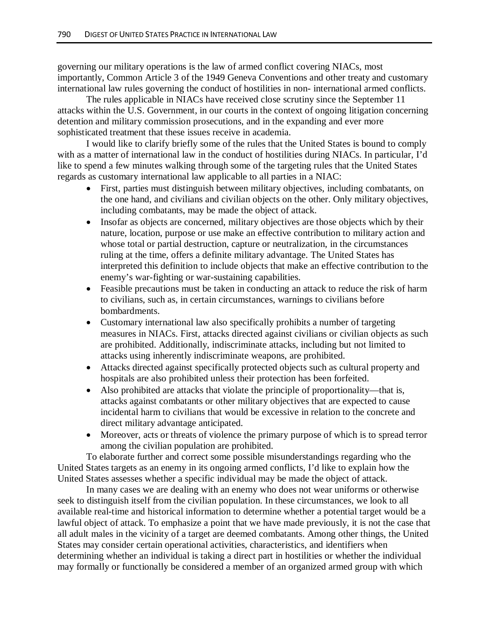governing our military operations is the law of armed conflict covering NIACs, most importantly, Common Article 3 of the 1949 Geneva Conventions and other treaty and customary international law rules governing the conduct of hostilities in non- international armed conflicts.

The rules applicable in NIACs have received close scrutiny since the September 11 attacks within the U.S. Government, in our courts in the context of ongoing litigation concerning detention and military commission prosecutions, and in the expanding and ever more sophisticated treatment that these issues receive in academia.

I would like to clarify briefly some of the rules that the United States is bound to comply with as a matter of international law in the conduct of hostilities during NIACs. In particular, I'd like to spend a few minutes walking through some of the targeting rules that the United States regards as customary international law applicable to all parties in a NIAC:

- First, parties must distinguish between military objectives, including combatants, on the one hand, and civilians and civilian objects on the other. Only military objectives, including combatants, may be made the object of attack.
- Insofar as objects are concerned, military objectives are those objects which by their nature, location, purpose or use make an effective contribution to military action and whose total or partial destruction, capture or neutralization, in the circumstances ruling at the time, offers a definite military advantage. The United States has interpreted this definition to include objects that make an effective contribution to the enemy's war-fighting or war-sustaining capabilities.
- Feasible precautions must be taken in conducting an attack to reduce the risk of harm to civilians, such as, in certain circumstances, warnings to civilians before bombardments.
- Customary international law also specifically prohibits a number of targeting measures in NIACs. First, attacks directed against civilians or civilian objects as such are prohibited. Additionally, indiscriminate attacks, including but not limited to attacks using inherently indiscriminate weapons, are prohibited.
- Attacks directed against specifically protected objects such as cultural property and hospitals are also prohibited unless their protection has been forfeited.
- Also prohibited are attacks that violate the principle of proportionality—that is, attacks against combatants or other military objectives that are expected to cause incidental harm to civilians that would be excessive in relation to the concrete and direct military advantage anticipated.
- Moreover, acts or threats of violence the primary purpose of which is to spread terror among the civilian population are prohibited.

To elaborate further and correct some possible misunderstandings regarding who the United States targets as an enemy in its ongoing armed conflicts, I'd like to explain how the United States assesses whether a specific individual may be made the object of attack.

In many cases we are dealing with an enemy who does not wear uniforms or otherwise seek to distinguish itself from the civilian population. In these circumstances, we look to all available real-time and historical information to determine whether a potential target would be a lawful object of attack. To emphasize a point that we have made previously, it is not the case that all adult males in the vicinity of a target are deemed combatants. Among other things, the United States may consider certain operational activities, characteristics, and identifiers when determining whether an individual is taking a direct part in hostilities or whether the individual may formally or functionally be considered a member of an organized armed group with which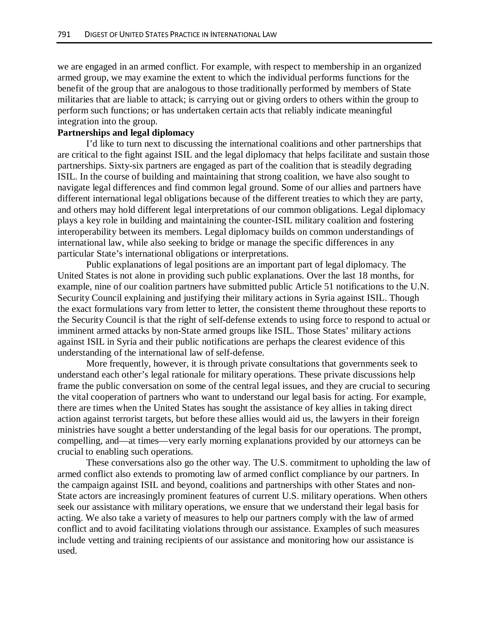we are engaged in an armed conflict. For example, with respect to membership in an organized armed group, we may examine the extent to which the individual performs functions for the benefit of the group that are analogous to those traditionally performed by members of State militaries that are liable to attack; is carrying out or giving orders to others within the group to perform such functions; or has undertaken certain acts that reliably indicate meaningful integration into the group.

# **Partnerships and legal diplomacy**

I'd like to turn next to discussing the international coalitions and other partnerships that are critical to the fight against ISIL and the legal diplomacy that helps facilitate and sustain those partnerships. Sixty-six partners are engaged as part of the coalition that is steadily degrading ISIL. In the course of building and maintaining that strong coalition, we have also sought to navigate legal differences and find common legal ground. Some of our allies and partners have different international legal obligations because of the different treaties to which they are party, and others may hold different legal interpretations of our common obligations. Legal diplomacy plays a key role in building and maintaining the counter-ISIL military coalition and fostering interoperability between its members. Legal diplomacy builds on common understandings of international law, while also seeking to bridge or manage the specific differences in any particular State's international obligations or interpretations.

Public explanations of legal positions are an important part of legal diplomacy. The United States is not alone in providing such public explanations. Over the last 18 months, for example, nine of our coalition partners have submitted public Article 51 notifications to the U.N. Security Council explaining and justifying their military actions in Syria against ISIL. Though the exact formulations vary from letter to letter, the consistent theme throughout these reports to the Security Council is that the right of self-defense extends to using force to respond to actual or imminent armed attacks by non-State armed groups like ISIL. Those States' military actions against ISIL in Syria and their public notifications are perhaps the clearest evidence of this understanding of the international law of self-defense.

More frequently, however, it is through private consultations that governments seek to understand each other's legal rationale for military operations. These private discussions help frame the public conversation on some of the central legal issues, and they are crucial to securing the vital cooperation of partners who want to understand our legal basis for acting. For example, there are times when the United States has sought the assistance of key allies in taking direct action against terrorist targets, but before these allies would aid us, the lawyers in their foreign ministries have sought a better understanding of the legal basis for our operations. The prompt, compelling, and—at times—very early morning explanations provided by our attorneys can be crucial to enabling such operations.

These conversations also go the other way. The U.S. commitment to upholding the law of armed conflict also extends to promoting law of armed conflict compliance by our partners. In the campaign against ISIL and beyond, coalitions and partnerships with other States and non-State actors are increasingly prominent features of current U.S. military operations. When others seek our assistance with military operations, we ensure that we understand their legal basis for acting. We also take a variety of measures to help our partners comply with the law of armed conflict and to avoid facilitating violations through our assistance. Examples of such measures include vetting and training recipients of our assistance and monitoring how our assistance is used.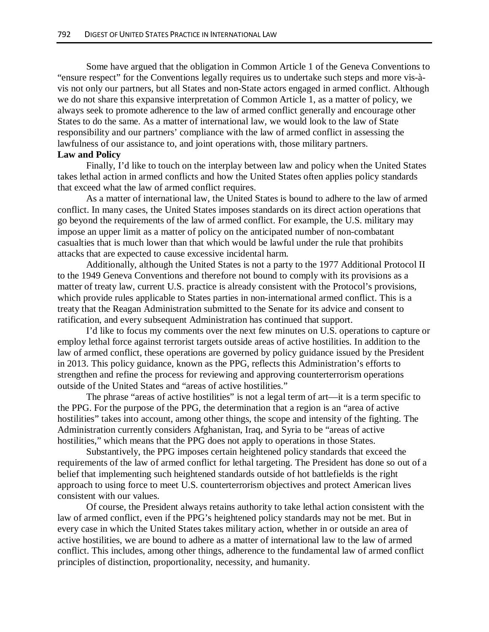Some have argued that the obligation in Common Article 1 of the Geneva Conventions to "ensure respect" for the Conventions legally requires us to undertake such steps and more vis-àvis not only our partners, but all States and non-State actors engaged in armed conflict. Although we do not share this expansive interpretation of Common Article 1, as a matter of policy, we always seek to promote adherence to the law of armed conflict generally and encourage other States to do the same. As a matter of international law, we would look to the law of State responsibility and our partners' compliance with the law of armed conflict in assessing the lawfulness of our assistance to, and joint operations with, those military partners. **Law and Policy** 

Finally, I'd like to touch on the interplay between law and policy when the United States takes lethal action in armed conflicts and how the United States often applies policy standards that exceed what the law of armed conflict requires.

As a matter of international law, the United States is bound to adhere to the law of armed conflict. In many cases, the United States imposes standards on its direct action operations that go beyond the requirements of the law of armed conflict. For example, the U.S. military may impose an upper limit as a matter of policy on the anticipated number of non-combatant casualties that is much lower than that which would be lawful under the rule that prohibits attacks that are expected to cause excessive incidental harm.

Additionally, although the United States is not a party to the 1977 Additional Protocol II to the 1949 Geneva Conventions and therefore not bound to comply with its provisions as a matter of treaty law, current U.S. practice is already consistent with the Protocol's provisions, which provide rules applicable to States parties in non-international armed conflict. This is a treaty that the Reagan Administration submitted to the Senate for its advice and consent to ratification, and every subsequent Administration has continued that support.

I'd like to focus my comments over the next few minutes on U.S. operations to capture or employ lethal force against terrorist targets outside areas of active hostilities. In addition to the law of armed conflict, these operations are governed by policy guidance issued by the President in 2013. This policy guidance, known as the PPG, reflects this Administration's efforts to strengthen and refine the process for reviewing and approving counterterrorism operations outside of the United States and "areas of active hostilities."

The phrase "areas of active hostilities" is not a legal term of art—it is a term specific to the PPG. For the purpose of the PPG, the determination that a region is an "area of active hostilities" takes into account, among other things, the scope and intensity of the fighting. The Administration currently considers Afghanistan, Iraq, and Syria to be "areas of active hostilities," which means that the PPG does not apply to operations in those States.

Substantively, the PPG imposes certain heightened policy standards that exceed the requirements of the law of armed conflict for lethal targeting. The President has done so out of a belief that implementing such heightened standards outside of hot battlefields is the right approach to using force to meet U.S. counterterrorism objectives and protect American lives consistent with our values.

Of course, the President always retains authority to take lethal action consistent with the law of armed conflict, even if the PPG's heightened policy standards may not be met. But in every case in which the United States takes military action, whether in or outside an area of active hostilities, we are bound to adhere as a matter of international law to the law of armed conflict. This includes, among other things, adherence to the fundamental law of armed conflict principles of distinction, proportionality, necessity, and humanity.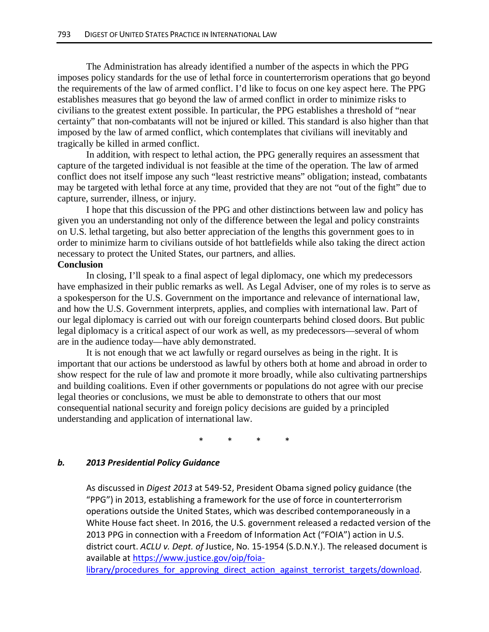The Administration has already identified a number of the aspects in which the PPG imposes policy standards for the use of lethal force in counterterrorism operations that go beyond the requirements of the law of armed conflict. I'd like to focus on one key aspect here. The PPG establishes measures that go beyond the law of armed conflict in order to minimize risks to civilians to the greatest extent possible. In particular, the PPG establishes a threshold of "near certainty" that non-combatants will not be injured or killed. This standard is also higher than that imposed by the law of armed conflict, which contemplates that civilians will inevitably and tragically be killed in armed conflict.

In addition, with respect to lethal action, the PPG generally requires an assessment that capture of the targeted individual is not feasible at the time of the operation. The law of armed conflict does not itself impose any such "least restrictive means" obligation; instead, combatants may be targeted with lethal force at any time, provided that they are not "out of the fight" due to capture, surrender, illness, or injury.

I hope that this discussion of the PPG and other distinctions between law and policy has given you an understanding not only of the difference between the legal and policy constraints on U.S. lethal targeting, but also better appreciation of the lengths this government goes to in order to minimize harm to civilians outside of hot battlefields while also taking the direct action necessary to protect the United States, our partners, and allies.

# **Conclusion**

In closing, I'll speak to a final aspect of legal diplomacy, one which my predecessors have emphasized in their public remarks as well. As Legal Adviser, one of my roles is to serve as a spokesperson for the U.S. Government on the importance and relevance of international law, and how the U.S. Government interprets, applies, and complies with international law. Part of our legal diplomacy is carried out with our foreign counterparts behind closed doors. But public legal diplomacy is a critical aspect of our work as well, as my predecessors—several of whom are in the audience today—have ably demonstrated.

It is not enough that we act lawfully or regard ourselves as being in the right. It is important that our actions be understood as lawful by others both at home and abroad in order to show respect for the rule of law and promote it more broadly, while also cultivating partnerships and building coalitions. Even if other governments or populations do not agree with our precise legal theories or conclusions, we must be able to demonstrate to others that our most consequential national security and foreign policy decisions are guided by a principled understanding and application of international law.

\* \* \* \*

#### <span id="page-10-0"></span>*b. 2013 Presidential Policy Guidance*

As discussed in *Digest 2013* at 549-52, President Obama signed policy guidance (the "PPG") in 2013, establishing a framework for the use of force in counterterrorism operations outside the United States, which was described contemporaneously in a White House fact sheet. In 2016, the U.S. government released a redacted version of the 2013 PPG in connection with a Freedom of Information Act ("FOIA") action in U.S. district court. *ACLU v. Dept. of* Justice, No. 15-1954 (S.D.N.Y.). The released document is available at [https://www.justice.gov/oip/foia-](https://www.justice.gov/oip/foia-library/procedures_for_approving_direct_action_against_terrorist_targets/download)

[library/procedures\\_for\\_approving\\_direct\\_action\\_against\\_terrorist\\_targets/download.](https://www.justice.gov/oip/foia-library/procedures_for_approving_direct_action_against_terrorist_targets/download)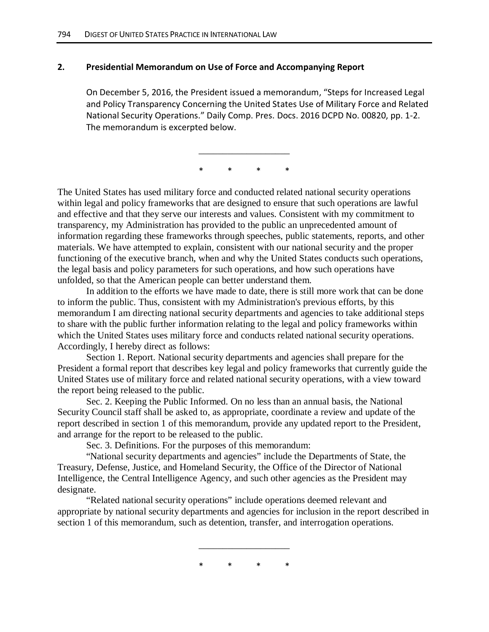## <span id="page-11-0"></span>**2. Presidential Memorandum on Use of Force and Accompanying Report**

On December 5, 2016, the President issued a memorandum, "Steps for Increased Legal and Policy Transparency Concerning the United States Use of Military Force and Related National Security Operations." Daily Comp. Pres. Docs. 2016 DCPD No. 00820, pp. 1-2. The memorandum is excerpted below.

\* \* \* \*

\_\_\_\_\_\_\_\_\_\_\_\_\_\_\_\_\_\_\_

The United States has used military force and conducted related national security operations within legal and policy frameworks that are designed to ensure that such operations are lawful and effective and that they serve our interests and values. Consistent with my commitment to transparency, my Administration has provided to the public an unprecedented amount of information regarding these frameworks through speeches, public statements, reports, and other materials. We have attempted to explain, consistent with our national security and the proper functioning of the executive branch, when and why the United States conducts such operations, the legal basis and policy parameters for such operations, and how such operations have unfolded, so that the American people can better understand them.

In addition to the efforts we have made to date, there is still more work that can be done to inform the public. Thus, consistent with my Administration's previous efforts, by this memorandum I am directing national security departments and agencies to take additional steps to share with the public further information relating to the legal and policy frameworks within which the United States uses military force and conducts related national security operations. Accordingly, I hereby direct as follows:

Section 1. Report. National security departments and agencies shall prepare for the President a formal report that describes key legal and policy frameworks that currently guide the United States use of military force and related national security operations, with a view toward the report being released to the public.

Sec. 2. Keeping the Public Informed. On no less than an annual basis, the National Security Council staff shall be asked to, as appropriate, coordinate a review and update of the report described in section 1 of this memorandum, provide any updated report to the President, and arrange for the report to be released to the public.

Sec. 3. Definitions. For the purposes of this memorandum:

"National security departments and agencies" include the Departments of State, the Treasury, Defense, Justice, and Homeland Security, the Office of the Director of National Intelligence, the Central Intelligence Agency, and such other agencies as the President may designate.

"Related national security operations" include operations deemed relevant and appropriate by national security departments and agencies for inclusion in the report described in section 1 of this memorandum, such as detention, transfer, and interrogation operations.

 $*$  \* \*

\_\_\_\_\_\_\_\_\_\_\_\_\_\_\_\_\_\_\_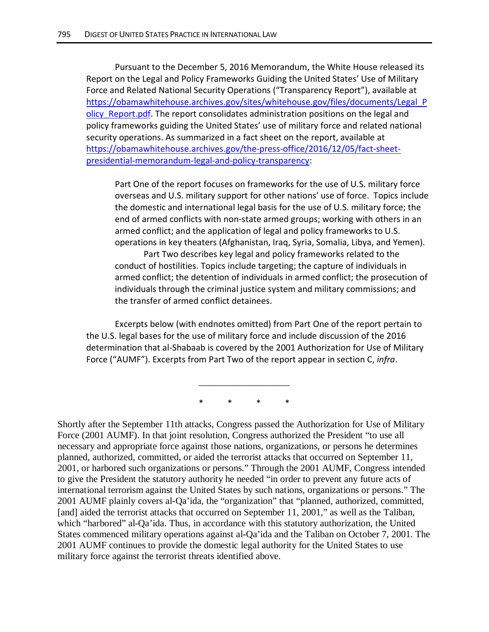Pursuant to the December 5, 2016 Memorandum, the White House released its Report on the Legal and Policy Frameworks Guiding the United States' Use of Military Force and Related National Security Operations ("Transparency Report"), available at [https://obamawhitehouse.archives.gov/sites/whitehouse.gov/files/documents/Legal\\_P](https://obamawhitehouse.archives.gov/sites/whitehouse.gov/files/documents/Legal_Policy_Report.pdf) olicy Report.pdf. The report consolidates administration positions on the legal and policy frameworks guiding the United States' use of military force and related national security operations. As summarized in a fact sheet on the report, available at [https://obamawhitehouse.archives.gov/the-press-office/2016/12/05/fact-sheet](https://obamawhitehouse.archives.gov/the-press-office/2016/12/05/fact-sheet-presidential-memorandum-legal-and-policy-transparency)[presidential-memorandum-legal-and-policy-transparency:](https://obamawhitehouse.archives.gov/the-press-office/2016/12/05/fact-sheet-presidential-memorandum-legal-and-policy-transparency)

Part One of the report focuses on frameworks for the use of U.S. military force overseas and U.S. military support for other nations' use of force. Topics include the domestic and international legal basis for the use of U.S. military force; the end of armed conflicts with non-state armed groups; working with others in an armed conflict; and the application of legal and policy frameworks to U.S. operations in key theaters (Afghanistan, Iraq, Syria, Somalia, Libya, and Yemen).

Part Two describes key legal and policy frameworks related to the conduct of hostilities. Topics include targeting; the capture of individuals in armed conflict; the detention of individuals in armed conflict; the prosecution of individuals through the criminal justice system and military commissions; and the transfer of armed conflict detainees.

Excerpts below (with endnotes omitted) from Part One of the report pertain to the U.S. legal bases for the use of military force and include discussion of the 2016 determination that al-Shabaab is covered by the 2001 Authorization for Use of Military Force ("AUMF"). Excerpts from Part Two of the report appear in section C, *infra*.

\* \* \* \*

\_\_\_\_\_\_\_\_\_\_\_\_\_\_\_\_\_\_\_

Shortly after the September 11th attacks, Congress passed the Authorization for Use of Military Force (2001 AUMF). In that joint resolution, Congress authorized the President "to use all necessary and appropriate force against those nations, organizations, or persons he determines planned, authorized, committed, or aided the terrorist attacks that occurred on September 11, 2001, or harbored such organizations or persons." Through the 2001 AUMF, Congress intended to give the President the statutory authority he needed "in order to prevent any future acts of international terrorism against the United States by such nations, organizations or persons." The 2001 AUMF plainly covers al-Qa'ida, the "organization" that "planned, authorized, committed, [and] aided the terrorist attacks that occurred on September 11, 2001," as well as the Taliban, which "harbored" al-Qa'ida. Thus, in accordance with this statutory authorization, the United States commenced military operations against al-Qa'ida and the Taliban on October 7, 2001. The 2001 AUMF continues to provide the domestic legal authority for the United States to use military force against the terrorist threats identified above.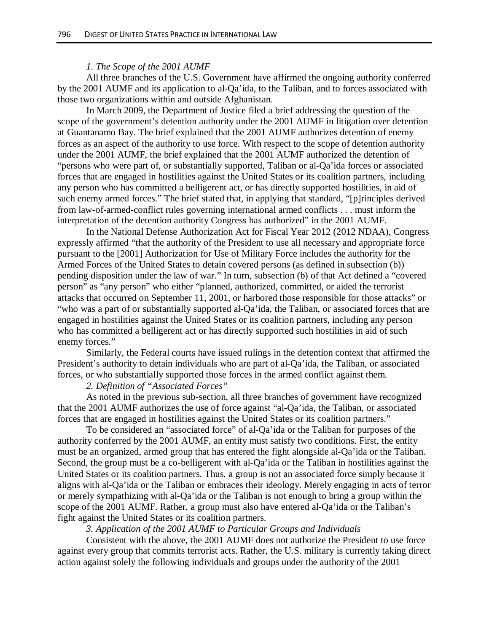#### *1. The Scope of the 2001 AUMF*

All three branches of the U.S. Government have affirmed the ongoing authority conferred by the 2001 AUMF and its application to al-Qa'ida, to the Taliban, and to forces associated with those two organizations within and outside Afghanistan.

In March 2009, the Department of Justice filed a brief addressing the question of the scope of the government's detention authority under the 2001 AUMF in litigation over detention at Guantanamo Bay. The brief explained that the 2001 AUMF authorizes detention of enemy forces as an aspect of the authority to use force. With respect to the scope of detention authority under the 2001 AUMF, the brief explained that the 2001 AUMF authorized the detention of "persons who were part of, or substantially supported, Taliban or al-Qa'ida forces or associated forces that are engaged in hostilities against the United States or its coalition partners, including any person who has committed a belligerent act, or has directly supported hostilities, in aid of such enemy armed forces." The brief stated that, in applying that standard, "[p]rinciples derived from law-of-armed-conflict rules governing international armed conflicts . . . must inform the interpretation of the detention authority Congress has authorized" in the 2001 AUMF.

In the National Defense Authorization Act for Fiscal Year 2012 (2012 NDAA), Congress expressly affirmed "that the authority of the President to use all necessary and appropriate force pursuant to the [2001] Authorization for Use of Military Force includes the authority for the Armed Forces of the United States to detain covered persons (as defined in subsection (b)) pending disposition under the law of war." In turn, subsection (b) of that Act defined a "covered person" as "any person" who either "planned, authorized, committed, or aided the terrorist attacks that occurred on September 11, 2001, or harbored those responsible for those attacks" or "who was a part of or substantially supported al-Qa'ida, the Taliban, or associated forces that are engaged in hostilities against the United States or its coalition partners, including any person who has committed a belligerent act or has directly supported such hostilities in aid of such enemy forces."

Similarly, the Federal courts have issued rulings in the detention context that affirmed the President's authority to detain individuals who are part of al-Qa'ida, the Taliban, or associated forces, or who substantially supported those forces in the armed conflict against them.

*2. Definition of "Associated Forces"* 

As noted in the previous sub-section, all three branches of government have recognized that the 2001 AUMF authorizes the use of force against "al-Qa'ida, the Taliban, or associated forces that are engaged in hostilities against the United States or its coalition partners."

To be considered an "associated force" of al-Qa'ida or the Taliban for purposes of the authority conferred by the 2001 AUMF, an entity must satisfy two conditions. First, the entity must be an organized, armed group that has entered the fight alongside al-Qa'ida or the Taliban. Second, the group must be a co-belligerent with al-Qa'ida or the Taliban in hostilities against the United States or its coalition partners. Thus, a group is not an associated force simply because it aligns with al-Qa'ida or the Taliban or embraces their ideology. Merely engaging in acts of terror or merely sympathizing with al-Qa'ida or the Taliban is not enough to bring a group within the scope of the 2001 AUMF. Rather, a group must also have entered al-Qa'ida or the Taliban's fight against the United States or its coalition partners.

# *3. Application of the 2001 AUMF to Particular Groups and Individuals*

Consistent with the above, the 2001 AUMF does not authorize the President to use force against every group that commits terrorist acts. Rather, the U.S. military is currently taking direct action against solely the following individuals and groups under the authority of the 2001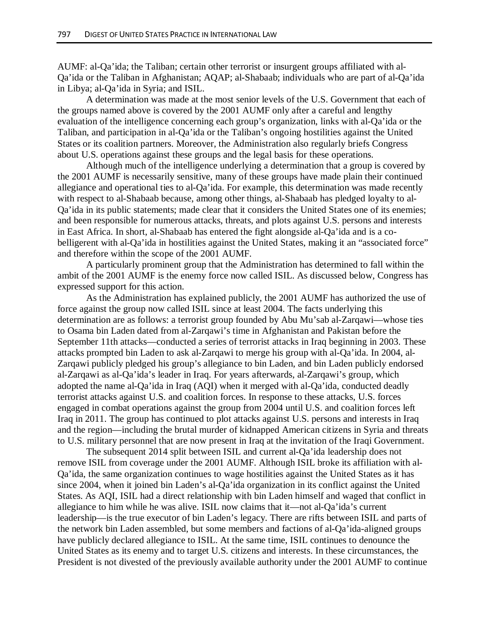AUMF: al-Qa'ida; the Taliban; certain other terrorist or insurgent groups affiliated with al-Qa'ida or the Taliban in Afghanistan; AQAP; al-Shabaab; individuals who are part of al-Qa'ida in Libya; al-Qa'ida in Syria; and ISIL.

A determination was made at the most senior levels of the U.S. Government that each of the groups named above is covered by the 2001 AUMF only after a careful and lengthy evaluation of the intelligence concerning each group's organization, links with al-Qa'ida or the Taliban, and participation in al-Qa'ida or the Taliban's ongoing hostilities against the United States or its coalition partners. Moreover, the Administration also regularly briefs Congress about U.S. operations against these groups and the legal basis for these operations.

Although much of the intelligence underlying a determination that a group is covered by the 2001 AUMF is necessarily sensitive, many of these groups have made plain their continued allegiance and operational ties to al-Qa'ida. For example, this determination was made recently with respect to al-Shabaab because, among other things, al-Shabaab has pledged loyalty to al-Qa'ida in its public statements; made clear that it considers the United States one of its enemies; and been responsible for numerous attacks, threats, and plots against U.S. persons and interests in East Africa. In short, al-Shabaab has entered the fight alongside al-Qa'ida and is a cobelligerent with al-Qa'ida in hostilities against the United States, making it an "associated force" and therefore within the scope of the 2001 AUMF.

A particularly prominent group that the Administration has determined to fall within the ambit of the 2001 AUMF is the enemy force now called ISIL. As discussed below, Congress has expressed support for this action.

As the Administration has explained publicly, the 2001 AUMF has authorized the use of force against the group now called ISIL since at least 2004. The facts underlying this determination are as follows: a terrorist group founded by Abu Mu'sab al-Zarqawi—whose ties to Osama bin Laden dated from al-Zarqawi's time in Afghanistan and Pakistan before the September 11th attacks—conducted a series of terrorist attacks in Iraq beginning in 2003. These attacks prompted bin Laden to ask al-Zarqawi to merge his group with al-Qa'ida. In 2004, al-Zarqawi publicly pledged his group's allegiance to bin Laden, and bin Laden publicly endorsed al-Zarqawi as al-Qa'ida's leader in Iraq. For years afterwards, al-Zarqawi's group, which adopted the name al-Qa'ida in Iraq (AQI) when it merged with al-Qa'ida, conducted deadly terrorist attacks against U.S. and coalition forces. In response to these attacks, U.S. forces engaged in combat operations against the group from 2004 until U.S. and coalition forces left Iraq in 2011. The group has continued to plot attacks against U.S. persons and interests in Iraq and the region—including the brutal murder of kidnapped American citizens in Syria and threats to U.S. military personnel that are now present in Iraq at the invitation of the Iraqi Government.

The subsequent 2014 split between ISIL and current al-Qa'ida leadership does not remove ISIL from coverage under the 2001 AUMF. Although ISIL broke its affiliation with al-Qa'ida, the same organization continues to wage hostilities against the United States as it has since 2004, when it joined bin Laden's al-Qa'ida organization in its conflict against the United States. As AQI, ISIL had a direct relationship with bin Laden himself and waged that conflict in allegiance to him while he was alive. ISIL now claims that it—not al-Qa'ida's current leadership—is the true executor of bin Laden's legacy. There are rifts between ISIL and parts of the network bin Laden assembled, but some members and factions of al-Qa'ida-aligned groups have publicly declared allegiance to ISIL. At the same time, ISIL continues to denounce the United States as its enemy and to target U.S. citizens and interests. In these circumstances, the President is not divested of the previously available authority under the 2001 AUMF to continue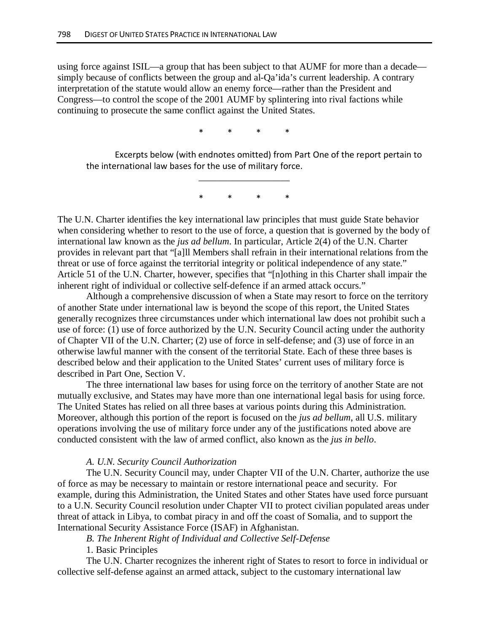using force against ISIL—a group that has been subject to that AUMF for more than a decade simply because of conflicts between the group and al-Qa'ida's current leadership. A contrary interpretation of the statute would allow an enemy force—rather than the President and Congress—to control the scope of the 2001 AUMF by splintering into rival factions while continuing to prosecute the same conflict against the United States.

\* \* \* \*

Excerpts below (with endnotes omitted) from Part One of the report pertain to the international law bases for the use of military force.

\* \* \* \*

\_\_\_\_\_\_\_\_\_\_\_\_\_\_\_\_\_\_\_

The U.N. Charter identifies the key international law principles that must guide State behavior when considering whether to resort to the use of force, a question that is governed by the body of international law known as the *jus ad bellum*. In particular, Article 2(4) of the U.N. Charter provides in relevant part that "[a]ll Members shall refrain in their international relations from the threat or use of force against the territorial integrity or political independence of any state." Article 51 of the U.N. Charter, however, specifies that "[n]othing in this Charter shall impair the inherent right of individual or collective self-defence if an armed attack occurs."

Although a comprehensive discussion of when a State may resort to force on the territory of another State under international law is beyond the scope of this report, the United States generally recognizes three circumstances under which international law does not prohibit such a use of force: (1) use of force authorized by the U.N. Security Council acting under the authority of Chapter VII of the U.N. Charter; (2) use of force in self-defense; and (3) use of force in an otherwise lawful manner with the consent of the territorial State. Each of these three bases is described below and their application to the United States' current uses of military force is described in Part One, Section V.

The three international law bases for using force on the territory of another State are not mutually exclusive, and States may have more than one international legal basis for using force. The United States has relied on all three bases at various points during this Administration. Moreover, although this portion of the report is focused on the *jus ad bellum*, all U.S. military operations involving the use of military force under any of the justifications noted above are conducted consistent with the law of armed conflict, also known as the *jus in bello*.

#### *A. U.N. Security Council Authorization*

The U.N. Security Council may, under Chapter VII of the U.N. Charter, authorize the use of force as may be necessary to maintain or restore international peace and security. For example, during this Administration, the United States and other States have used force pursuant to a U.N. Security Council resolution under Chapter VII to protect civilian populated areas under threat of attack in Libya, to combat piracy in and off the coast of Somalia, and to support the International Security Assistance Force (ISAF) in Afghanistan.

*B. The Inherent Right of Individual and Collective Self-Defense* 

1. Basic Principles

The U.N. Charter recognizes the inherent right of States to resort to force in individual or collective self-defense against an armed attack, subject to the customary international law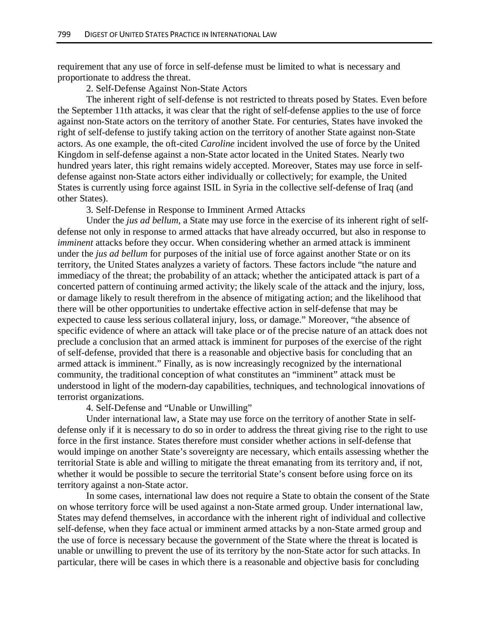requirement that any use of force in self-defense must be limited to what is necessary and proportionate to address the threat.

2. Self-Defense Against Non-State Actors

The inherent right of self-defense is not restricted to threats posed by States. Even before the September 11th attacks, it was clear that the right of self-defense applies to the use of force against non-State actors on the territory of another State. For centuries, States have invoked the right of self-defense to justify taking action on the territory of another State against non-State actors. As one example, the oft-cited *Caroline* incident involved the use of force by the United Kingdom in self-defense against a non-State actor located in the United States. Nearly two hundred years later, this right remains widely accepted. Moreover, States may use force in selfdefense against non-State actors either individually or collectively; for example, the United States is currently using force against ISIL in Syria in the collective self-defense of Iraq (and other States).

3. Self-Defense in Response to Imminent Armed Attacks

Under the *jus ad bellum*, a State may use force in the exercise of its inherent right of selfdefense not only in response to armed attacks that have already occurred, but also in response to *imminent* attacks before they occur. When considering whether an armed attack is imminent under the *jus ad bellum* for purposes of the initial use of force against another State or on its territory, the United States analyzes a variety of factors. These factors include "the nature and immediacy of the threat; the probability of an attack; whether the anticipated attack is part of a concerted pattern of continuing armed activity; the likely scale of the attack and the injury, loss, or damage likely to result therefrom in the absence of mitigating action; and the likelihood that there will be other opportunities to undertake effective action in self-defense that may be expected to cause less serious collateral injury, loss, or damage." Moreover, "the absence of specific evidence of where an attack will take place or of the precise nature of an attack does not preclude a conclusion that an armed attack is imminent for purposes of the exercise of the right of self-defense, provided that there is a reasonable and objective basis for concluding that an armed attack is imminent." Finally, as is now increasingly recognized by the international community, the traditional conception of what constitutes an "imminent" attack must be understood in light of the modern-day capabilities, techniques, and technological innovations of terrorist organizations.

4. Self-Defense and "Unable or Unwilling"

Under international law, a State may use force on the territory of another State in selfdefense only if it is necessary to do so in order to address the threat giving rise to the right to use force in the first instance. States therefore must consider whether actions in self-defense that would impinge on another State's sovereignty are necessary, which entails assessing whether the territorial State is able and willing to mitigate the threat emanating from its territory and, if not, whether it would be possible to secure the territorial State's consent before using force on its territory against a non-State actor.

In some cases, international law does not require a State to obtain the consent of the State on whose territory force will be used against a non-State armed group. Under international law, States may defend themselves, in accordance with the inherent right of individual and collective self-defense, when they face actual or imminent armed attacks by a non-State armed group and the use of force is necessary because the government of the State where the threat is located is unable or unwilling to prevent the use of its territory by the non-State actor for such attacks. In particular, there will be cases in which there is a reasonable and objective basis for concluding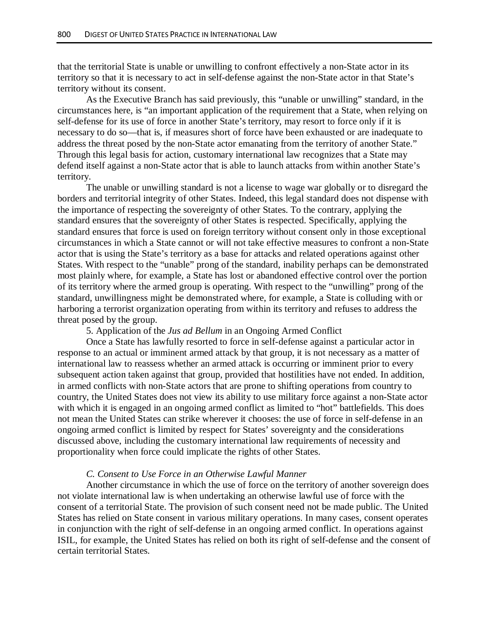that the territorial State is unable or unwilling to confront effectively a non-State actor in its territory so that it is necessary to act in self-defense against the non-State actor in that State's territory without its consent.

As the Executive Branch has said previously, this "unable or unwilling" standard, in the circumstances here, is "an important application of the requirement that a State, when relying on self-defense for its use of force in another State's territory, may resort to force only if it is necessary to do so—that is, if measures short of force have been exhausted or are inadequate to address the threat posed by the non-State actor emanating from the territory of another State." Through this legal basis for action, customary international law recognizes that a State may defend itself against a non-State actor that is able to launch attacks from within another State's territory.

The unable or unwilling standard is not a license to wage war globally or to disregard the borders and territorial integrity of other States. Indeed, this legal standard does not dispense with the importance of respecting the sovereignty of other States. To the contrary, applying the standard ensures that the sovereignty of other States is respected. Specifically, applying the standard ensures that force is used on foreign territory without consent only in those exceptional circumstances in which a State cannot or will not take effective measures to confront a non-State actor that is using the State's territory as a base for attacks and related operations against other States. With respect to the "unable" prong of the standard, inability perhaps can be demonstrated most plainly where, for example, a State has lost or abandoned effective control over the portion of its territory where the armed group is operating. With respect to the "unwilling" prong of the standard, unwillingness might be demonstrated where, for example, a State is colluding with or harboring a terrorist organization operating from within its territory and refuses to address the threat posed by the group.

5. Application of the *Jus ad Bellum* in an Ongoing Armed Conflict

Once a State has lawfully resorted to force in self-defense against a particular actor in response to an actual or imminent armed attack by that group, it is not necessary as a matter of international law to reassess whether an armed attack is occurring or imminent prior to every subsequent action taken against that group, provided that hostilities have not ended. In addition, in armed conflicts with non-State actors that are prone to shifting operations from country to country, the United States does not view its ability to use military force against a non-State actor with which it is engaged in an ongoing armed conflict as limited to "hot" battlefields. This does not mean the United States can strike wherever it chooses: the use of force in self-defense in an ongoing armed conflict is limited by respect for States' sovereignty and the considerations discussed above, including the customary international law requirements of necessity and proportionality when force could implicate the rights of other States.

#### *C. Consent to Use Force in an Otherwise Lawful Manner*

Another circumstance in which the use of force on the territory of another sovereign does not violate international law is when undertaking an otherwise lawful use of force with the consent of a territorial State. The provision of such consent need not be made public. The United States has relied on State consent in various military operations. In many cases, consent operates in conjunction with the right of self-defense in an ongoing armed conflict. In operations against ISIL, for example, the United States has relied on both its right of self-defense and the consent of certain territorial States.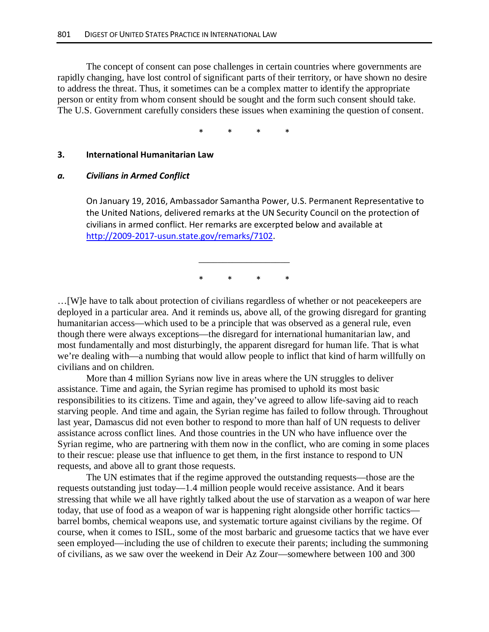The concept of consent can pose challenges in certain countries where governments are rapidly changing, have lost control of significant parts of their territory, or have shown no desire to address the threat. Thus, it sometimes can be a complex matter to identify the appropriate person or entity from whom consent should be sought and the form such consent should take. The U.S. Government carefully considers these issues when examining the question of consent.

\* \* \* \*

#### <span id="page-18-0"></span>**3. International Humanitarian Law**

#### <span id="page-18-1"></span>*a. Civilians in Armed Conflict*

On January 19, 2016, Ambassador Samantha Power, U.S. Permanent Representative to the United Nations, delivered remarks at the UN Security Council on the protection of civilians in armed conflict. Her remarks are excerpted below and available at [http://2009-2017-usun.state.gov/remarks/7102.](http://2009-2017-usun.state.gov/remarks/7102)

\* \* \* \*

\_\_\_\_\_\_\_\_\_\_\_\_\_\_\_\_\_\_\_

…[W]e have to talk about protection of civilians regardless of whether or not peacekeepers are deployed in a particular area. And it reminds us, above all, of the growing disregard for granting humanitarian access—which used to be a principle that was observed as a general rule, even though there were always exceptions—the disregard for international humanitarian law, and most fundamentally and most disturbingly, the apparent disregard for human life. That is what we're dealing with—a numbing that would allow people to inflict that kind of harm willfully on civilians and on children.

More than 4 million Syrians now live in areas where the UN struggles to deliver assistance. Time and again, the Syrian regime has promised to uphold its most basic responsibilities to its citizens. Time and again, they've agreed to allow life-saving aid to reach starving people. And time and again, the Syrian regime has failed to follow through. Throughout last year, Damascus did not even bother to respond to more than half of UN requests to deliver assistance across conflict lines. And those countries in the UN who have influence over the Syrian regime, who are partnering with them now in the conflict, who are coming in some places to their rescue: please use that influence to get them, in the first instance to respond to UN requests, and above all to grant those requests.

The UN estimates that if the regime approved the outstanding requests—those are the requests outstanding just today—1.4 million people would receive assistance. And it bears stressing that while we all have rightly talked about the use of starvation as a weapon of war here today, that use of food as a weapon of war is happening right alongside other horrific tactics barrel bombs, chemical weapons use, and systematic torture against civilians by the regime. Of course, when it comes to ISIL, some of the most barbaric and gruesome tactics that we have ever seen employed—including the use of children to execute their parents; including the summoning of civilians, as we saw over the weekend in Deir Az Zour—somewhere between 100 and 300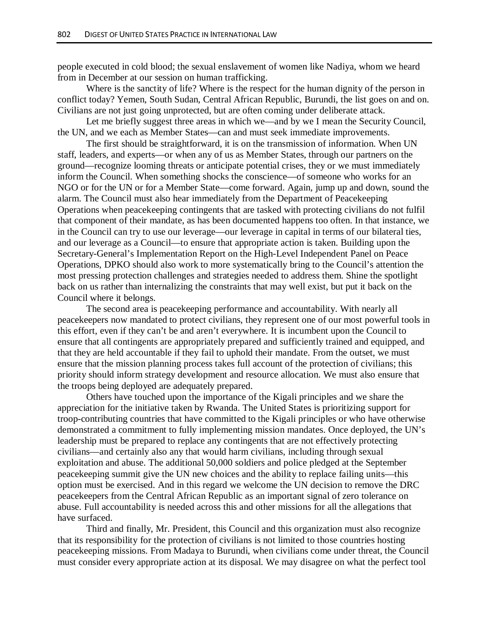people executed in cold blood; the sexual enslavement of women like Nadiya, whom we heard from in December at our session on human trafficking.

Where is the sanctity of life? Where is the respect for the human dignity of the person in conflict today? Yemen, South Sudan, Central African Republic, Burundi, the list goes on and on. Civilians are not just going unprotected, but are often coming under deliberate attack.

Let me briefly suggest three areas in which we—and by we I mean the Security Council, the UN, and we each as Member States—can and must seek immediate improvements.

The first should be straightforward, it is on the transmission of information. When UN staff, leaders, and experts—or when any of us as Member States, through our partners on the ground—recognize looming threats or anticipate potential crises, they or we must immediately inform the Council. When something shocks the conscience—of someone who works for an NGO or for the UN or for a Member State—come forward. Again, jump up and down, sound the alarm. The Council must also hear immediately from the Department of Peacekeeping Operations when peacekeeping contingents that are tasked with protecting civilians do not fulfil that component of their mandate, as has been documented happens too often. In that instance, we in the Council can try to use our leverage—our leverage in capital in terms of our bilateral ties, and our leverage as a Council—to ensure that appropriate action is taken. Building upon the Secretary-General's Implementation Report on the High-Level Independent Panel on Peace Operations, DPKO should also work to more systematically bring to the Council's attention the most pressing protection challenges and strategies needed to address them. Shine the spotlight back on us rather than internalizing the constraints that may well exist, but put it back on the Council where it belongs.

The second area is peacekeeping performance and accountability. With nearly all peacekeepers now mandated to protect civilians, they represent one of our most powerful tools in this effort, even if they can't be and aren't everywhere. It is incumbent upon the Council to ensure that all contingents are appropriately prepared and sufficiently trained and equipped, and that they are held accountable if they fail to uphold their mandate. From the outset, we must ensure that the mission planning process takes full account of the protection of civilians; this priority should inform strategy development and resource allocation. We must also ensure that the troops being deployed are adequately prepared.

Others have touched upon the importance of the Kigali principles and we share the appreciation for the initiative taken by Rwanda. The United States is prioritizing support for troop-contributing countries that have committed to the Kigali principles or who have otherwise demonstrated a commitment to fully implementing mission mandates. Once deployed, the UN's leadership must be prepared to replace any contingents that are not effectively protecting civilians—and certainly also any that would harm civilians, including through sexual exploitation and abuse. The additional 50,000 soldiers and police pledged at the September peacekeeping summit give the UN new choices and the ability to replace failing units—this option must be exercised. And in this regard we welcome the UN decision to remove the DRC peacekeepers from the Central African Republic as an important signal of zero tolerance on abuse. Full accountability is needed across this and other missions for all the allegations that have surfaced.

Third and finally, Mr. President, this Council and this organization must also recognize that its responsibility for the protection of civilians is not limited to those countries hosting peacekeeping missions. From Madaya to Burundi, when civilians come under threat, the Council must consider every appropriate action at its disposal. We may disagree on what the perfect tool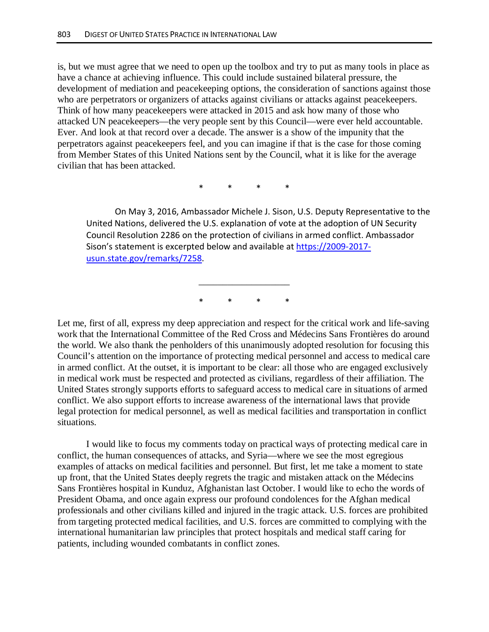is, but we must agree that we need to open up the toolbox and try to put as many tools in place as have a chance at achieving influence. This could include sustained bilateral pressure, the development of mediation and peacekeeping options, the consideration of sanctions against those who are perpetrators or organizers of attacks against civilians or attacks against peacekeepers. Think of how many peacekeepers were attacked in 2015 and ask how many of those who attacked UN peacekeepers—the very people sent by this Council—were ever held accountable. Ever. And look at that record over a decade. The answer is a show of the impunity that the perpetrators against peacekeepers feel, and you can imagine if that is the case for those coming from Member States of this United Nations sent by the Council, what it is like for the average civilian that has been attacked.

\* \* \* \*

On May 3, 2016, Ambassador Michele J. Sison, U.S. Deputy Representative to the United Nations, delivered the U.S. explanation of vote at the adoption of UN Security Council Resolution 2286 on the protection of civilians in armed conflict. Ambassador Sison's statement is excerpted below and available at [https://2009-2017](https://2009-2017-usun.state.gov/remarks/7258) [usun.state.gov/remarks/7258.](https://2009-2017-usun.state.gov/remarks/7258)

\* \* \* \*

\_\_\_\_\_\_\_\_\_\_\_\_\_\_\_\_\_\_\_

Let me, first of all, express my deep appreciation and respect for the critical work and life-saving work that the International Committee of the Red Cross and Médecins Sans Frontières do around the world. We also thank the penholders of this unanimously adopted resolution for focusing this Council's attention on the importance of protecting medical personnel and access to medical care in armed conflict. At the outset, it is important to be clear: all those who are engaged exclusively in medical work must be respected and protected as civilians, regardless of their affiliation. The United States strongly supports efforts to safeguard access to medical care in situations of armed conflict. We also support efforts to increase awareness of the international laws that provide legal protection for medical personnel, as well as medical facilities and transportation in conflict situations.

I would like to focus my comments today on practical ways of protecting medical care in conflict, the human consequences of attacks, and Syria—where we see the most egregious examples of attacks on medical facilities and personnel. But first, let me take a moment to state up front, that the United States deeply regrets the tragic and mistaken attack on the Médecins Sans Frontières hospital in Kunduz, Afghanistan last October. I would like to echo the words of President Obama, and once again express our profound condolences for the Afghan medical professionals and other civilians killed and injured in the tragic attack. U.S. forces are prohibited from targeting protected medical facilities, and U.S. forces are committed to complying with the international humanitarian law principles that protect hospitals and medical staff caring for patients, including wounded combatants in conflict zones.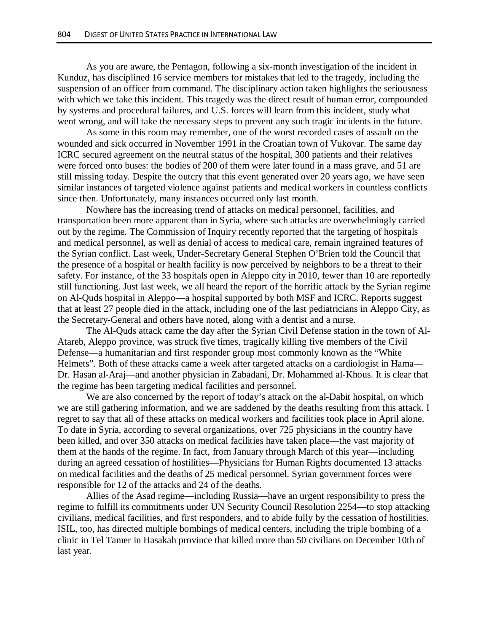As you are aware, the Pentagon, following a six-month investigation of the incident in Kunduz, has disciplined 16 service members for mistakes that led to the tragedy, including the suspension of an officer from command. The disciplinary action taken highlights the seriousness with which we take this incident. This tragedy was the direct result of human error, compounded by systems and procedural failures, and U.S. forces will learn from this incident, study what went wrong, and will take the necessary steps to prevent any such tragic incidents in the future.

As some in this room may remember, one of the worst recorded cases of assault on the wounded and sick occurred in November 1991 in the Croatian town of Vukovar. The same day ICRC secured agreement on the neutral status of the hospital, 300 patients and their relatives were forced onto buses: the bodies of 200 of them were later found in a mass grave, and 51 are still missing today. Despite the outcry that this event generated over 20 years ago, we have seen similar instances of targeted violence against patients and medical workers in countless conflicts since then. Unfortunately, many instances occurred only last month.

Nowhere has the increasing trend of attacks on medical personnel, facilities, and transportation been more apparent than in Syria, where such attacks are overwhelmingly carried out by the regime. The Commission of Inquiry recently reported that the targeting of hospitals and medical personnel, as well as denial of access to medical care, remain ingrained features of the Syrian conflict. Last week, Under-Secretary General Stephen O'Brien told the Council that the presence of a hospital or health facility is now perceived by neighbors to be a threat to their safety. For instance, of the 33 hospitals open in Aleppo city in 2010, fewer than 10 are reportedly still functioning. Just last week, we all heard the report of the horrific attack by the Syrian regime on Al-Quds hospital in Aleppo—a hospital supported by both MSF and ICRC. Reports suggest that at least 27 people died in the attack, including one of the last pediatricians in Aleppo City, as the Secretary-General and others have noted, along with a dentist and a nurse.

The Al-Quds attack came the day after the Syrian Civil Defense station in the town of Al-Atareb, Aleppo province, was struck five times, tragically killing five members of the Civil Defense—a humanitarian and first responder group most commonly known as the "White Helmets". Both of these attacks came a week after targeted attacks on a cardiologist in Hama— Dr. Hasan al-Araj—and another physician in Zabadani, Dr. Mohammed al-Khous. It is clear that the regime has been targeting medical facilities and personnel.

We are also concerned by the report of today's attack on the al-Dabit hospital, on which we are still gathering information, and we are saddened by the deaths resulting from this attack. I regret to say that all of these attacks on medical workers and facilities took place in April alone. To date in Syria, according to several organizations, over 725 physicians in the country have been killed, and over 350 attacks on medical facilities have taken place—the vast majority of them at the hands of the regime. In fact, from January through March of this year—including during an agreed cessation of hostilities—Physicians for Human Rights documented 13 attacks on medical facilities and the deaths of 25 medical personnel. Syrian government forces were responsible for 12 of the attacks and 24 of the deaths.

Allies of the Asad regime—including Russia—have an urgent responsibility to press the regime to fulfill its commitments under UN Security Council Resolution 2254—to stop attacking civilians, medical facilities, and first responders, and to abide fully by the cessation of hostilities. ISIL, too, has directed multiple bombings of medical centers, including the triple bombing of a clinic in Tel Tamer in Hasakah province that killed more than 50 civilians on December 10th of last year.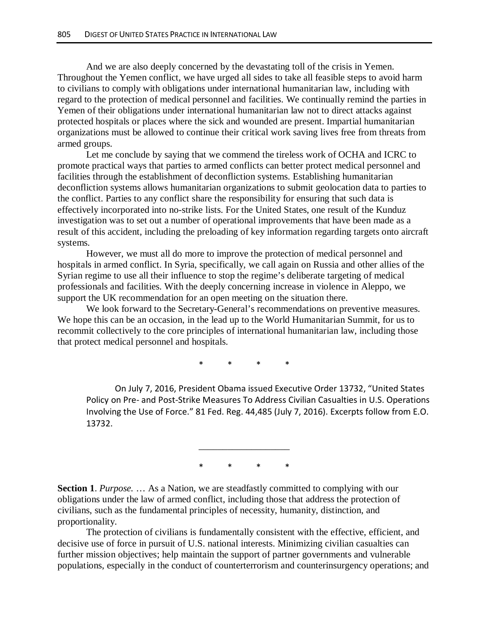And we are also deeply concerned by the devastating toll of the crisis in Yemen. Throughout the Yemen conflict, we have urged all sides to take all feasible steps to avoid harm to civilians to comply with obligations under international humanitarian law, including with regard to the protection of medical personnel and facilities. We continually remind the parties in Yemen of their obligations under international humanitarian law not to direct attacks against protected hospitals or places where the sick and wounded are present. Impartial humanitarian organizations must be allowed to continue their critical work saving lives free from threats from armed groups.

Let me conclude by saying that we commend the tireless work of OCHA and ICRC to promote practical ways that parties to armed conflicts can better protect medical personnel and facilities through the establishment of deconfliction systems. Establishing humanitarian deconfliction systems allows humanitarian organizations to submit geolocation data to parties to the conflict. Parties to any conflict share the responsibility for ensuring that such data is effectively incorporated into no-strike lists. For the United States, one result of the Kunduz investigation was to set out a number of operational improvements that have been made as a result of this accident, including the preloading of key information regarding targets onto aircraft systems.

However, we must all do more to improve the protection of medical personnel and hospitals in armed conflict. In Syria, specifically, we call again on Russia and other allies of the Syrian regime to use all their influence to stop the regime's deliberate targeting of medical professionals and facilities. With the deeply concerning increase in violence in Aleppo, we support the UK recommendation for an open meeting on the situation there.

We look forward to the Secretary-General's recommendations on preventive measures. We hope this can be an occasion, in the lead up to the World Humanitarian Summit, for us to recommit collectively to the core principles of international humanitarian law, including those that protect medical personnel and hospitals.

\* \* \* \*

On July 7, 2016, President Obama issued Executive Order 13732, "United States Policy on Pre- and Post-Strike Measures To Address Civilian Casualties in U.S. Operations Involving the Use of Force." 81 Fed. Reg. 44,485 (July 7, 2016). Excerpts follow from E.O. 13732.

 $*$   $*$ 

\_\_\_\_\_\_\_\_\_\_\_\_\_\_\_\_\_\_\_

**Section 1**. *Purpose.* … As a Nation, we are steadfastly committed to complying with our obligations under the law of armed conflict, including those that address the protection of civilians, such as the fundamental principles of necessity, humanity, distinction, and proportionality.

The protection of civilians is fundamentally consistent with the effective, efficient, and decisive use of force in pursuit of U.S. national interests. Minimizing civilian casualties can further mission objectives; help maintain the support of partner governments and vulnerable populations, especially in the conduct of counterterrorism and counterinsurgency operations; and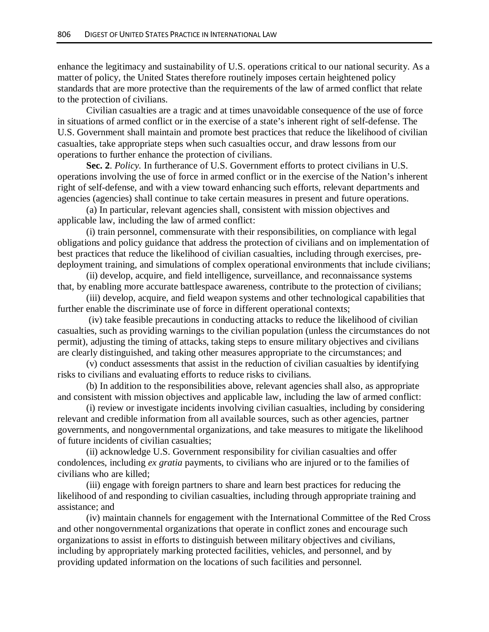enhance the legitimacy and sustainability of U.S. operations critical to our national security. As a matter of policy, the United States therefore routinely imposes certain heightened policy standards that are more protective than the requirements of the law of armed conflict that relate to the protection of civilians.

Civilian casualties are a tragic and at times unavoidable consequence of the use of force in situations of armed conflict or in the exercise of a state's inherent right of self-defense. The U.S. Government shall maintain and promote best practices that reduce the likelihood of civilian casualties, take appropriate steps when such casualties occur, and draw lessons from our operations to further enhance the protection of civilians.

**Sec. 2**. *Policy.* In furtherance of U.S. Government efforts to protect civilians in U.S. operations involving the use of force in armed conflict or in the exercise of the Nation's inherent right of self-defense, and with a view toward enhancing such efforts, relevant departments and agencies (agencies) shall continue to take certain measures in present and future operations.

(a) In particular, relevant agencies shall, consistent with mission objectives and applicable law, including the law of armed conflict:

(i) train personnel, commensurate with their responsibilities, on compliance with legal obligations and policy guidance that address the protection of civilians and on implementation of best practices that reduce the likelihood of civilian casualties, including through exercises, predeployment training, and simulations of complex operational environments that include civilians;

(ii) develop, acquire, and field intelligence, surveillance, and reconnaissance systems that, by enabling more accurate battlespace awareness, contribute to the protection of civilians;

(iii) develop, acquire, and field weapon systems and other technological capabilities that further enable the discriminate use of force in different operational contexts;

(iv) take feasible precautions in conducting attacks to reduce the likelihood of civilian casualties, such as providing warnings to the civilian population (unless the circumstances do not permit), adjusting the timing of attacks, taking steps to ensure military objectives and civilians are clearly distinguished, and taking other measures appropriate to the circumstances; and

(v) conduct assessments that assist in the reduction of civilian casualties by identifying risks to civilians and evaluating efforts to reduce risks to civilians.

(b) In addition to the responsibilities above, relevant agencies shall also, as appropriate and consistent with mission objectives and applicable law, including the law of armed conflict:

(i) review or investigate incidents involving civilian casualties, including by considering relevant and credible information from all available sources, such as other agencies, partner governments, and nongovernmental organizations, and take measures to mitigate the likelihood of future incidents of civilian casualties;

(ii) acknowledge U.S. Government responsibility for civilian casualties and offer condolences, including *ex gratia* payments, to civilians who are injured or to the families of civilians who are killed;

(iii) engage with foreign partners to share and learn best practices for reducing the likelihood of and responding to civilian casualties, including through appropriate training and assistance; and

(iv) maintain channels for engagement with the International Committee of the Red Cross and other nongovernmental organizations that operate in conflict zones and encourage such organizations to assist in efforts to distinguish between military objectives and civilians, including by appropriately marking protected facilities, vehicles, and personnel, and by providing updated information on the locations of such facilities and personnel.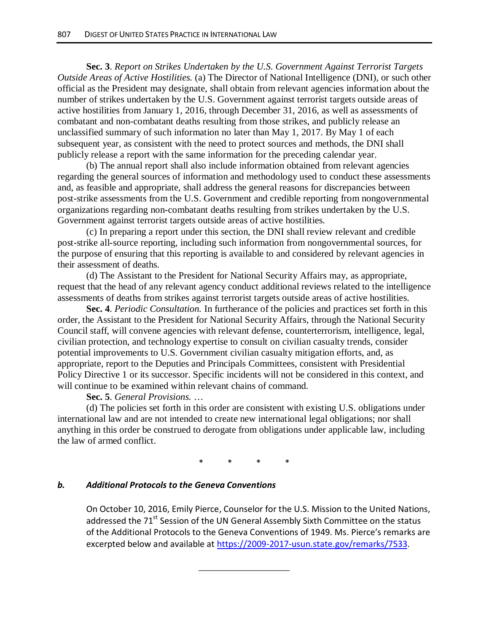**Sec. 3**. *Report on Strikes Undertaken by the U.S. Government Against Terrorist Targets Outside Areas of Active Hostilities.* (a) The Director of National Intelligence (DNI), or such other official as the President may designate, shall obtain from relevant agencies information about the number of strikes undertaken by the U.S. Government against terrorist targets outside areas of active hostilities from January 1, 2016, through December 31, 2016, as well as assessments of combatant and non-combatant deaths resulting from those strikes, and publicly release an unclassified summary of such information no later than May 1, 2017. By May 1 of each subsequent year, as consistent with the need to protect sources and methods, the DNI shall publicly release a report with the same information for the preceding calendar year.

(b) The annual report shall also include information obtained from relevant agencies regarding the general sources of information and methodology used to conduct these assessments and, as feasible and appropriate, shall address the general reasons for discrepancies between post-strike assessments from the U.S. Government and credible reporting from nongovernmental organizations regarding non-combatant deaths resulting from strikes undertaken by the U.S. Government against terrorist targets outside areas of active hostilities.

(c) In preparing a report under this section, the DNI shall review relevant and credible post-strike all-source reporting, including such information from nongovernmental sources, for the purpose of ensuring that this reporting is available to and considered by relevant agencies in their assessment of deaths.

(d) The Assistant to the President for National Security Affairs may, as appropriate, request that the head of any relevant agency conduct additional reviews related to the intelligence assessments of deaths from strikes against terrorist targets outside areas of active hostilities.

**Sec. 4**. *Periodic Consultation.* In furtherance of the policies and practices set forth in this order, the Assistant to the President for National Security Affairs, through the National Security Council staff, will convene agencies with relevant defense, counterterrorism, intelligence, legal, civilian protection, and technology expertise to consult on civilian casualty trends, consider potential improvements to U.S. Government civilian casualty mitigation efforts, and, as appropriate, report to the Deputies and Principals Committees, consistent with Presidential Policy Directive 1 or its successor. Specific incidents will not be considered in this context, and will continue to be examined within relevant chains of command.

## **Sec. 5**. *General Provisions.* …

(d) The policies set forth in this order are consistent with existing U.S. obligations under international law and are not intended to create new international legal obligations; nor shall anything in this order be construed to derogate from obligations under applicable law, including the law of armed conflict.

\* \* \* \*

\_\_\_\_\_\_\_\_\_\_\_\_\_\_\_\_\_\_\_

## <span id="page-24-0"></span>*b. Additional Protocols to the Geneva Conventions*

On October 10, 2016, Emily Pierce, Counselor for the U.S. Mission to the United Nations, addressed the 71<sup>st</sup> Session of the UN General Assembly Sixth Committee on the status of the Additional Protocols to the Geneva Conventions of 1949. Ms. Pierce's remarks are excerpted below and available at [https://2009-2017-usun.state.gov/remarks/7533.](https://2009-2017-usun.state.gov/remarks/7533)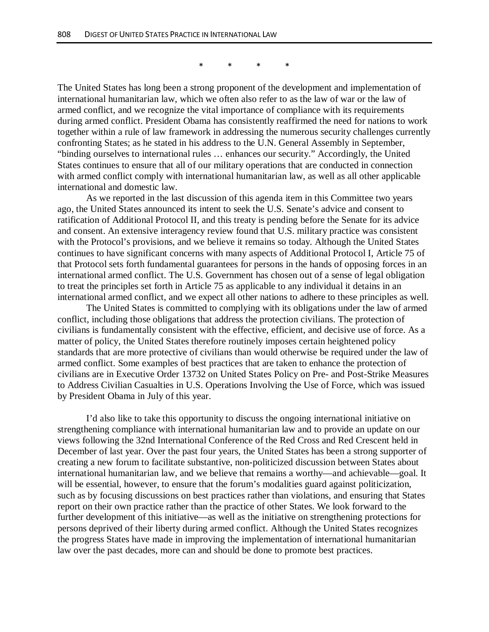\* \* \* \*

The United States has long been a strong proponent of the development and implementation of international humanitarian law, which we often also refer to as the law of war or the law of armed conflict, and we recognize the vital importance of compliance with its requirements during armed conflict. President Obama has consistently reaffirmed the need for nations to work together within a rule of law framework in addressing the numerous security challenges currently confronting States; as he stated in his address to the U.N. General Assembly in September, "binding ourselves to international rules … enhances our security." Accordingly, the United States continues to ensure that all of our military operations that are conducted in connection with armed conflict comply with international humanitarian law, as well as all other applicable international and domestic law.

As we reported in the last discussion of this agenda item in this Committee two years ago, the United States announced its intent to seek the U.S. Senate's advice and consent to ratification of Additional Protocol II, and this treaty is pending before the Senate for its advice and consent. An extensive interagency review found that U.S. military practice was consistent with the Protocol's provisions, and we believe it remains so today. Although the United States continues to have significant concerns with many aspects of Additional Protocol I, Article 75 of that Protocol sets forth fundamental guarantees for persons in the hands of opposing forces in an international armed conflict. The U.S. Government has chosen out of a sense of legal obligation to treat the principles set forth in Article 75 as applicable to any individual it detains in an international armed conflict, and we expect all other nations to adhere to these principles as well.

The United States is committed to complying with its obligations under the law of armed conflict, including those obligations that address the protection civilians. The protection of civilians is fundamentally consistent with the effective, efficient, and decisive use of force. As a matter of policy, the United States therefore routinely imposes certain heightened policy standards that are more protective of civilians than would otherwise be required under the law of armed conflict. Some examples of best practices that are taken to enhance the protection of civilians are in Executive Order 13732 on United States Policy on Pre- and Post-Strike Measures to Address Civilian Casualties in U.S. Operations Involving the Use of Force, which was issued by President Obama in July of this year.

I'd also like to take this opportunity to discuss the ongoing international initiative on strengthening compliance with international humanitarian law and to provide an update on our views following the 32nd International Conference of the Red Cross and Red Crescent held in December of last year. Over the past four years, the United States has been a strong supporter of creating a new forum to facilitate substantive, non-politicized discussion between States about international humanitarian law, and we believe that remains a worthy—and achievable—goal. It will be essential, however, to ensure that the forum's modalities guard against politicization, such as by focusing discussions on best practices rather than violations, and ensuring that States report on their own practice rather than the practice of other States. We look forward to the further development of this initiative—as well as the initiative on strengthening protections for persons deprived of their liberty during armed conflict. Although the United States recognizes the progress States have made in improving the implementation of international humanitarian law over the past decades, more can and should be done to promote best practices.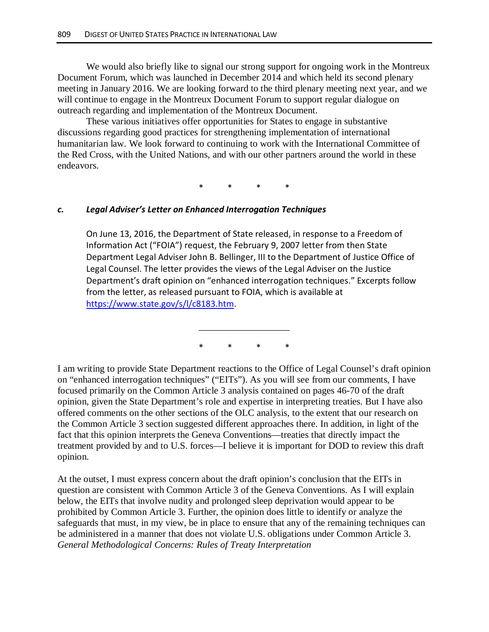We would also briefly like to signal our strong support for ongoing work in the Montreux Document Forum, which was launched in December 2014 and which held its second plenary meeting in January 2016. We are looking forward to the third plenary meeting next year, and we will continue to engage in the Montreux Document Forum to support regular dialogue on outreach regarding and implementation of the Montreux Document.

These various initiatives offer opportunities for States to engage in substantive discussions regarding good practices for strengthening implementation of international humanitarian law. We look forward to continuing to work with the International Committee of the Red Cross, with the United Nations, and with our other partners around the world in these endeavors.

\* \* \* \*

#### <span id="page-26-0"></span>*c. Legal Adviser's Letter on Enhanced Interrogation Techniques*

On June 13, 2016, the Department of State released, in response to a Freedom of Information Act ("FOIA") request, the February 9, 2007 letter from then State Department Legal Adviser John B. Bellinger, III to the Department of Justice Office of Legal Counsel. The letter provides the views of the Legal Adviser on the Justice Department's draft opinion on "enhanced interrogation techniques." Excerpts follow from the letter, as released pursuant to FOIA, which is available at [https://www.state.gov/s/l/c8183.htm.](https://www.state.gov/s/l/c8183.htm)

\* \* \* \*

\_\_\_\_\_\_\_\_\_\_\_\_\_\_\_\_\_\_\_

I am writing to provide State Department reactions to the Office of Legal Counsel's draft opinion on "enhanced interrogation techniques" ("EITs"). As you will see from our comments, I have focused primarily on the Common Article 3 analysis contained on pages 46-70 of the draft opinion, given the State Department's role and expertise in interpreting treaties. But I have also offered comments on the other sections of the OLC analysis, to the extent that our research on the Common Article 3 section suggested different approaches there. In addition, in light of the fact that this opinion interprets the Geneva Conventions—treaties that directly impact the treatment provided by and to U.S. forces—I believe it is important for DOD to review this draft opinion.

At the outset, I must express concern about the draft opinion's conclusion that the EITs in question are consistent with Common Article 3 of the Geneva Conventions. As I will explain below, the EITs that involve nudity and prolonged sleep deprivation would appear to be prohibited by Common Article 3. Further, the opinion does little to identify or analyze the safeguards that must, in my view, be in place to ensure that any of the remaining techniques can be administered in a manner that does not violate U.S. obligations under Common Article 3. *General Methodological Concerns: Rules of Treaty Interpretation*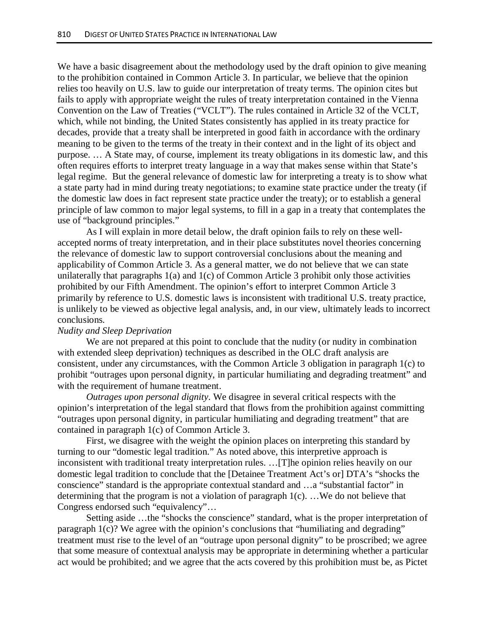We have a basic disagreement about the methodology used by the draft opinion to give meaning to the prohibition contained in Common Article 3. In particular, we believe that the opinion relies too heavily on U.S. law to guide our interpretation of treaty terms. The opinion cites but fails to apply with appropriate weight the rules of treaty interpretation contained in the Vienna Convention on the Law of Treaties ("VCLT"). The rules contained in Article 32 of the VCLT, which, while not binding, the United States consistently has applied in its treaty practice for decades, provide that a treaty shall be interpreted in good faith in accordance with the ordinary meaning to be given to the terms of the treaty in their context and in the light of its object and purpose. … A State may, of course, implement its treaty obligations in its domestic law, and this often requires efforts to interpret treaty language in a way that makes sense within that State's legal regime. But the general relevance of domestic law for interpreting a treaty is to show what a state party had in mind during treaty negotiations; to examine state practice under the treaty (if the domestic law does in fact represent state practice under the treaty); or to establish a general principle of law common to major legal systems, to fill in a gap in a treaty that contemplates the use of "background principles."

As I will explain in more detail below, the draft opinion fails to rely on these wellaccepted norms of treaty interpretation, and in their place substitutes novel theories concerning the relevance of domestic law to support controversial conclusions about the meaning and applicability of Common Article 3. As a general matter, we do not believe that we can state unilaterally that paragraphs  $1(a)$  and  $1(c)$  of Common Article 3 prohibit only those activities prohibited by our Fifth Amendment. The opinion's effort to interpret Common Article 3 primarily by reference to U.S. domestic laws is inconsistent with traditional U.S. treaty practice, is unlikely to be viewed as objective legal analysis, and, in our view, ultimately leads to incorrect conclusions.

#### *Nudity and Sleep Deprivation*

We are not prepared at this point to conclude that the nudity (or nudity in combination with extended sleep deprivation) techniques as described in the OLC draft analysis are consistent, under any circumstances, with the Common Article 3 obligation in paragraph 1(c) to prohibit "outrages upon personal dignity, in particular humiliating and degrading treatment" and with the requirement of humane treatment.

*Outrages upon personal dignity*. We disagree in several critical respects with the opinion's interpretation of the legal standard that flows from the prohibition against committing "outrages upon personal dignity, in particular humiliating and degrading treatment" that are contained in paragraph 1(c) of Common Article 3.

First, we disagree with the weight the opinion places on interpreting this standard by turning to our "domestic legal tradition." As noted above, this interpretive approach is inconsistent with traditional treaty interpretation rules. …[T]he opinion relies heavily on our domestic legal tradition to conclude that the [Detainee Treatment Act's or] DTA's "shocks the conscience" standard is the appropriate contextual standard and …a "substantial factor" in determining that the program is not a violation of paragraph 1(c). …We do not believe that Congress endorsed such "equivalency"…

Setting aside …the "shocks the conscience" standard, what is the proper interpretation of paragraph 1(c)? We agree with the opinion's conclusions that "humiliating and degrading" treatment must rise to the level of an "outrage upon personal dignity" to be proscribed; we agree that some measure of contextual analysis may be appropriate in determining whether a particular act would be prohibited; and we agree that the acts covered by this prohibition must be, as Pictet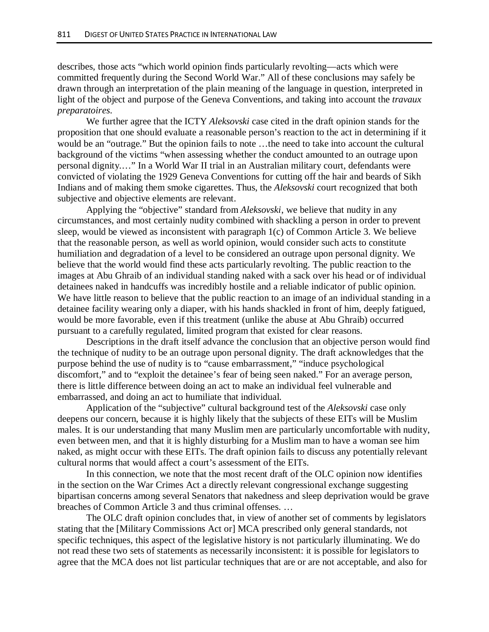describes, those acts "which world opinion finds particularly revolting—acts which were committed frequently during the Second World War." All of these conclusions may safely be drawn through an interpretation of the plain meaning of the language in question, interpreted in light of the object and purpose of the Geneva Conventions, and taking into account the *travaux preparatoires*.

We further agree that the ICTY *Aleksovski* case cited in the draft opinion stands for the proposition that one should evaluate a reasonable person's reaction to the act in determining if it would be an "outrage." But the opinion fails to note …the need to take into account the cultural background of the victims "when assessing whether the conduct amounted to an outrage upon personal dignity.…" In a World War II trial in an Australian military court, defendants were convicted of violating the 1929 Geneva Conventions for cutting off the hair and beards of Sikh Indians and of making them smoke cigarettes. Thus, the *Aleksovski* court recognized that both subjective and objective elements are relevant.

Applying the "objective" standard from *Aleksovski*, we believe that nudity in any circumstances, and most certainly nudity combined with shackling a person in order to prevent sleep, would be viewed as inconsistent with paragraph 1(c) of Common Article 3. We believe that the reasonable person, as well as world opinion, would consider such acts to constitute humiliation and degradation of a level to be considered an outrage upon personal dignity. We believe that the world would find these acts particularly revolting. The public reaction to the images at Abu Ghraib of an individual standing naked with a sack over his head or of individual detainees naked in handcuffs was incredibly hostile and a reliable indicator of public opinion. We have little reason to believe that the public reaction to an image of an individual standing in a detainee facility wearing only a diaper, with his hands shackled in front of him, deeply fatigued, would be more favorable, even if this treatment (unlike the abuse at Abu Ghraib) occurred pursuant to a carefully regulated, limited program that existed for clear reasons.

Descriptions in the draft itself advance the conclusion that an objective person would find the technique of nudity to be an outrage upon personal dignity. The draft acknowledges that the purpose behind the use of nudity is to "cause embarrassment," "induce psychological discomfort," and to "exploit the detainee's fear of being seen naked." For an average person, there is little difference between doing an act to make an individual feel vulnerable and embarrassed, and doing an act to humiliate that individual.

Application of the "subjective" cultural background test of the *Aleksovski* case only deepens our concern, because it is highly likely that the subjects of these EITs will be Muslim males. It is our understanding that many Muslim men are particularly uncomfortable with nudity, even between men, and that it is highly disturbing for a Muslim man to have a woman see him naked, as might occur with these EITs. The draft opinion fails to discuss any potentially relevant cultural norms that would affect a court's assessment of the EITs.

In this connection, we note that the most recent draft of the OLC opinion now identifies in the section on the War Crimes Act a directly relevant congressional exchange suggesting bipartisan concerns among several Senators that nakedness and sleep deprivation would be grave breaches of Common Article 3 and thus criminal offenses. …

The OLC draft opinion concludes that, in view of another set of comments by legislators stating that the [Military Commissions Act or] MCA prescribed only general standards, not specific techniques, this aspect of the legislative history is not particularly illuminating. We do not read these two sets of statements as necessarily inconsistent: it is possible for legislators to agree that the MCA does not list particular techniques that are or are not acceptable, and also for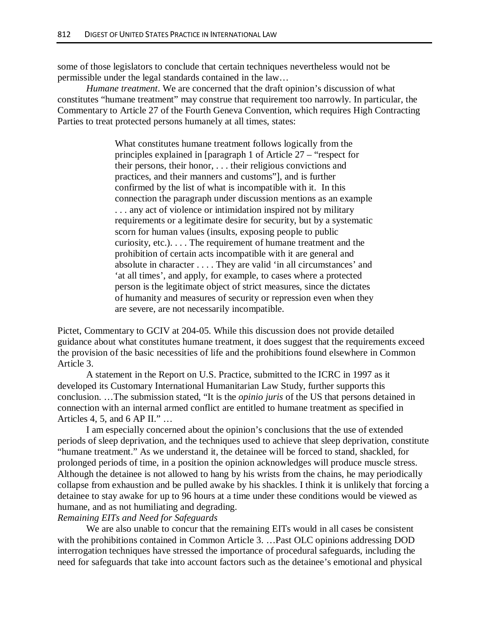some of those legislators to conclude that certain techniques nevertheless would not be permissible under the legal standards contained in the law…

*Humane treatment*. We are concerned that the draft opinion's discussion of what constitutes "humane treatment" may construe that requirement too narrowly. In particular, the Commentary to Article 27 of the Fourth Geneva Convention, which requires High Contracting Parties to treat protected persons humanely at all times, states:

> What constitutes humane treatment follows logically from the principles explained in [paragraph 1 of Article 27 – "respect for their persons, their honor, . . . their religious convictions and practices, and their manners and customs"], and is further confirmed by the list of what is incompatible with it. In this connection the paragraph under discussion mentions as an example . . . any act of violence or intimidation inspired not by military requirements or a legitimate desire for security, but by a systematic scorn for human values (insults, exposing people to public curiosity, etc.). . . . The requirement of humane treatment and the prohibition of certain acts incompatible with it are general and absolute in character . . . . They are valid 'in all circumstances' and 'at all times', and apply, for example, to cases where a protected person is the legitimate object of strict measures, since the dictates of humanity and measures of security or repression even when they are severe, are not necessarily incompatible.

Pictet, Commentary to GCIV at 204-05. While this discussion does not provide detailed guidance about what constitutes humane treatment, it does suggest that the requirements exceed the provision of the basic necessities of life and the prohibitions found elsewhere in Common Article 3.

A statement in the Report on U.S. Practice, submitted to the ICRC in 1997 as it developed its Customary International Humanitarian Law Study, further supports this conclusion. …The submission stated, "It is the *opinio juris* of the US that persons detained in connection with an internal armed conflict are entitled to humane treatment as specified in Articles 4, 5, and 6 AP II." …

I am especially concerned about the opinion's conclusions that the use of extended periods of sleep deprivation, and the techniques used to achieve that sleep deprivation, constitute "humane treatment." As we understand it, the detainee will be forced to stand, shackled, for prolonged periods of time, in a position the opinion acknowledges will produce muscle stress. Although the detainee is not allowed to hang by his wrists from the chains, he may periodically collapse from exhaustion and be pulled awake by his shackles. I think it is unlikely that forcing a detainee to stay awake for up to 96 hours at a time under these conditions would be viewed as humane, and as not humiliating and degrading.

# *Remaining EITs and Need for Safeguards*

We are also unable to concur that the remaining EITs would in all cases be consistent with the prohibitions contained in Common Article 3. …Past OLC opinions addressing DOD interrogation techniques have stressed the importance of procedural safeguards, including the need for safeguards that take into account factors such as the detainee's emotional and physical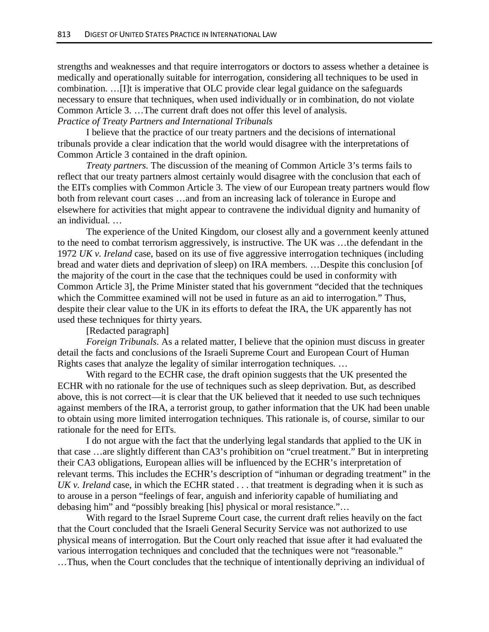strengths and weaknesses and that require interrogators or doctors to assess whether a detainee is medically and operationally suitable for interrogation, considering all techniques to be used in combination. …[I]t is imperative that OLC provide clear legal guidance on the safeguards necessary to ensure that techniques, when used individually or in combination, do not violate Common Article 3. …The current draft does not offer this level of analysis.

*Practice of Treaty Partners and International Tribunals*

I believe that the practice of our treaty partners and the decisions of international tribunals provide a clear indication that the world would disagree with the interpretations of Common Article 3 contained in the draft opinion.

*Treaty partners*. The discussion of the meaning of Common Article 3's terms fails to reflect that our treaty partners almost certainly would disagree with the conclusion that each of the EITs complies with Common Article 3. The view of our European treaty partners would flow both from relevant court cases …and from an increasing lack of tolerance in Europe and elsewhere for activities that might appear to contravene the individual dignity and humanity of an individual. …

The experience of the United Kingdom, our closest ally and a government keenly attuned to the need to combat terrorism aggressively, is instructive. The UK was …the defendant in the 1972 *UK v. Ireland* case, based on its use of five aggressive interrogation techniques (including bread and water diets and deprivation of sleep) on IRA members. …Despite this conclusion [of the majority of the court in the case that the techniques could be used in conformity with Common Article 3], the Prime Minister stated that his government "decided that the techniques which the Committee examined will not be used in future as an aid to interrogation." Thus, despite their clear value to the UK in its efforts to defeat the IRA, the UK apparently has not used these techniques for thirty years.

# [Redacted paragraph]

*Foreign Tribunals*. As a related matter, I believe that the opinion must discuss in greater detail the facts and conclusions of the Israeli Supreme Court and European Court of Human Rights cases that analyze the legality of similar interrogation techniques. …

With regard to the ECHR case, the draft opinion suggests that the UK presented the ECHR with no rationale for the use of techniques such as sleep deprivation. But, as described above, this is not correct—it is clear that the UK believed that it needed to use such techniques against members of the IRA, a terrorist group, to gather information that the UK had been unable to obtain using more limited interrogation techniques. This rationale is, of course, similar to our rationale for the need for EITs.

I do not argue with the fact that the underlying legal standards that applied to the UK in that case …are slightly different than CA3's prohibition on "cruel treatment." But in interpreting their CA3 obligations, European allies will be influenced by the ECHR's interpretation of relevant terms. This includes the ECHR's description of "inhuman or degrading treatment" in the *UK v. Ireland* case, in which the ECHR stated . . . that treatment is degrading when it is such as to arouse in a person "feelings of fear, anguish and inferiority capable of humiliating and debasing him" and "possibly breaking [his] physical or moral resistance."…

With regard to the Israel Supreme Court case, the current draft relies heavily on the fact that the Court concluded that the Israeli General Security Service was not authorized to use physical means of interrogation. But the Court only reached that issue after it had evaluated the various interrogation techniques and concluded that the techniques were not "reasonable." …Thus, when the Court concludes that the technique of intentionally depriving an individual of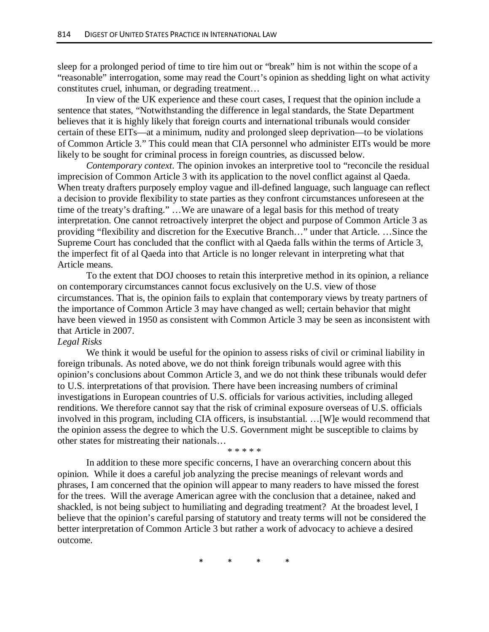sleep for a prolonged period of time to tire him out or "break" him is not within the scope of a "reasonable" interrogation, some may read the Court's opinion as shedding light on what activity constitutes cruel, inhuman, or degrading treatment…

In view of the UK experience and these court cases, I request that the opinion include a sentence that states, "Notwithstanding the difference in legal standards, the State Department believes that it is highly likely that foreign courts and international tribunals would consider certain of these EITs—at a minimum, nudity and prolonged sleep deprivation—to be violations of Common Article 3." This could mean that CIA personnel who administer EITs would be more likely to be sought for criminal process in foreign countries, as discussed below.

*Contemporary context*. The opinion invokes an interpretive tool to "reconcile the residual imprecision of Common Article 3 with its application to the novel conflict against al Qaeda. When treaty drafters purposely employ vague and ill-defined language, such language can reflect a decision to provide flexibility to state parties as they confront circumstances unforeseen at the time of the treaty's drafting." …We are unaware of a legal basis for this method of treaty interpretation. One cannot retroactively interpret the object and purpose of Common Article 3 as providing "flexibility and discretion for the Executive Branch…" under that Article. …Since the Supreme Court has concluded that the conflict with al Qaeda falls within the terms of Article 3, the imperfect fit of al Qaeda into that Article is no longer relevant in interpreting what that Article means.

To the extent that DOJ chooses to retain this interpretive method in its opinion, a reliance on contemporary circumstances cannot focus exclusively on the U.S. view of those circumstances. That is, the opinion fails to explain that contemporary views by treaty partners of the importance of Common Article 3 may have changed as well; certain behavior that might have been viewed in 1950 as consistent with Common Article 3 may be seen as inconsistent with that Article in 2007.

# *Legal Risks*

We think it would be useful for the opinion to assess risks of civil or criminal liability in foreign tribunals. As noted above, we do not think foreign tribunals would agree with this opinion's conclusions about Common Article 3, and we do not think these tribunals would defer to U.S. interpretations of that provision. There have been increasing numbers of criminal investigations in European countries of U.S. officials for various activities, including alleged renditions. We therefore cannot say that the risk of criminal exposure overseas of U.S. officials involved in this program, including CIA officers, is insubstantial. …[W]e would recommend that the opinion assess the degree to which the U.S. Government might be susceptible to claims by other states for mistreating their nationals…

\* \* \* \* \*

In addition to these more specific concerns, I have an overarching concern about this opinion. While it does a careful job analyzing the precise meanings of relevant words and phrases, I am concerned that the opinion will appear to many readers to have missed the forest for the trees. Will the average American agree with the conclusion that a detainee, naked and shackled, is not being subject to humiliating and degrading treatment? At the broadest level, I believe that the opinion's careful parsing of statutory and treaty terms will not be considered the better interpretation of Common Article 3 but rather a work of advocacy to achieve a desired outcome.

\* \* \* \*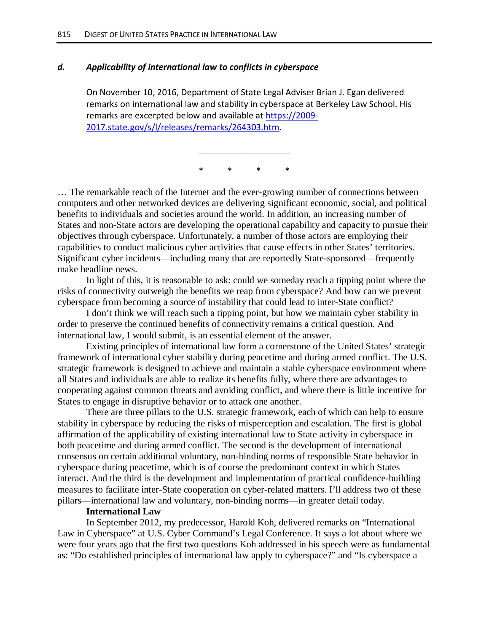#### <span id="page-32-0"></span>*d. Applicability of international law to conflicts in cyberspace*

On November 10, 2016, Department of State Legal Adviser Brian J. Egan delivered remarks on international law and stability in cyberspace at Berkeley Law School. His remarks are excerpted below and available at [https://2009-](https://2009-2017.state.gov/s/l/releases/remarks/264303.htm) [2017.state.gov/s/l/releases/remarks/264303.htm.](https://2009-2017.state.gov/s/l/releases/remarks/264303.htm)

\* \* \* \*

\_\_\_\_\_\_\_\_\_\_\_\_\_\_\_\_\_\_\_

… The remarkable reach of the Internet and the ever-growing number of connections between computers and other networked devices are delivering significant economic, social, and political benefits to individuals and societies around the world. In addition, an increasing number of States and non-State actors are developing the operational capability and capacity to pursue their objectives through cyberspace. Unfortunately, a number of those actors are employing their capabilities to conduct malicious cyber activities that cause effects in other States' territories. Significant cyber incidents—including many that are reportedly State-sponsored—frequently make headline news.

In light of this, it is reasonable to ask: could we someday reach a tipping point where the risks of connectivity outweigh the benefits we reap from cyberspace? And how can we prevent cyberspace from becoming a source of instability that could lead to inter-State conflict?

I don't think we will reach such a tipping point, but how we maintain cyber stability in order to preserve the continued benefits of connectivity remains a critical question. And international law, I would submit, is an essential element of the answer.

Existing principles of international law form a cornerstone of the United States' strategic framework of international cyber stability during peacetime and during armed conflict. The U.S. strategic framework is designed to achieve and maintain a stable cyberspace environment where all States and individuals are able to realize its benefits fully, where there are advantages to cooperating against common threats and avoiding conflict, and where there is little incentive for States to engage in disruptive behavior or to attack one another.

There are three pillars to the U.S. strategic framework, each of which can help to ensure stability in cyberspace by reducing the risks of misperception and escalation. The first is global affirmation of the applicability of existing international law to State activity in cyberspace in both peacetime and during armed conflict. The second is the development of international consensus on certain additional voluntary, non-binding norms of responsible State behavior in cyberspace during peacetime, which is of course the predominant context in which States interact. And the third is the development and implementation of practical confidence-building measures to facilitate inter-State cooperation on cyber-related matters. I'll address two of these pillars—international law and voluntary, non-binding norms—in greater detail today.

### **International Law**

In September 2012, my predecessor, Harold Koh, delivered remarks on "International Law in Cyberspace" at U.S. Cyber Command's Legal Conference. It says a lot about where we were four years ago that the first two questions Koh addressed in his speech were as fundamental as: "Do established principles of international law apply to cyberspace?" and "Is cyberspace a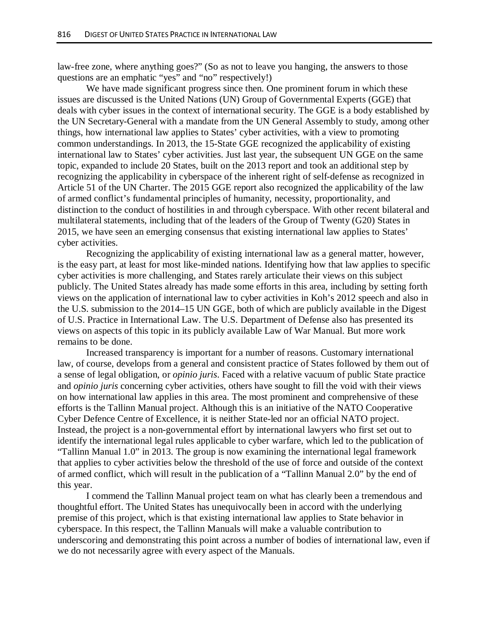law-free zone, where anything goes?" (So as not to leave you hanging, the answers to those questions are an emphatic "yes" and "no" respectively!)

We have made significant progress since then. One prominent forum in which these issues are discussed is the United Nations (UN) Group of Governmental Experts (GGE) that deals with cyber issues in the context of international security. The GGE is a body established by the UN Secretary-General with a mandate from the UN General Assembly to study, among other things, how international law applies to States' cyber activities, with a view to promoting common understandings. In 2013, the 15-State GGE recognized the applicability of existing international law to States' cyber activities. Just last year, the subsequent UN GGE on the same topic, expanded to include 20 States, built on the 2013 report and took an additional step by recognizing the applicability in cyberspace of the inherent right of self-defense as recognized in Article 51 of the UN Charter. The 2015 GGE report also recognized the applicability of the law of armed conflict's fundamental principles of humanity, necessity, proportionality, and distinction to the conduct of hostilities in and through cyberspace. With other recent bilateral and multilateral statements, including that of the leaders of the Group of Twenty (G20) States in 2015, we have seen an emerging consensus that existing international law applies to States' cyber activities.

Recognizing the applicability of existing international law as a general matter, however, is the easy part, at least for most like-minded nations. Identifying how that law applies to specific cyber activities is more challenging, and States rarely articulate their views on this subject publicly. The United States already has made some efforts in this area, including by setting forth views on the application of international law to cyber activities in Koh's 2012 speech and also in the U.S. submission to the 2014–15 UN GGE, both of which are publicly available in the Digest of U.S. Practice in International Law. The U.S. Department of Defense also has presented its views on aspects of this topic in its publicly available Law of War Manual. But more work remains to be done.

Increased transparency is important for a number of reasons. Customary international law, of course, develops from a general and consistent practice of States followed by them out of a sense of legal obligation, or *opinio juris*. Faced with a relative vacuum of public State practice and *opinio juris* concerning cyber activities, others have sought to fill the void with their views on how international law applies in this area. The most prominent and comprehensive of these efforts is the Tallinn Manual project. Although this is an initiative of the NATO Cooperative Cyber Defence Centre of Excellence, it is neither State-led nor an official NATO project. Instead, the project is a non-governmental effort by international lawyers who first set out to identify the international legal rules applicable to cyber warfare, which led to the publication of "Tallinn Manual 1.0" in 2013. The group is now examining the international legal framework that applies to cyber activities below the threshold of the use of force and outside of the context of armed conflict, which will result in the publication of a "Tallinn Manual 2.0" by the end of this year.

I commend the Tallinn Manual project team on what has clearly been a tremendous and thoughtful effort. The United States has unequivocally been in accord with the underlying premise of this project, which is that existing international law applies to State behavior in cyberspace. In this respect, the Tallinn Manuals will make a valuable contribution to underscoring and demonstrating this point across a number of bodies of international law, even if we do not necessarily agree with every aspect of the Manuals.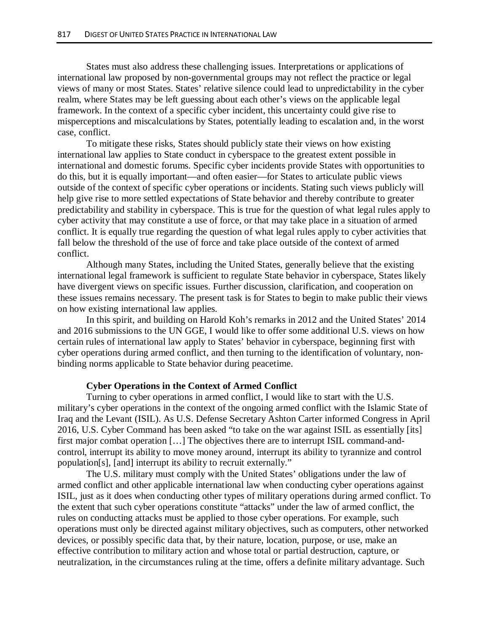States must also address these challenging issues. Interpretations or applications of international law proposed by non-governmental groups may not reflect the practice or legal views of many or most States. States' relative silence could lead to unpredictability in the cyber realm, where States may be left guessing about each other's views on the applicable legal framework. In the context of a specific cyber incident, this uncertainty could give rise to misperceptions and miscalculations by States, potentially leading to escalation and, in the worst case, conflict.

To mitigate these risks, States should publicly state their views on how existing international law applies to State conduct in cyberspace to the greatest extent possible in international and domestic forums. Specific cyber incidents provide States with opportunities to do this, but it is equally important—and often easier—for States to articulate public views outside of the context of specific cyber operations or incidents. Stating such views publicly will help give rise to more settled expectations of State behavior and thereby contribute to greater predictability and stability in cyberspace. This is true for the question of what legal rules apply to cyber activity that may constitute a use of force, or that may take place in a situation of armed conflict. It is equally true regarding the question of what legal rules apply to cyber activities that fall below the threshold of the use of force and take place outside of the context of armed conflict.

Although many States, including the United States, generally believe that the existing international legal framework is sufficient to regulate State behavior in cyberspace, States likely have divergent views on specific issues. Further discussion, clarification, and cooperation on these issues remains necessary. The present task is for States to begin to make public their views on how existing international law applies.

In this spirit, and building on Harold Koh's remarks in 2012 and the United States' 2014 and 2016 submissions to the UN GGE, I would like to offer some additional U.S. views on how certain rules of international law apply to States' behavior in cyberspace, beginning first with cyber operations during armed conflict, and then turning to the identification of voluntary, nonbinding norms applicable to State behavior during peacetime.

#### **Cyber Operations in the Context of Armed Conflict**

Turning to cyber operations in armed conflict, I would like to start with the U.S. military's cyber operations in the context of the ongoing armed conflict with the Islamic State of Iraq and the Levant (ISIL). As U.S. Defense Secretary Ashton Carter informed Congress in April 2016, U.S. Cyber Command has been asked "to take on the war against ISIL as essentially [its] first major combat operation […] The objectives there are to interrupt ISIL command-andcontrol, interrupt its ability to move money around, interrupt its ability to tyrannize and control population[s], [and] interrupt its ability to recruit externally."

The U.S. military must comply with the United States' obligations under the law of armed conflict and other applicable international law when conducting cyber operations against ISIL, just as it does when conducting other types of military operations during armed conflict. To the extent that such cyber operations constitute "attacks" under the law of armed conflict, the rules on conducting attacks must be applied to those cyber operations. For example, such operations must only be directed against military objectives, such as computers, other networked devices, or possibly specific data that, by their nature, location, purpose, or use, make an effective contribution to military action and whose total or partial destruction, capture, or neutralization, in the circumstances ruling at the time, offers a definite military advantage. Such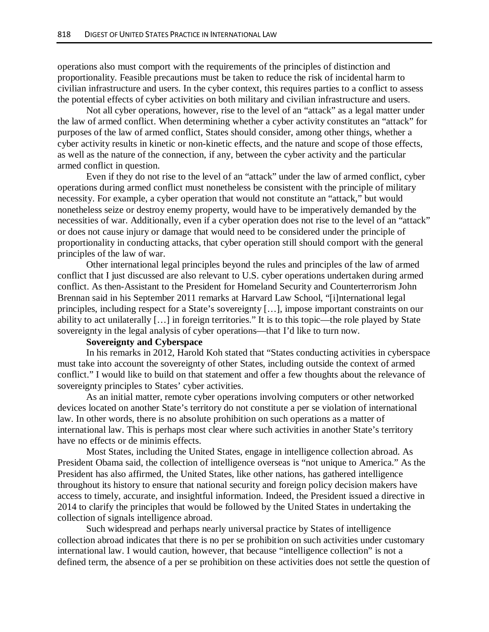operations also must comport with the requirements of the principles of distinction and proportionality. Feasible precautions must be taken to reduce the risk of incidental harm to civilian infrastructure and users. In the cyber context, this requires parties to a conflict to assess the potential effects of cyber activities on both military and civilian infrastructure and users.

Not all cyber operations, however, rise to the level of an "attack" as a legal matter under the law of armed conflict. When determining whether a cyber activity constitutes an "attack" for purposes of the law of armed conflict, States should consider, among other things, whether a cyber activity results in kinetic or non-kinetic effects, and the nature and scope of those effects, as well as the nature of the connection, if any, between the cyber activity and the particular armed conflict in question.

Even if they do not rise to the level of an "attack" under the law of armed conflict, cyber operations during armed conflict must nonetheless be consistent with the principle of military necessity. For example, a cyber operation that would not constitute an "attack," but would nonetheless seize or destroy enemy property, would have to be imperatively demanded by the necessities of war. Additionally, even if a cyber operation does not rise to the level of an "attack" or does not cause injury or damage that would need to be considered under the principle of proportionality in conducting attacks, that cyber operation still should comport with the general principles of the law of war.

Other international legal principles beyond the rules and principles of the law of armed conflict that I just discussed are also relevant to U.S. cyber operations undertaken during armed conflict. As then-Assistant to the President for Homeland Security and Counterterrorism John Brennan said in his September 2011 remarks at Harvard Law School, "[i]nternational legal principles, including respect for a State's sovereignty […], impose important constraints on our ability to act unilaterally […] in foreign territories." It is to this topic—the role played by State sovereignty in the legal analysis of cyber operations—that I'd like to turn now.

## **Sovereignty and Cyberspace**

In his remarks in 2012, Harold Koh stated that "States conducting activities in cyberspace must take into account the sovereignty of other States, including outside the context of armed conflict." I would like to build on that statement and offer a few thoughts about the relevance of sovereignty principles to States' cyber activities.

As an initial matter, remote cyber operations involving computers or other networked devices located on another State's territory do not constitute a per se violation of international law. In other words, there is no absolute prohibition on such operations as a matter of international law. This is perhaps most clear where such activities in another State's territory have no effects or de minimis effects.

Most States, including the United States, engage in intelligence collection abroad. As President Obama said, the collection of intelligence overseas is "not unique to America." As the President has also affirmed, the United States, like other nations, has gathered intelligence throughout its history to ensure that national security and foreign policy decision makers have access to timely, accurate, and insightful information. Indeed, the President issued a directive in 2014 to clarify the principles that would be followed by the United States in undertaking the collection of signals intelligence abroad.

Such widespread and perhaps nearly universal practice by States of intelligence collection abroad indicates that there is no per se prohibition on such activities under customary international law. I would caution, however, that because "intelligence collection" is not a defined term, the absence of a per se prohibition on these activities does not settle the question of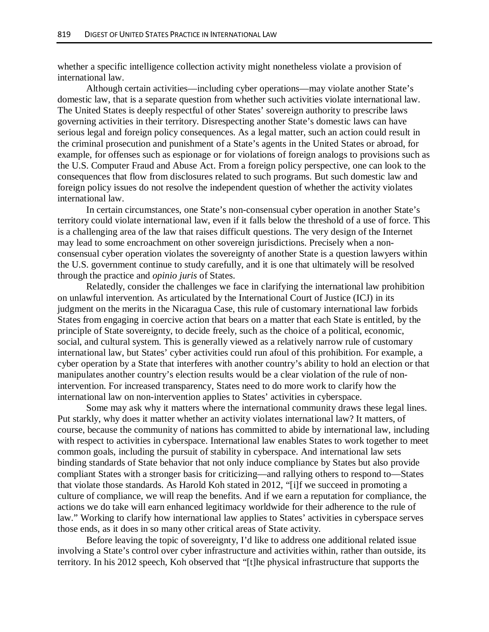whether a specific intelligence collection activity might nonetheless violate a provision of international law.

Although certain activities—including cyber operations—may violate another State's domestic law, that is a separate question from whether such activities violate international law. The United States is deeply respectful of other States' sovereign authority to prescribe laws governing activities in their territory. Disrespecting another State's domestic laws can have serious legal and foreign policy consequences. As a legal matter, such an action could result in the criminal prosecution and punishment of a State's agents in the United States or abroad, for example, for offenses such as espionage or for violations of foreign analogs to provisions such as the U.S. Computer Fraud and Abuse Act. From a foreign policy perspective, one can look to the consequences that flow from disclosures related to such programs. But such domestic law and foreign policy issues do not resolve the independent question of whether the activity violates international law.

In certain circumstances, one State's non-consensual cyber operation in another State's territory could violate international law, even if it falls below the threshold of a use of force. This is a challenging area of the law that raises difficult questions. The very design of the Internet may lead to some encroachment on other sovereign jurisdictions. Precisely when a nonconsensual cyber operation violates the sovereignty of another State is a question lawyers within the U.S. government continue to study carefully, and it is one that ultimately will be resolved through the practice and *opinio juris* of States.

Relatedly, consider the challenges we face in clarifying the international law prohibition on unlawful intervention. As articulated by the International Court of Justice (ICJ) in its judgment on the merits in the Nicaragua Case, this rule of customary international law forbids States from engaging in coercive action that bears on a matter that each State is entitled, by the principle of State sovereignty, to decide freely, such as the choice of a political, economic, social, and cultural system. This is generally viewed as a relatively narrow rule of customary international law, but States' cyber activities could run afoul of this prohibition. For example, a cyber operation by a State that interferes with another country's ability to hold an election or that manipulates another country's election results would be a clear violation of the rule of nonintervention. For increased transparency, States need to do more work to clarify how the international law on non-intervention applies to States' activities in cyberspace.

Some may ask why it matters where the international community draws these legal lines. Put starkly, why does it matter whether an activity violates international law? It matters, of course, because the community of nations has committed to abide by international law, including with respect to activities in cyberspace. International law enables States to work together to meet common goals, including the pursuit of stability in cyberspace. And international law sets binding standards of State behavior that not only induce compliance by States but also provide compliant States with a stronger basis for criticizing—and rallying others to respond to—States that violate those standards. As Harold Koh stated in 2012, "[i]f we succeed in promoting a culture of compliance, we will reap the benefits. And if we earn a reputation for compliance, the actions we do take will earn enhanced legitimacy worldwide for their adherence to the rule of law." Working to clarify how international law applies to States' activities in cyberspace serves those ends, as it does in so many other critical areas of State activity.

Before leaving the topic of sovereignty, I'd like to address one additional related issue involving a State's control over cyber infrastructure and activities within, rather than outside, its territory. In his 2012 speech, Koh observed that "[t]he physical infrastructure that supports the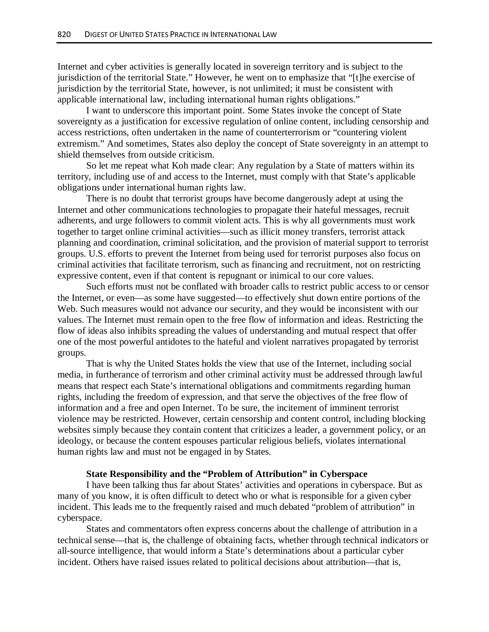Internet and cyber activities is generally located in sovereign territory and is subject to the jurisdiction of the territorial State." However, he went on to emphasize that "[t]he exercise of jurisdiction by the territorial State, however, is not unlimited; it must be consistent with applicable international law, including international human rights obligations."

I want to underscore this important point. Some States invoke the concept of State sovereignty as a justification for excessive regulation of online content, including censorship and access restrictions, often undertaken in the name of counterterrorism or "countering violent extremism." And sometimes, States also deploy the concept of State sovereignty in an attempt to shield themselves from outside criticism.

So let me repeat what Koh made clear: Any regulation by a State of matters within its territory, including use of and access to the Internet, must comply with that State's applicable obligations under international human rights law.

There is no doubt that terrorist groups have become dangerously adept at using the Internet and other communications technologies to propagate their hateful messages, recruit adherents, and urge followers to commit violent acts. This is why all governments must work together to target online criminal activities—such as illicit money transfers, terrorist attack planning and coordination, criminal solicitation, and the provision of material support to terrorist groups. U.S. efforts to prevent the Internet from being used for terrorist purposes also focus on criminal activities that facilitate terrorism, such as financing and recruitment, not on restricting expressive content, even if that content is repugnant or inimical to our core values.

Such efforts must not be conflated with broader calls to restrict public access to or censor the Internet, or even—as some have suggested—to effectively shut down entire portions of the Web. Such measures would not advance our security, and they would be inconsistent with our values. The Internet must remain open to the free flow of information and ideas. Restricting the flow of ideas also inhibits spreading the values of understanding and mutual respect that offer one of the most powerful antidotes to the hateful and violent narratives propagated by terrorist groups.

That is why the United States holds the view that use of the Internet, including social media, in furtherance of terrorism and other criminal activity must be addressed through lawful means that respect each State's international obligations and commitments regarding human rights, including the freedom of expression, and that serve the objectives of the free flow of information and a free and open Internet. To be sure, the incitement of imminent terrorist violence may be restricted. However, certain censorship and content control, including blocking websites simply because they contain content that criticizes a leader, a government policy, or an ideology, or because the content espouses particular religious beliefs, violates international human rights law and must not be engaged in by States.

#### **State Responsibility and the "Problem of Attribution" in Cyberspace**

I have been talking thus far about States' activities and operations in cyberspace. But as many of you know, it is often difficult to detect who or what is responsible for a given cyber incident. This leads me to the frequently raised and much debated "problem of attribution" in cyberspace.

States and commentators often express concerns about the challenge of attribution in a technical sense—that is, the challenge of obtaining facts, whether through technical indicators or all-source intelligence, that would inform a State's determinations about a particular cyber incident. Others have raised issues related to political decisions about attribution—that is,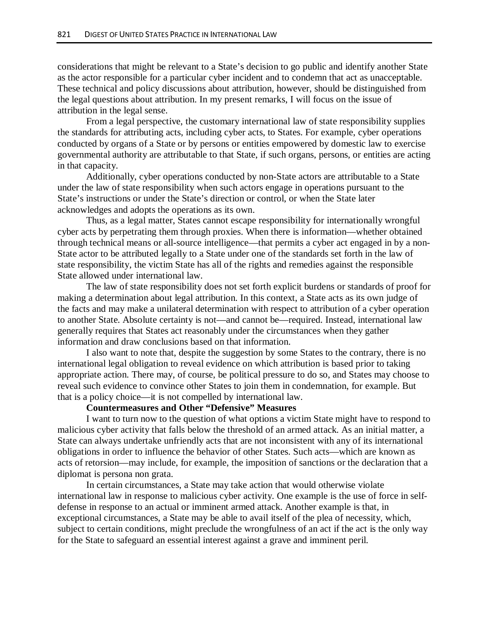considerations that might be relevant to a State's decision to go public and identify another State as the actor responsible for a particular cyber incident and to condemn that act as unacceptable. These technical and policy discussions about attribution, however, should be distinguished from the legal questions about attribution. In my present remarks, I will focus on the issue of attribution in the legal sense.

From a legal perspective, the customary international law of state responsibility supplies the standards for attributing acts, including cyber acts, to States. For example, cyber operations conducted by organs of a State or by persons or entities empowered by domestic law to exercise governmental authority are attributable to that State, if such organs, persons, or entities are acting in that capacity.

Additionally, cyber operations conducted by non-State actors are attributable to a State under the law of state responsibility when such actors engage in operations pursuant to the State's instructions or under the State's direction or control, or when the State later acknowledges and adopts the operations as its own.

Thus, as a legal matter, States cannot escape responsibility for internationally wrongful cyber acts by perpetrating them through proxies. When there is information—whether obtained through technical means or all-source intelligence—that permits a cyber act engaged in by a non-State actor to be attributed legally to a State under one of the standards set forth in the law of state responsibility, the victim State has all of the rights and remedies against the responsible State allowed under international law.

The law of state responsibility does not set forth explicit burdens or standards of proof for making a determination about legal attribution. In this context, a State acts as its own judge of the facts and may make a unilateral determination with respect to attribution of a cyber operation to another State. Absolute certainty is not—and cannot be—required. Instead, international law generally requires that States act reasonably under the circumstances when they gather information and draw conclusions based on that information.

I also want to note that, despite the suggestion by some States to the contrary, there is no international legal obligation to reveal evidence on which attribution is based prior to taking appropriate action. There may, of course, be political pressure to do so, and States may choose to reveal such evidence to convince other States to join them in condemnation, for example. But that is a policy choice—it is not compelled by international law.

# **Countermeasures and Other "Defensive" Measures**

I want to turn now to the question of what options a victim State might have to respond to malicious cyber activity that falls below the threshold of an armed attack. As an initial matter, a State can always undertake unfriendly acts that are not inconsistent with any of its international obligations in order to influence the behavior of other States. Such acts—which are known as acts of retorsion—may include, for example, the imposition of sanctions or the declaration that a diplomat is persona non grata.

In certain circumstances, a State may take action that would otherwise violate international law in response to malicious cyber activity. One example is the use of force in selfdefense in response to an actual or imminent armed attack. Another example is that, in exceptional circumstances, a State may be able to avail itself of the plea of necessity, which, subject to certain conditions, might preclude the wrongfulness of an act if the act is the only way for the State to safeguard an essential interest against a grave and imminent peril.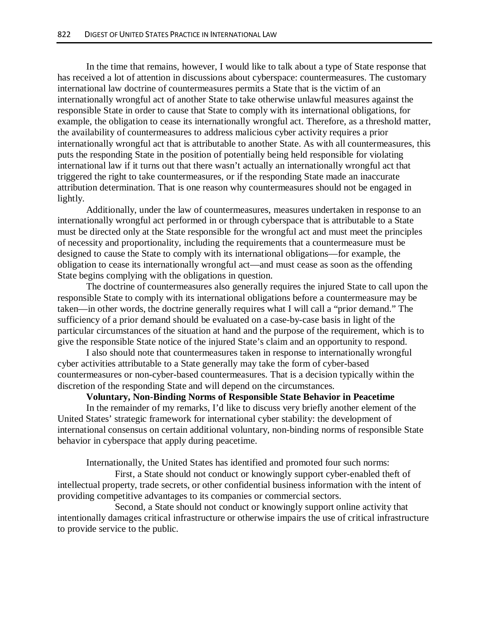In the time that remains, however, I would like to talk about a type of State response that has received a lot of attention in discussions about cyberspace: countermeasures. The customary international law doctrine of countermeasures permits a State that is the victim of an internationally wrongful act of another State to take otherwise unlawful measures against the responsible State in order to cause that State to comply with its international obligations, for example, the obligation to cease its internationally wrongful act. Therefore, as a threshold matter, the availability of countermeasures to address malicious cyber activity requires a prior internationally wrongful act that is attributable to another State. As with all countermeasures, this puts the responding State in the position of potentially being held responsible for violating international law if it turns out that there wasn't actually an internationally wrongful act that triggered the right to take countermeasures, or if the responding State made an inaccurate attribution determination. That is one reason why countermeasures should not be engaged in lightly.

Additionally, under the law of countermeasures, measures undertaken in response to an internationally wrongful act performed in or through cyberspace that is attributable to a State must be directed only at the State responsible for the wrongful act and must meet the principles of necessity and proportionality, including the requirements that a countermeasure must be designed to cause the State to comply with its international obligations—for example, the obligation to cease its internationally wrongful act—and must cease as soon as the offending State begins complying with the obligations in question.

The doctrine of countermeasures also generally requires the injured State to call upon the responsible State to comply with its international obligations before a countermeasure may be taken—in other words, the doctrine generally requires what I will call a "prior demand." The sufficiency of a prior demand should be evaluated on a case-by-case basis in light of the particular circumstances of the situation at hand and the purpose of the requirement, which is to give the responsible State notice of the injured State's claim and an opportunity to respond.

I also should note that countermeasures taken in response to internationally wrongful cyber activities attributable to a State generally may take the form of cyber-based countermeasures or non-cyber-based countermeasures. That is a decision typically within the discretion of the responding State and will depend on the circumstances.

# **Voluntary, Non-Binding Norms of Responsible State Behavior in Peacetime**

In the remainder of my remarks, I'd like to discuss very briefly another element of the United States' strategic framework for international cyber stability: the development of international consensus on certain additional voluntary, non-binding norms of responsible State behavior in cyberspace that apply during peacetime.

Internationally, the United States has identified and promoted four such norms:

First, a State should not conduct or knowingly support cyber-enabled theft of intellectual property, trade secrets, or other confidential business information with the intent of providing competitive advantages to its companies or commercial sectors.

Second, a State should not conduct or knowingly support online activity that intentionally damages critical infrastructure or otherwise impairs the use of critical infrastructure to provide service to the public.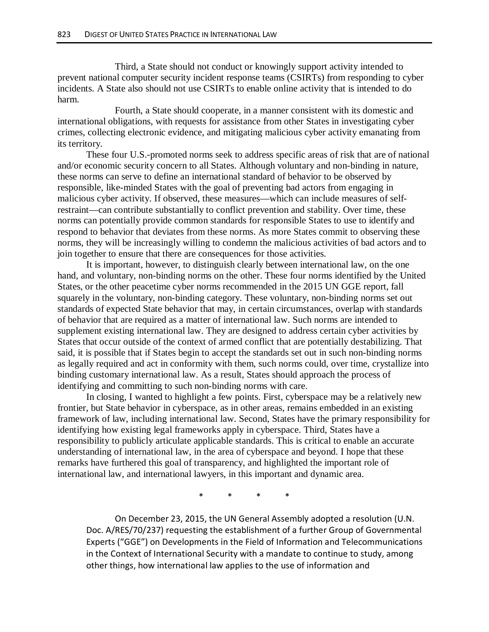Third, a State should not conduct or knowingly support activity intended to prevent national computer security incident response teams (CSIRTs) from responding to cyber incidents. A State also should not use CSIRTs to enable online activity that is intended to do harm.

Fourth, a State should cooperate, in a manner consistent with its domestic and international obligations, with requests for assistance from other States in investigating cyber crimes, collecting electronic evidence, and mitigating malicious cyber activity emanating from its territory.

These four U.S.-promoted norms seek to address specific areas of risk that are of national and/or economic security concern to all States. Although voluntary and non-binding in nature, these norms can serve to define an international standard of behavior to be observed by responsible, like-minded States with the goal of preventing bad actors from engaging in malicious cyber activity. If observed, these measures—which can include measures of selfrestraint—can contribute substantially to conflict prevention and stability. Over time, these norms can potentially provide common standards for responsible States to use to identify and respond to behavior that deviates from these norms. As more States commit to observing these norms, they will be increasingly willing to condemn the malicious activities of bad actors and to join together to ensure that there are consequences for those activities.

It is important, however, to distinguish clearly between international law, on the one hand, and voluntary, non-binding norms on the other. These four norms identified by the United States, or the other peacetime cyber norms recommended in the 2015 UN GGE report, fall squarely in the voluntary, non-binding category. These voluntary, non-binding norms set out standards of expected State behavior that may, in certain circumstances, overlap with standards of behavior that are required as a matter of international law. Such norms are intended to supplement existing international law. They are designed to address certain cyber activities by States that occur outside of the context of armed conflict that are potentially destabilizing. That said, it is possible that if States begin to accept the standards set out in such non-binding norms as legally required and act in conformity with them, such norms could, over time, crystallize into binding customary international law. As a result, States should approach the process of identifying and committing to such non-binding norms with care.

In closing, I wanted to highlight a few points. First, cyberspace may be a relatively new frontier, but State behavior in cyberspace, as in other areas, remains embedded in an existing framework of law, including international law. Second, States have the primary responsibility for identifying how existing legal frameworks apply in cyberspace. Third, States have a responsibility to publicly articulate applicable standards. This is critical to enable an accurate understanding of international law, in the area of cyberspace and beyond. I hope that these remarks have furthered this goal of transparency, and highlighted the important role of international law, and international lawyers, in this important and dynamic area.

\* \* \* \*

On December 23, 2015, the UN General Assembly adopted a resolution (U.N. Doc. A/RES/70/237) requesting the establishment of a further Group of Governmental Experts ("GGE") on Developments in the Field of Information and Telecommunications in the Context of International Security with a mandate to continue to study, among other things, how international law applies to the use of information and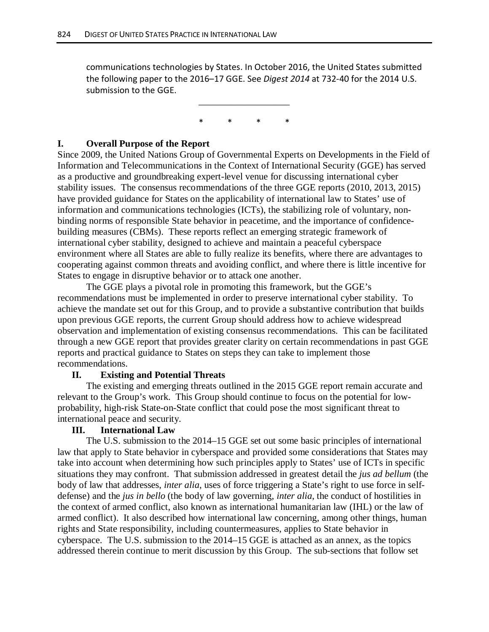communications technologies by States. In October 2016, the United States submitted the following paper to the 2016–17 GGE. See *Digest 2014* at 732-40 for the 2014 U.S. submission to the GGE.

\* \* \* \*

\_\_\_\_\_\_\_\_\_\_\_\_\_\_\_\_\_\_\_

# **I. Overall Purpose of the Report**

Since 2009, the United Nations Group of Governmental Experts on Developments in the Field of Information and Telecommunications in the Context of International Security (GGE) has served as a productive and groundbreaking expert-level venue for discussing international cyber stability issues. The consensus recommendations of the three GGE reports (2010, 2013, 2015) have provided guidance for States on the applicability of international law to States' use of information and communications technologies (ICTs), the stabilizing role of voluntary, nonbinding norms of responsible State behavior in peacetime, and the importance of confidencebuilding measures (CBMs). These reports reflect an emerging strategic framework of international cyber stability, designed to achieve and maintain a peaceful cyberspace environment where all States are able to fully realize its benefits, where there are advantages to cooperating against common threats and avoiding conflict, and where there is little incentive for States to engage in disruptive behavior or to attack one another.

The GGE plays a pivotal role in promoting this framework, but the GGE's recommendations must be implemented in order to preserve international cyber stability. To achieve the mandate set out for this Group, and to provide a substantive contribution that builds upon previous GGE reports, the current Group should address how to achieve widespread observation and implementation of existing consensus recommendations. This can be facilitated through a new GGE report that provides greater clarity on certain recommendations in past GGE reports and practical guidance to States on steps they can take to implement those recommendations.

## **II. Existing and Potential Threats**

The existing and emerging threats outlined in the 2015 GGE report remain accurate and relevant to the Group's work. This Group should continue to focus on the potential for lowprobability, high-risk State-on-State conflict that could pose the most significant threat to international peace and security.

# **III. International Law**

The U.S. submission to the 2014–15 GGE set out some basic principles of international law that apply to State behavior in cyberspace and provided some considerations that States may take into account when determining how such principles apply to States' use of ICTs in specific situations they may confront. That submission addressed in greatest detail the *jus ad bellum* (the body of law that addresses, *inter alia*, uses of force triggering a State's right to use force in selfdefense) and the *jus in bello* (the body of law governing, *inter alia*, the conduct of hostilities in the context of armed conflict, also known as international humanitarian law (IHL) or the law of armed conflict). It also described how international law concerning, among other things, human rights and State responsibility, including countermeasures, applies to State behavior in cyberspace. The U.S. submission to the 2014–15 GGE is attached as an annex, as the topics addressed therein continue to merit discussion by this Group. The sub-sections that follow set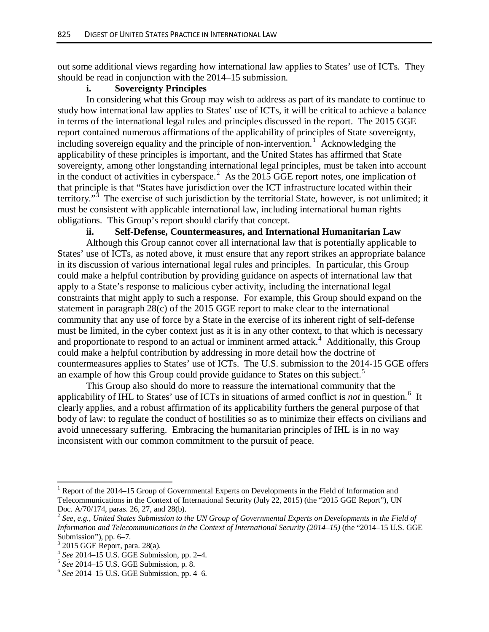out some additional views regarding how international law applies to States' use of ICTs. They should be read in conjunction with the 2014–15 submission.

# **i. Sovereignty Principles**

In considering what this Group may wish to address as part of its mandate to continue to study how international law applies to States' use of ICTs, it will be critical to achieve a balance in terms of the international legal rules and principles discussed in the report. The 2015 GGE report contained numerous affirmations of the applicability of principles of State sovereignty, including sovereign equality and the principle of non-intervention.<sup>[1](#page-42-0)</sup> Acknowledging the applicability of these principles is important, and the United States has affirmed that State sovereignty, among other longstanding international legal principles, must be taken into account in the conduct of activities in cyberspace.<sup>[2](#page-42-1)</sup> As the 2015 GGE report notes, one implication of that principle is that "States have jurisdiction over the ICT infrastructure located within their territory."<sup>[3](#page-42-2)</sup> The exercise of such jurisdiction by the territorial State, however, is not unlimited; it must be consistent with applicable international law, including international human rights obligations. This Group's report should clarify that concept.

### **ii. Self-Defense, Countermeasures, and International Humanitarian Law**

Although this Group cannot cover all international law that is potentially applicable to States' use of ICTs, as noted above, it must ensure that any report strikes an appropriate balance in its discussion of various international legal rules and principles. In particular, this Group could make a helpful contribution by providing guidance on aspects of international law that apply to a State's response to malicious cyber activity, including the international legal constraints that might apply to such a response. For example, this Group should expand on the statement in paragraph 28(c) of the 2015 GGE report to make clear to the international community that any use of force by a State in the exercise of its inherent right of self-defense must be limited, in the cyber context just as it is in any other context, to that which is necessary and proportionate to respond to an actual or imminent armed attack.<sup>[4](#page-42-3)</sup> Additionally, this Group could make a helpful contribution by addressing in more detail how the doctrine of countermeasures applies to States' use of ICTs. The U.S. submission to the 2014-15 GGE offers an example of how this Group could provide guidance to States on this subject.<sup>[5](#page-42-4)</sup>

This Group also should do more to reassure the international community that the applicability of IHL to States' use of ICTs in situations of armed conflict is *not* in question.<sup>[6](#page-42-5)</sup> It clearly applies, and a robust affirmation of its applicability furthers the general purpose of that body of law: to regulate the conduct of hostilities so as to minimize their effects on civilians and avoid unnecessary suffering. Embracing the humanitarian principles of IHL is in no way inconsistent with our common commitment to the pursuit of peace.

<span id="page-42-0"></span><sup>&</sup>lt;sup>1</sup> Report of the 2014–15 Group of Governmental Experts on Developments in the Field of Information and Telecommunications in the Context of International Security (July 22, 2015) (the "2015 GGE Report"), UN Doc. A/70/174, paras. 26, 27, and 28(b).

<span id="page-42-1"></span><sup>&</sup>lt;sup>2</sup> See, e.g., *United States Submission to the UN Group of Governmental Experts on Developments in the Field of Information and Telecommunications in the Context of International Security (2014–15)* (the "2014–15 U.S. GGE Submission"), pp. 6–7.<br><sup>3</sup> 2015 GGE Report, para. 28(a).<br><sup>4</sup> *See* 2014–15 U.S. GGE Submission, pp. 2–4.

<span id="page-42-2"></span>

<span id="page-42-5"></span><span id="page-42-4"></span><span id="page-42-3"></span><sup>&</sup>lt;sup>5</sup> See 2014–15 U.S. GGE Submission, p. 8. <sup>6</sup> See 2014–15 U.S. GGE Submission, pp. 4–6.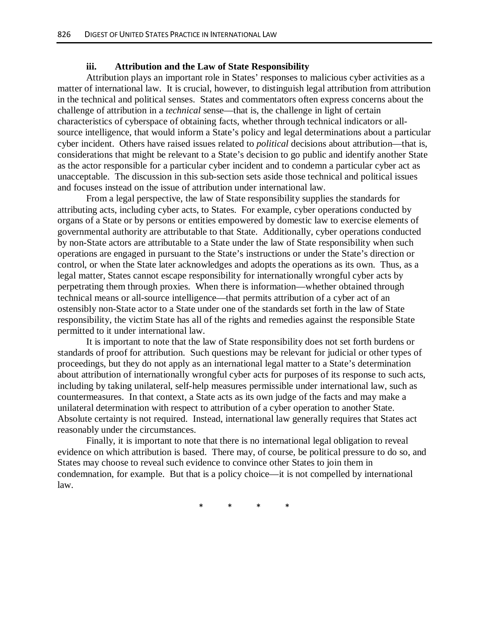### **iii. Attribution and the Law of State Responsibility**

Attribution plays an important role in States' responses to malicious cyber activities as a matter of international law. It is crucial, however, to distinguish legal attribution from attribution in the technical and political senses. States and commentators often express concerns about the challenge of attribution in a *technical* sense—that is, the challenge in light of certain characteristics of cyberspace of obtaining facts, whether through technical indicators or allsource intelligence, that would inform a State's policy and legal determinations about a particular cyber incident. Others have raised issues related to *political* decisions about attribution—that is, considerations that might be relevant to a State's decision to go public and identify another State as the actor responsible for a particular cyber incident and to condemn a particular cyber act as unacceptable. The discussion in this sub-section sets aside those technical and political issues and focuses instead on the issue of attribution under international law.

From a legal perspective, the law of State responsibility supplies the standards for attributing acts, including cyber acts, to States. For example, cyber operations conducted by organs of a State or by persons or entities empowered by domestic law to exercise elements of governmental authority are attributable to that State. Additionally, cyber operations conducted by non-State actors are attributable to a State under the law of State responsibility when such operations are engaged in pursuant to the State's instructions or under the State's direction or control, or when the State later acknowledges and adopts the operations as its own. Thus, as a legal matter, States cannot escape responsibility for internationally wrongful cyber acts by perpetrating them through proxies. When there is information—whether obtained through technical means or all-source intelligence—that permits attribution of a cyber act of an ostensibly non-State actor to a State under one of the standards set forth in the law of State responsibility, the victim State has all of the rights and remedies against the responsible State permitted to it under international law.

It is important to note that the law of State responsibility does not set forth burdens or standards of proof for attribution. Such questions may be relevant for judicial or other types of proceedings, but they do not apply as an international legal matter to a State's determination about attribution of internationally wrongful cyber acts for purposes of its response to such acts, including by taking unilateral, self-help measures permissible under international law, such as countermeasures. In that context, a State acts as its own judge of the facts and may make a unilateral determination with respect to attribution of a cyber operation to another State. Absolute certainty is not required. Instead, international law generally requires that States act reasonably under the circumstances.

Finally, it is important to note that there is no international legal obligation to reveal evidence on which attribution is based. There may, of course, be political pressure to do so, and States may choose to reveal such evidence to convince other States to join them in condemnation, for example. But that is a policy choice—it is not compelled by international law.

\* \* \* \*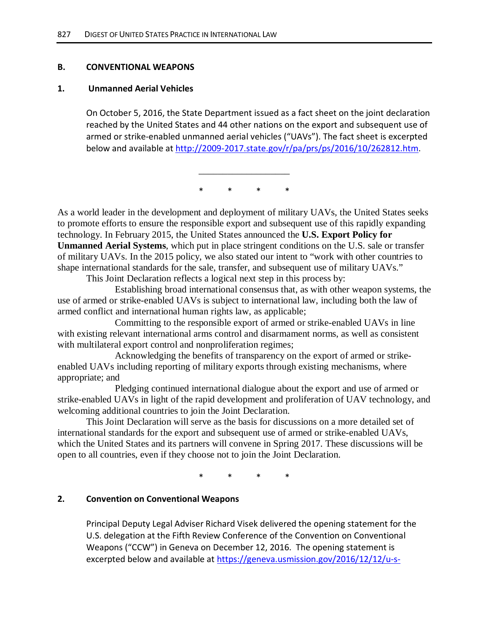# **B. CONVENTIONAL WEAPONS**

## **1. Unmanned Aerial Vehicles**

On October 5, 2016, the State Department issued as a fact sheet on the joint declaration reached by the United States and 44 other nations on the export and subsequent use of armed or strike-enabled unmanned aerial vehicles ("UAVs"). The fact sheet is excerpted below and available at [http://2009-2017.state.gov/r/pa/prs/ps/2016/10/262812.htm.](http://2009-2017.state.gov/r/pa/prs/ps/2016/10/262812.htm)

\* \* \* \*

\_\_\_\_\_\_\_\_\_\_\_\_\_\_\_\_\_\_\_

As a world leader in the development and deployment of military UAVs, the United States seeks to promote efforts to ensure the responsible export and subsequent use of this rapidly expanding technology. In February 2015, the United States announced the **U.S. Export Policy for Unmanned Aerial Systems**, which put in place stringent conditions on the U.S. sale or transfer of military UAVs. In the 2015 policy, we also stated our intent to "work with other countries to shape international standards for the sale, transfer, and subsequent use of military UAVs."

This Joint Declaration reflects a logical next step in this process by:

Establishing broad international consensus that, as with other weapon systems, the use of armed or strike-enabled UAVs is subject to international law, including both the law of armed conflict and international human rights law, as applicable;

Committing to the responsible export of armed or strike-enabled UAVs in line with existing relevant international arms control and disarmament norms, as well as consistent with multilateral export control and nonproliferation regimes;

Acknowledging the benefits of transparency on the export of armed or strikeenabled UAVs including reporting of military exports through existing mechanisms, where appropriate; and

Pledging continued international dialogue about the export and use of armed or strike-enabled UAVs in light of the rapid development and proliferation of UAV technology, and welcoming additional countries to join the Joint Declaration.

This Joint Declaration will serve as the basis for discussions on a more detailed set of international standards for the export and subsequent use of armed or strike-enabled UAVs, which the United States and its partners will convene in Spring 2017. These discussions will be open to all countries, even if they choose not to join the Joint Declaration.

\* \* \* \*

# **2. Convention on Conventional Weapons**

Principal Deputy Legal Adviser Richard Visek delivered the opening statement for the U.S. delegation at the Fifth Review Conference of the Convention on Conventional Weapons ("CCW") in Geneva on December 12, 2016. The opening statement is excerpted below and available at [https://geneva.usmission.gov/2016/12/12/u-s-](https://geneva.usmission.gov/2016/12/12/u-s-opening-statement-at-the-fifth-review-conference-of-the-convention-on-conventional-weapons-ccw/)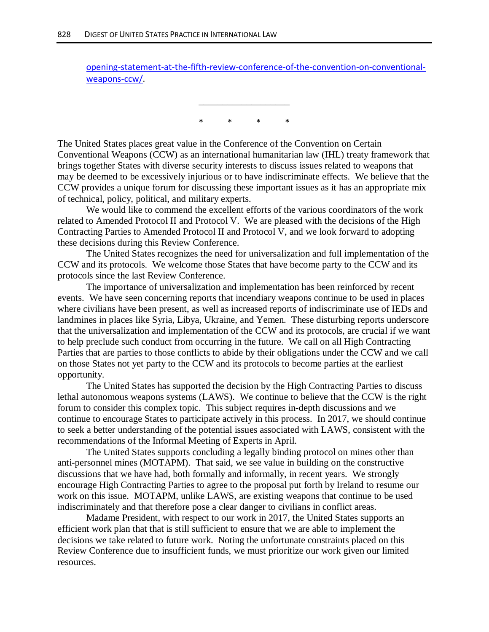[opening-statement-at-the-fifth-review-conference-of-the-convention-on-conventional](https://geneva.usmission.gov/2016/12/12/u-s-opening-statement-at-the-fifth-review-conference-of-the-convention-on-conventional-weapons-ccw/)[weapons-ccw/.](https://geneva.usmission.gov/2016/12/12/u-s-opening-statement-at-the-fifth-review-conference-of-the-convention-on-conventional-weapons-ccw/)

\* \* \* \*

\_\_\_\_\_\_\_\_\_\_\_\_\_\_\_\_\_\_\_

The United States places great value in the Conference of the Convention on Certain Conventional Weapons (CCW) as an international humanitarian law (IHL) treaty framework that brings together States with diverse security interests to discuss issues related to weapons that may be deemed to be excessively injurious or to have indiscriminate effects. We believe that the CCW provides a unique forum for discussing these important issues as it has an appropriate mix of technical, policy, political, and military experts.

We would like to commend the excellent efforts of the various coordinators of the work related to Amended Protocol II and Protocol V. We are pleased with the decisions of the High Contracting Parties to Amended Protocol II and Protocol V, and we look forward to adopting these decisions during this Review Conference.

The United States recognizes the need for universalization and full implementation of the CCW and its protocols. We welcome those States that have become party to the CCW and its protocols since the last Review Conference.

The importance of universalization and implementation has been reinforced by recent events. We have seen concerning reports that incendiary weapons continue to be used in places where civilians have been present, as well as increased reports of indiscriminate use of IEDs and landmines in places like Syria, Libya, Ukraine, and Yemen. These disturbing reports underscore that the universalization and implementation of the CCW and its protocols, are crucial if we want to help preclude such conduct from occurring in the future. We call on all High Contracting Parties that are parties to those conflicts to abide by their obligations under the CCW and we call on those States not yet party to the CCW and its protocols to become parties at the earliest opportunity.

The United States has supported the decision by the High Contracting Parties to discuss lethal autonomous weapons systems (LAWS). We continue to believe that the CCW is the right forum to consider this complex topic. This subject requires in-depth discussions and we continue to encourage States to participate actively in this process. In 2017, we should continue to seek a better understanding of the potential issues associated with LAWS, consistent with the recommendations of the Informal Meeting of Experts in April.

The United States supports concluding a legally binding protocol on mines other than anti-personnel mines (MOTAPM). That said, we see value in building on the constructive discussions that we have had, both formally and informally, in recent years. We strongly encourage High Contracting Parties to agree to the proposal put forth by Ireland to resume our work on this issue. MOTAPM, unlike LAWS, are existing weapons that continue to be used indiscriminately and that therefore pose a clear danger to civilians in conflict areas.

Madame President, with respect to our work in 2017, the United States supports an efficient work plan that that is still sufficient to ensure that we are able to implement the decisions we take related to future work. Noting the unfortunate constraints placed on this Review Conference due to insufficient funds, we must prioritize our work given our limited resources.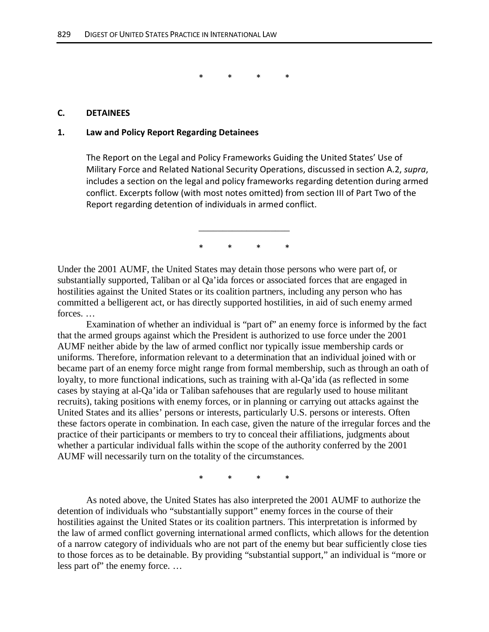\* \* \* \*

### **C. DETAINEES**

#### **1. Law and Policy Report Regarding Detainees**

The Report on the Legal and Policy Frameworks Guiding the United States' Use of Military Force and Related National Security Operations, discussed in section A.2, *supra*, includes a section on the legal and policy frameworks regarding detention during armed conflict. Excerpts follow (with most notes omitted) from section III of Part Two of the Report regarding detention of individuals in armed conflict.

\* \* \* \*

\_\_\_\_\_\_\_\_\_\_\_\_\_\_\_\_\_\_\_

Under the 2001 AUMF, the United States may detain those persons who were part of, or substantially supported, Taliban or al Qa'ida forces or associated forces that are engaged in hostilities against the United States or its coalition partners, including any person who has committed a belligerent act, or has directly supported hostilities, in aid of such enemy armed forces. …

Examination of whether an individual is "part of" an enemy force is informed by the fact that the armed groups against which the President is authorized to use force under the 2001 AUMF neither abide by the law of armed conflict nor typically issue membership cards or uniforms. Therefore, information relevant to a determination that an individual joined with or became part of an enemy force might range from formal membership, such as through an oath of loyalty, to more functional indications, such as training with al-Qa'ida (as reflected in some cases by staying at al-Qa'ida or Taliban safehouses that are regularly used to house militant recruits), taking positions with enemy forces, or in planning or carrying out attacks against the United States and its allies' persons or interests, particularly U.S. persons or interests. Often these factors operate in combination. In each case, given the nature of the irregular forces and the practice of their participants or members to try to conceal their affiliations, judgments about whether a particular individual falls within the scope of the authority conferred by the 2001 AUMF will necessarily turn on the totality of the circumstances.

\* \* \* \*

As noted above, the United States has also interpreted the 2001 AUMF to authorize the detention of individuals who "substantially support" enemy forces in the course of their hostilities against the United States or its coalition partners. This interpretation is informed by the law of armed conflict governing international armed conflicts, which allows for the detention of a narrow category of individuals who are not part of the enemy but bear sufficiently close ties to those forces as to be detainable. By providing "substantial support," an individual is "more or less part of" the enemy force. …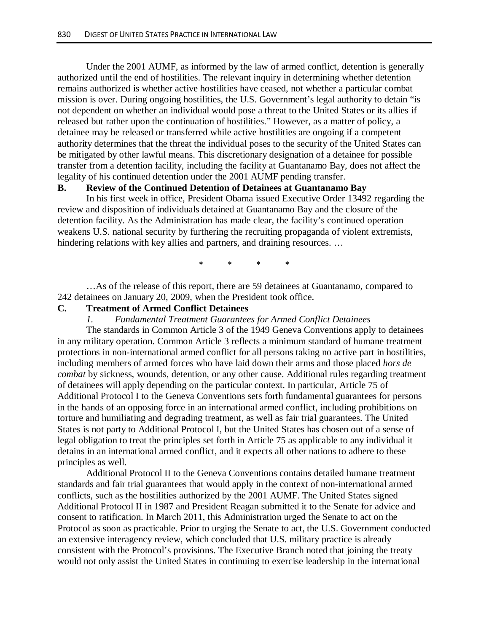Under the 2001 AUMF, as informed by the law of armed conflict, detention is generally authorized until the end of hostilities. The relevant inquiry in determining whether detention remains authorized is whether active hostilities have ceased, not whether a particular combat mission is over. During ongoing hostilities, the U.S. Government's legal authority to detain "is not dependent on whether an individual would pose a threat to the United States or its allies if released but rather upon the continuation of hostilities." However, as a matter of policy, a detainee may be released or transferred while active hostilities are ongoing if a competent authority determines that the threat the individual poses to the security of the United States can be mitigated by other lawful means. This discretionary designation of a detainee for possible transfer from a detention facility, including the facility at Guantanamo Bay, does not affect the legality of his continued detention under the 2001 AUMF pending transfer.

# **B. Review of the Continued Detention of Detainees at Guantanamo Bay**

In his first week in office, President Obama issued Executive Order 13492 regarding the review and disposition of individuals detained at Guantanamo Bay and the closure of the detention facility. As the Administration has made clear, the facility's continued operation weakens U.S. national security by furthering the recruiting propaganda of violent extremists, hindering relations with key allies and partners, and draining resources. ...

\* \* \* \*

…As of the release of this report, there are 59 detainees at Guantanamo, compared to 242 detainees on January 20, 2009, when the President took office.

# **C. Treatment of Armed Conflict Detainees**

*1. Fundamental Treatment Guarantees for Armed Conflict Detainees*

The standards in Common Article 3 of the 1949 Geneva Conventions apply to detainees in any military operation. Common Article 3 reflects a minimum standard of humane treatment protections in non-international armed conflict for all persons taking no active part in hostilities, including members of armed forces who have laid down their arms and those placed *hors de combat* by sickness, wounds, detention, or any other cause. Additional rules regarding treatment of detainees will apply depending on the particular context. In particular, Article 75 of Additional Protocol I to the Geneva Conventions sets forth fundamental guarantees for persons in the hands of an opposing force in an international armed conflict, including prohibitions on torture and humiliating and degrading treatment, as well as fair trial guarantees. The United States is not party to Additional Protocol I, but the United States has chosen out of a sense of legal obligation to treat the principles set forth in Article 75 as applicable to any individual it detains in an international armed conflict, and it expects all other nations to adhere to these principles as well.

Additional Protocol II to the Geneva Conventions contains detailed humane treatment standards and fair trial guarantees that would apply in the context of non-international armed conflicts, such as the hostilities authorized by the 2001 AUMF. The United States signed Additional Protocol II in 1987 and President Reagan submitted it to the Senate for advice and consent to ratification. In March 2011, this Administration urged the Senate to act on the Protocol as soon as practicable. Prior to urging the Senate to act, the U.S. Government conducted an extensive interagency review, which concluded that U.S. military practice is already consistent with the Protocol's provisions. The Executive Branch noted that joining the treaty would not only assist the United States in continuing to exercise leadership in the international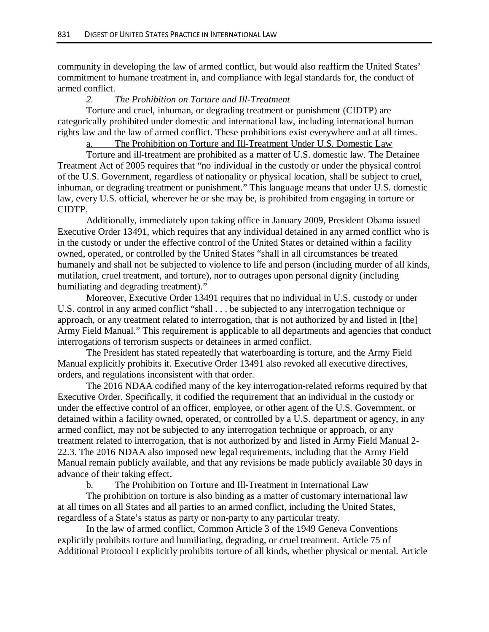community in developing the law of armed conflict, but would also reaffirm the United States' commitment to humane treatment in, and compliance with legal standards for, the conduct of armed conflict.

## *2. The Prohibition on Torture and Ill-Treatment*

Torture and cruel, inhuman, or degrading treatment or punishment (CIDTP) are categorically prohibited under domestic and international law, including international human rights law and the law of armed conflict. These prohibitions exist everywhere and at all times.

a. The Prohibition on Torture and Ill-Treatment Under U.S. Domestic Law

Torture and ill-treatment are prohibited as a matter of U.S. domestic law. The Detainee Treatment Act of 2005 requires that "no individual in the custody or under the physical control of the U.S. Government, regardless of nationality or physical location, shall be subject to cruel, inhuman, or degrading treatment or punishment." This language means that under U.S. domestic law, every U.S. official, wherever he or she may be, is prohibited from engaging in torture or CIDTP.

Additionally, immediately upon taking office in January 2009, President Obama issued Executive Order 13491, which requires that any individual detained in any armed conflict who is in the custody or under the effective control of the United States or detained within a facility owned, operated, or controlled by the United States "shall in all circumstances be treated humanely and shall not be subjected to violence to life and person (including murder of all kinds, mutilation, cruel treatment, and torture), nor to outrages upon personal dignity (including humiliating and degrading treatment)."

Moreover, Executive Order 13491 requires that no individual in U.S. custody or under U.S. control in any armed conflict "shall . . . be subjected to any interrogation technique or approach, or any treatment related to interrogation, that is not authorized by and listed in [the] Army Field Manual." This requirement is applicable to all departments and agencies that conduct interrogations of terrorism suspects or detainees in armed conflict.

The President has stated repeatedly that waterboarding is torture, and the Army Field Manual explicitly prohibits it. Executive Order 13491 also revoked all executive directives, orders, and regulations inconsistent with that order.

The 2016 NDAA codified many of the key interrogation-related reforms required by that Executive Order. Specifically, it codified the requirement that an individual in the custody or under the effective control of an officer, employee, or other agent of the U.S. Government, or detained within a facility owned, operated, or controlled by a U.S. department or agency, in any armed conflict, may not be subjected to any interrogation technique or approach, or any treatment related to interrogation, that is not authorized by and listed in Army Field Manual 2- 22.3. The 2016 NDAA also imposed new legal requirements, including that the Army Field Manual remain publicly available, and that any revisions be made publicly available 30 days in advance of their taking effect.

b. The Prohibition on Torture and Ill-Treatment in International Law

The prohibition on torture is also binding as a matter of customary international law at all times on all States and all parties to an armed conflict, including the United States, regardless of a State's status as party or non-party to any particular treaty.

In the law of armed conflict, Common Article 3 of the 1949 Geneva Conventions explicitly prohibits torture and humiliating, degrading, or cruel treatment. Article 75 of Additional Protocol I explicitly prohibits torture of all kinds, whether physical or mental. Article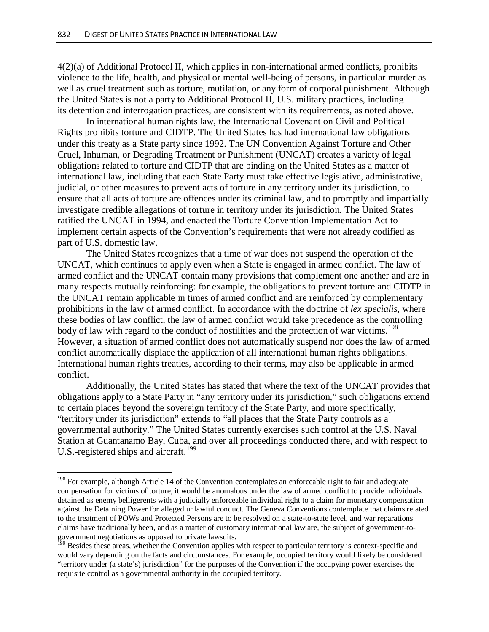4(2)(a) of Additional Protocol II, which applies in non-international armed conflicts, prohibits violence to the life, health, and physical or mental well-being of persons, in particular murder as well as cruel treatment such as torture, mutilation, or any form of corporal punishment. Although the United States is not a party to Additional Protocol II, U.S. military practices, including its detention and interrogation practices, are consistent with its requirements, as noted above.

In international human rights law, the International Covenant on Civil and Political Rights prohibits torture and CIDTP. The United States has had international law obligations under this treaty as a State party since 1992. The UN Convention Against Torture and Other Cruel, Inhuman, or Degrading Treatment or Punishment (UNCAT) creates a variety of legal obligations related to torture and CIDTP that are binding on the United States as a matter of international law, including that each State Party must take effective legislative, administrative, judicial, or other measures to prevent acts of torture in any territory under its jurisdiction, to ensure that all acts of torture are offences under its criminal law, and to promptly and impartially investigate credible allegations of torture in territory under its jurisdiction. The United States ratified the UNCAT in 1994, and enacted the Torture Convention Implementation Act to implement certain aspects of the Convention's requirements that were not already codified as part of U.S. domestic law.

The United States recognizes that a time of war does not suspend the operation of the UNCAT, which continues to apply even when a State is engaged in armed conflict. The law of armed conflict and the UNCAT contain many provisions that complement one another and are in many respects mutually reinforcing: for example, the obligations to prevent torture and CIDTP in the UNCAT remain applicable in times of armed conflict and are reinforced by complementary prohibitions in the law of armed conflict. In accordance with the doctrine of *lex specialis*, where these bodies of law conflict, the law of armed conflict would take precedence as the controlling body of law with regard to the conduct of hostilities and the protection of war victims.<sup>[198](#page-49-0)</sup> However, a situation of armed conflict does not automatically suspend nor does the law of armed conflict automatically displace the application of all international human rights obligations. International human rights treaties, according to their terms, may also be applicable in armed conflict.

Additionally, the United States has stated that where the text of the UNCAT provides that obligations apply to a State Party in "any territory under its jurisdiction," such obligations extend to certain places beyond the sovereign territory of the State Party, and more specifically, "territory under its jurisdiction" extends to "all places that the State Party controls as a governmental authority." The United States currently exercises such control at the U.S. Naval Station at Guantanamo Bay, Cuba, and over all proceedings conducted there, and with respect to U.S.-registered ships and aircraft.<sup>[199](#page-49-1)</sup>

<span id="page-49-0"></span><sup>&</sup>lt;sup>198</sup> For example, although Article 14 of the Convention contemplates an enforceable right to fair and adequate compensation for victims of torture, it would be anomalous under the law of armed conflict to provide individuals detained as enemy belligerents with a judicially enforceable individual right to a claim for monetary compensation against the Detaining Power for alleged unlawful conduct. The Geneva Conventions contemplate that claims related to the treatment of POWs and Protected Persons are to be resolved on a state-to-state level, and war reparations claims have traditionally been, and as a matter of customary international law are, the subject of government-togovernment negotiations as opposed to private lawsuits.

<span id="page-49-1"></span><sup>&</sup>lt;sup>199</sup> Besides these areas, whether the Convention applies with respect to particular territory is context-specific and would vary depending on the facts and circumstances. For example, occupied territory would likely be considered "territory under (a state's) jurisdiction" for the purposes of the Convention if the occupying power exercises the requisite control as a governmental authority in the occupied territory.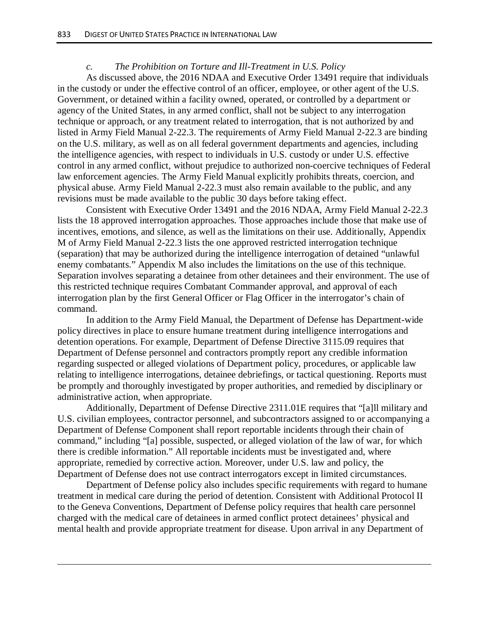# *c. The Prohibition on Torture and Ill-Treatment in U.S. Policy*

As discussed above, the 2016 NDAA and Executive Order 13491 require that individuals in the custody or under the effective control of an officer, employee, or other agent of the U.S. Government, or detained within a facility owned, operated, or controlled by a department or agency of the United States, in any armed conflict, shall not be subject to any interrogation technique or approach, or any treatment related to interrogation, that is not authorized by and listed in Army Field Manual 2-22.3. The requirements of Army Field Manual 2-22.3 are binding on the U.S. military, as well as on all federal government departments and agencies, including the intelligence agencies, with respect to individuals in U.S. custody or under U.S. effective control in any armed conflict, without prejudice to authorized non-coercive techniques of Federal law enforcement agencies. The Army Field Manual explicitly prohibits threats, coercion, and physical abuse. Army Field Manual 2-22.3 must also remain available to the public, and any revisions must be made available to the public 30 days before taking effect.

Consistent with Executive Order 13491 and the 2016 NDAA, Army Field Manual 2-22.3 lists the 18 approved interrogation approaches. Those approaches include those that make use of incentives, emotions, and silence, as well as the limitations on their use. Additionally, Appendix M of Army Field Manual 2-22.3 lists the one approved restricted interrogation technique (separation) that may be authorized during the intelligence interrogation of detained "unlawful enemy combatants." Appendix M also includes the limitations on the use of this technique. Separation involves separating a detainee from other detainees and their environment. The use of this restricted technique requires Combatant Commander approval, and approval of each interrogation plan by the first General Officer or Flag Officer in the interrogator's chain of command.

In addition to the Army Field Manual, the Department of Defense has Department-wide policy directives in place to ensure humane treatment during intelligence interrogations and detention operations. For example, Department of Defense Directive 3115.09 requires that Department of Defense personnel and contractors promptly report any credible information regarding suspected or alleged violations of Department policy, procedures, or applicable law relating to intelligence interrogations, detainee debriefings, or tactical questioning. Reports must be promptly and thoroughly investigated by proper authorities, and remedied by disciplinary or administrative action, when appropriate.

Additionally, Department of Defense Directive 2311.01E requires that "[a]ll military and U.S. civilian employees, contractor personnel, and subcontractors assigned to or accompanying a Department of Defense Component shall report reportable incidents through their chain of command," including "[a] possible, suspected, or alleged violation of the law of war, for which there is credible information." All reportable incidents must be investigated and, where appropriate, remedied by corrective action. Moreover, under U.S. law and policy, the Department of Defense does not use contract interrogators except in limited circumstances.

Department of Defense policy also includes specific requirements with regard to humane treatment in medical care during the period of detention. Consistent with Additional Protocol II to the Geneva Conventions, Department of Defense policy requires that health care personnel charged with the medical care of detainees in armed conflict protect detainees' physical and mental health and provide appropriate treatment for disease. Upon arrival in any Department of

 $\overline{a}$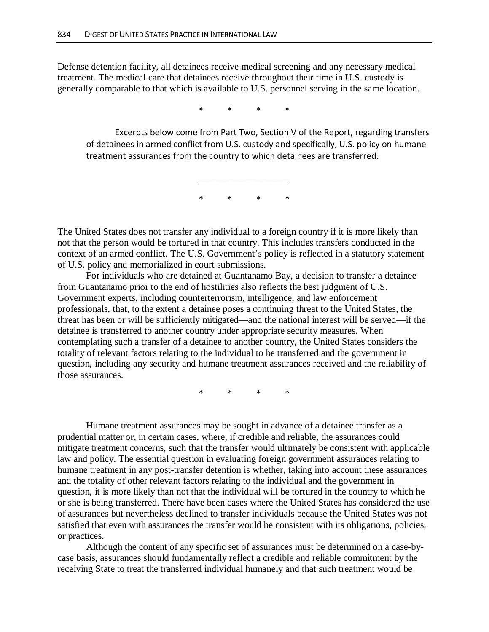Defense detention facility, all detainees receive medical screening and any necessary medical treatment. The medical care that detainees receive throughout their time in U.S. custody is generally comparable to that which is available to U.S. personnel serving in the same location.

\* \* \* \*

Excerpts below come from Part Two, Section V of the Report, regarding transfers of detainees in armed conflict from U.S. custody and specifically, U.S. policy on humane treatment assurances from the country to which detainees are transferred.

\* \* \* \*

\_\_\_\_\_\_\_\_\_\_\_\_\_\_\_\_\_\_\_

The United States does not transfer any individual to a foreign country if it is more likely than not that the person would be tortured in that country. This includes transfers conducted in the context of an armed conflict. The U.S. Government's policy is reflected in a statutory statement of U.S. policy and memorialized in court submissions.

For individuals who are detained at Guantanamo Bay, a decision to transfer a detainee from Guantanamo prior to the end of hostilities also reflects the best judgment of U.S. Government experts, including counterterrorism, intelligence, and law enforcement professionals, that, to the extent a detainee poses a continuing threat to the United States, the threat has been or will be sufficiently mitigated—and the national interest will be served—if the detainee is transferred to another country under appropriate security measures. When contemplating such a transfer of a detainee to another country, the United States considers the totality of relevant factors relating to the individual to be transferred and the government in question, including any security and humane treatment assurances received and the reliability of those assurances.

\* \* \* \*

Humane treatment assurances may be sought in advance of a detainee transfer as a prudential matter or, in certain cases, where, if credible and reliable, the assurances could mitigate treatment concerns, such that the transfer would ultimately be consistent with applicable law and policy. The essential question in evaluating foreign government assurances relating to humane treatment in any post-transfer detention is whether, taking into account these assurances and the totality of other relevant factors relating to the individual and the government in question, it is more likely than not that the individual will be tortured in the country to which he or she is being transferred. There have been cases where the United States has considered the use of assurances but nevertheless declined to transfer individuals because the United States was not satisfied that even with assurances the transfer would be consistent with its obligations, policies, or practices.

Although the content of any specific set of assurances must be determined on a case-bycase basis, assurances should fundamentally reflect a credible and reliable commitment by the receiving State to treat the transferred individual humanely and that such treatment would be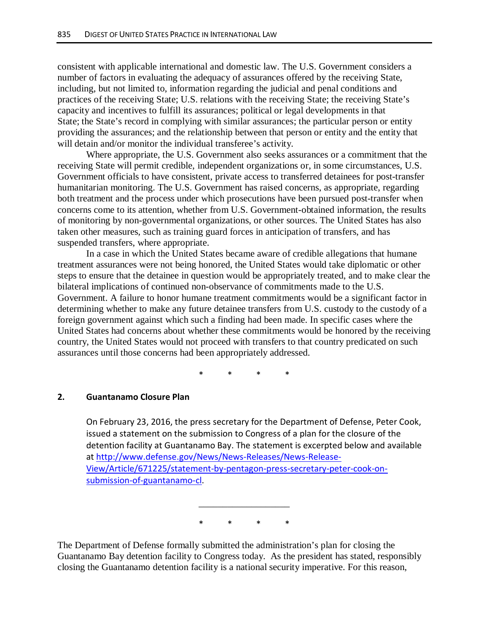consistent with applicable international and domestic law. The U.S. Government considers a number of factors in evaluating the adequacy of assurances offered by the receiving State, including, but not limited to, information regarding the judicial and penal conditions and practices of the receiving State; U.S. relations with the receiving State; the receiving State's capacity and incentives to fulfill its assurances; political or legal developments in that State; the State's record in complying with similar assurances; the particular person or entity providing the assurances; and the relationship between that person or entity and the entity that will detain and/or monitor the individual transferee's activity.

Where appropriate, the U.S. Government also seeks assurances or a commitment that the receiving State will permit credible, independent organizations or, in some circumstances, U.S. Government officials to have consistent, private access to transferred detainees for post-transfer humanitarian monitoring. The U.S. Government has raised concerns, as appropriate, regarding both treatment and the process under which prosecutions have been pursued post-transfer when concerns come to its attention, whether from U.S. Government-obtained information, the results of monitoring by non-governmental organizations, or other sources. The United States has also taken other measures, such as training guard forces in anticipation of transfers, and has suspended transfers, where appropriate.

In a case in which the United States became aware of credible allegations that humane treatment assurances were not being honored, the United States would take diplomatic or other steps to ensure that the detainee in question would be appropriately treated, and to make clear the bilateral implications of continued non-observance of commitments made to the U.S. Government. A failure to honor humane treatment commitments would be a significant factor in determining whether to make any future detainee transfers from U.S. custody to the custody of a foreign government against which such a finding had been made. In specific cases where the United States had concerns about whether these commitments would be honored by the receiving country, the United States would not proceed with transfers to that country predicated on such assurances until those concerns had been appropriately addressed.

\* \* \* \*

## **2. Guantanamo Closure Plan**

On February 23, 2016, the press secretary for the Department of Defense, Peter Cook, issued a statement on the submission to Congress of a plan for the closure of the detention facility at Guantanamo Bay. The statement is excerpted below and available at [http://www.defense.gov/News/News-Releases/News-Release-](http://www.defense.gov/News/News-Releases/News-Release-View/Article/671225/statement-by-pentagon-press-secretary-peter-cook-on-submission-of-guantanamo-cl)[View/Article/671225/statement-by-pentagon-press-secretary-peter-cook-on](http://www.defense.gov/News/News-Releases/News-Release-View/Article/671225/statement-by-pentagon-press-secretary-peter-cook-on-submission-of-guantanamo-cl)[submission-of-guantanamo-cl.](http://www.defense.gov/News/News-Releases/News-Release-View/Article/671225/statement-by-pentagon-press-secretary-peter-cook-on-submission-of-guantanamo-cl)

\* \* \* \*

\_\_\_\_\_\_\_\_\_\_\_\_\_\_\_\_\_\_\_

The Department of Defense formally submitted the administration's plan for closing the Guantanamo Bay detention facility to Congress today. As the president has stated, responsibly closing the Guantanamo detention facility is a national security imperative. For this reason,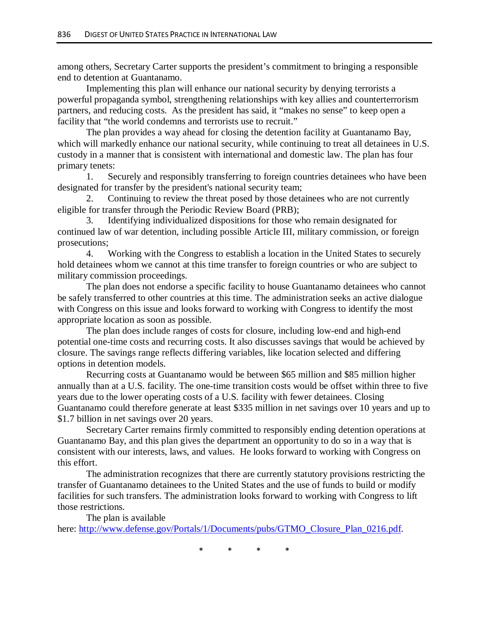among others, Secretary Carter supports the president's commitment to bringing a responsible end to detention at Guantanamo.

Implementing this plan will enhance our national security by denying terrorists a powerful propaganda symbol, strengthening relationships with key allies and counterterrorism partners, and reducing costs. As the president has said, it "makes no sense" to keep open a facility that "the world condemns and terrorists use to recruit."

The plan provides a way ahead for closing the detention facility at Guantanamo Bay, which will markedly enhance our national security, while continuing to treat all detainees in U.S. custody in a manner that is consistent with international and domestic law. The plan has four primary tenets:

1. Securely and responsibly transferring to foreign countries detainees who have been designated for transfer by the president's national security team;

2. Continuing to review the threat posed by those detainees who are not currently eligible for transfer through the Periodic Review Board (PRB);

3. Identifying individualized dispositions for those who remain designated for continued law of war detention, including possible Article III, military commission, or foreign prosecutions;

4. Working with the Congress to establish a location in the United States to securely hold detainees whom we cannot at this time transfer to foreign countries or who are subject to military commission proceedings.

The plan does not endorse a specific facility to house Guantanamo detainees who cannot be safely transferred to other countries at this time. The administration seeks an active dialogue with Congress on this issue and looks forward to working with Congress to identify the most appropriate location as soon as possible.

The plan does include ranges of costs for closure, including low-end and high-end potential one-time costs and recurring costs. It also discusses savings that would be achieved by closure. The savings range reflects differing variables, like location selected and differing options in detention models.

Recurring costs at Guantanamo would be between \$65 million and \$85 million higher annually than at a U.S. facility. The one-time transition costs would be offset within three to five years due to the lower operating costs of a U.S. facility with fewer detainees. Closing Guantanamo could therefore generate at least \$335 million in net savings over 10 years and up to \$1.7 billion in net savings over 20 years.

Secretary Carter remains firmly committed to responsibly ending detention operations at Guantanamo Bay, and this plan gives the department an opportunity to do so in a way that is consistent with our interests, laws, and values. He looks forward to working with Congress on this effort.

The administration recognizes that there are currently statutory provisions restricting the transfer of Guantanamo detainees to the United States and the use of funds to build or modify facilities for such transfers. The administration looks forward to working with Congress to lift those restrictions.

The plan is available here: [http://www.defense.gov/Portals/1/Documents/pubs/GTMO\\_Closure\\_Plan\\_0216.pdf.](http://www.defense.gov/Portals/1/Documents/pubs/GTMO_Closure_Plan_0216.pdf)

\* \* \* \*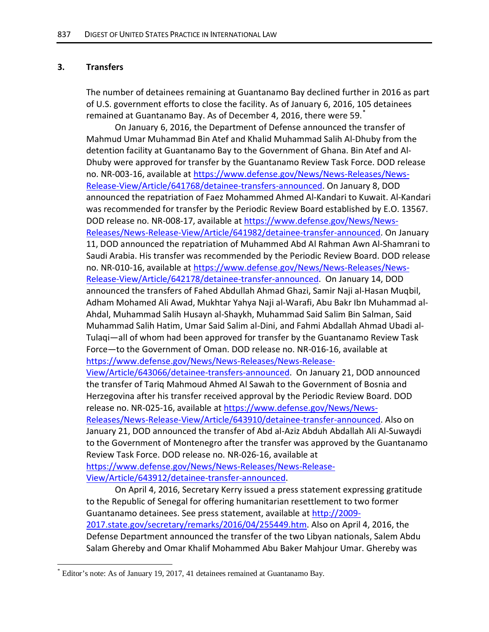# **3. Transfers**

The number of detainees remaining at Guantanamo Bay declined further in 2016 as part of U.S. government efforts to close the facility. As of January 6, 2016, 105 detainees remained at Guantanamo Bay. As of December 4, 2016, there were 59.

On January 6, 2016, the Department of Defense announced the transfer of Mahmud Umar Muhammad Bin Atef and Khalid Muhammad Salih Al-Dhuby from the detention facility at Guantanamo Bay to the Government of Ghana. Bin Atef and Al-Dhuby were approved for transfer by the Guantanamo Review Task Force. DOD release no. NR-003-16, available at [https://www.defense.gov/News/News-Releases/News-](https://www.defense.gov/News/News-Releases/News-Release-View/Article/641768/detainee-transfers-announced)[Release-View/Article/641768/detainee-transfers-announced.](https://www.defense.gov/News/News-Releases/News-Release-View/Article/641768/detainee-transfers-announced) On January 8, DOD announced the repatriation of Faez Mohammed Ahmed Al-Kandari to Kuwait. Al-Kandari was recommended for transfer by the Periodic Review Board established by E.O. 13567. DOD release no. NR-008-17, available at [https://www.defense.gov/News/News-](https://www.defense.gov/News/News-Releases/News-Release-View/Article/641982/detainee-transfer-announced)[Releases/News-Release-View/Article/641982/detainee-transfer-announced.](https://www.defense.gov/News/News-Releases/News-Release-View/Article/641982/detainee-transfer-announced) On January 11, DOD announced the repatriation of Muhammed Abd Al Rahman Awn Al-Shamrani to Saudi Arabia. His transfer was recommended by the Periodic Review Board. DOD release no. NR-010-16, available at [https://www.defense.gov/News/News-Releases/News-](https://www.defense.gov/News/News-Releases/News-Release-View/Article/642178/detainee-transfer-announced)[Release-View/Article/642178/detainee-transfer-announced.](https://www.defense.gov/News/News-Releases/News-Release-View/Article/642178/detainee-transfer-announced) On January 14, DOD announced the transfers of Fahed Abdullah Ahmad Ghazi, Samir Naji al-Hasan Muqbil, Adham Mohamed Ali Awad, Mukhtar Yahya Naji al-Warafi, Abu Bakr Ibn Muhammad al-Ahdal, Muhammad Salih Husayn al-Shaykh, Muhammad Said Salim Bin Salman, Said Muhammad Salih Hatim, Umar Said Salim al-Dini, and Fahmi Abdallah Ahmad Ubadi al-Tulaqi—all of whom had been approved for transfer by the Guantanamo Review Task Force—to the Government of Oman. DOD release no. NR-016-16, available at [https://www.defense.gov/News/News-Releases/News-Release-](https://www.defense.gov/News/News-Releases/News-Release-View/Article/643066/detainee-transfers-announced)[View/Article/643066/detainee-transfers-announced.](https://www.defense.gov/News/News-Releases/News-Release-View/Article/643066/detainee-transfers-announced) On January 21, DOD announced

the transfer of Tariq Mahmoud Ahmed Al Sawah to the Government of Bosnia and Herzegovina after his transfer received approval by the Periodic Review Board. DOD release no. NR-025-16, available at [https://www.defense.gov/News/News-](https://www.defense.gov/News/News-Releases/News-Release-View/Article/643910/detainee-transfer-announced)[Releases/News-Release-View/Article/643910/detainee-transfer-announced.](https://www.defense.gov/News/News-Releases/News-Release-View/Article/643910/detainee-transfer-announced) Also on January 21, DOD announced the transfer of Abd al-Aziz Abduh Abdallah Ali Al-Suwaydi to the Government of Montenegro after the transfer was approved by the Guantanamo Review Task Force. DOD release no. NR-026-16, available at

[https://www.defense.gov/News/News-Releases/News-Release-](https://www.defense.gov/News/News-Releases/News-Release-View/Article/643912/detainee-transfer-announced)[View/Article/643912/detainee-transfer-announced.](https://www.defense.gov/News/News-Releases/News-Release-View/Article/643912/detainee-transfer-announced)

On April 4, 2016, Secretary Kerry issued a press statement expressing gratitude to the Republic of Senegal for offering humanitarian resettlement to two former Guantanamo detainees. See press statement, available at [http://2009-](http://2009-2017.state.gov/secretary/remarks/2016/04/255449.htm) [2017.state.gov/secretary/remarks/2016/04/255449.htm.](http://2009-2017.state.gov/secretary/remarks/2016/04/255449.htm) Also on April 4, 2016, the Defense Department announced the transfer of the two Libyan nationals, Salem Abdu Salam Ghereby and Omar Khalif Mohammed Abu Baker Mahjour Umar. Ghereby was

<span id="page-54-0"></span>Editor's note: As of January 19, 2017, 41 detainees remained at Guantanamo Bay.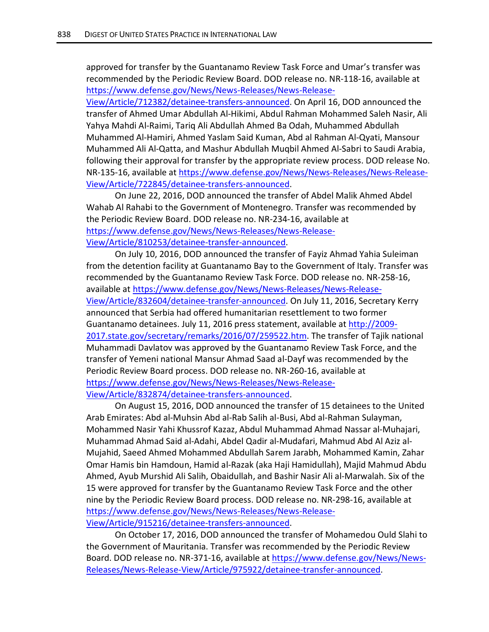approved for transfer by the Guantanamo Review Task Force and Umar's transfer was recommended by the Periodic Review Board. DOD release no. NR-118-16, available at [https://www.defense.gov/News/News-Releases/News-Release-](https://www.defense.gov/News/News-Releases/News-Release-View/Article/712382/detainee-transfers-announced)

[View/Article/712382/detainee-transfers-announced.](https://www.defense.gov/News/News-Releases/News-Release-View/Article/712382/detainee-transfers-announced) On April 16, DOD announced the transfer of Ahmed Umar Abdullah Al-Hikimi, Abdul Rahman Mohammed Saleh Nasir, Ali Yahya Mahdi Al-Raimi, Tariq Ali Abdullah Ahmed Ba Odah, Muhammed Abdullah Muhammed Al-Hamiri, Ahmed Yaslam Said Kuman, Abd al Rahman Al-Qyati, Mansour Muhammed Ali Al-Qatta, and Mashur Abdullah Muqbil Ahmed Al-Sabri to Saudi Arabia, following their approval for transfer by the appropriate review process. DOD release No. NR-135-16, available at [https://www.defense.gov/News/News-Releases/News-Release-](https://www.defense.gov/News/News-Releases/News-Release-View/Article/722845/detainee-transfers-announced)[View/Article/722845/detainee-transfers-announced.](https://www.defense.gov/News/News-Releases/News-Release-View/Article/722845/detainee-transfers-announced)

On June 22, 2016, DOD announced the transfer of Abdel Malik Ahmed Abdel Wahab Al Rahabi to the Government of Montenegro. Transfer was recommended by the Periodic Review Board. DOD release no. NR-234-16, available at [https://www.defense.gov/News/News-Releases/News-Release-](https://www.defense.gov/News/News-Releases/News-Release-View/Article/810253/detainee-transfer-announced)[View/Article/810253/detainee-transfer-announced.](https://www.defense.gov/News/News-Releases/News-Release-View/Article/810253/detainee-transfer-announced)

On July 10, 2016, DOD announced the transfer of Fayiz Ahmad Yahia Suleiman from the detention facility at Guantanamo Bay to the Government of Italy. Transfer was recommended by the Guantanamo Review Task Force. DOD release no. NR-258-16, available at [https://www.defense.gov/News/News-Releases/News-Release-](https://www.defense.gov/News/News-Releases/News-Release-View/Article/832604/detainee-transfer-announced)[View/Article/832604/detainee-transfer-announced.](https://www.defense.gov/News/News-Releases/News-Release-View/Article/832604/detainee-transfer-announced) On July 11, 2016, Secretary Kerry announced that Serbia had offered humanitarian resettlement to two former Guantanamo detainees. July 11, 2016 press statement, available at [http://2009-](http://2009-2017.state.gov/secretary/remarks/2016/07/259522.htm) [2017.state.gov/secretary/remarks/2016/07/259522.htm.](http://2009-2017.state.gov/secretary/remarks/2016/07/259522.htm) The transfer of Tajik national Muhammadi Davlatov was approved by the Guantanamo Review Task Force, and the transfer of Yemeni national Mansur Ahmad Saad al-Dayf was recommended by the Periodic Review Board process. DOD release no. NR-260-16, available at [https://www.defense.gov/News/News-Releases/News-Release-](https://www.defense.gov/News/News-Releases/News-Release-View/Article/832874/detainee-transfers-announced)[View/Article/832874/detainee-transfers-announced.](https://www.defense.gov/News/News-Releases/News-Release-View/Article/832874/detainee-transfers-announced)

On August 15, 2016, DOD announced the transfer of 15 detainees to the United Arab Emirates: Abd al-Muhsin Abd al-Rab Salih al-Busi, Abd al-Rahman Sulayman, Mohammed Nasir Yahi Khussrof Kazaz, Abdul Muhammad Ahmad Nassar al-Muhajari, Muhammad Ahmad Said al-Adahi, Abdel Qadir al-Mudafari, Mahmud Abd Al Aziz al-Mujahid, Saeed Ahmed Mohammed Abdullah Sarem Jarabh, Mohammed Kamin, Zahar Omar Hamis bin Hamdoun, Hamid al-Razak (aka Haji Hamidullah), Majid Mahmud Abdu Ahmed, Ayub Murshid Ali Salih, Obaidullah, and Bashir Nasir Ali al-Marwalah. Six of the 15 were approved for transfer by the Guantanamo Review Task Force and the other nine by the Periodic Review Board process. DOD release no. NR-298-16, available at [https://www.defense.gov/News/News-Releases/News-Release-](https://www.defense.gov/News/News-Releases/News-Release-View/Article/915216/detainee-transfers-announced)[View/Article/915216/detainee-transfers-announced.](https://www.defense.gov/News/News-Releases/News-Release-View/Article/915216/detainee-transfers-announced)

On October 17, 2016, DOD announced the transfer of Mohamedou Ould Slahi to the Government of Mauritania. Transfer was recommended by the Periodic Review Board. DOD release no. NR-371-16, available at [https://www.defense.gov/News/News-](https://www.defense.gov/News/News-Releases/News-Release-View/Article/975922/detainee-transfer-announced)[Releases/News-Release-View/Article/975922/detainee-transfer-announced.](https://www.defense.gov/News/News-Releases/News-Release-View/Article/975922/detainee-transfer-announced)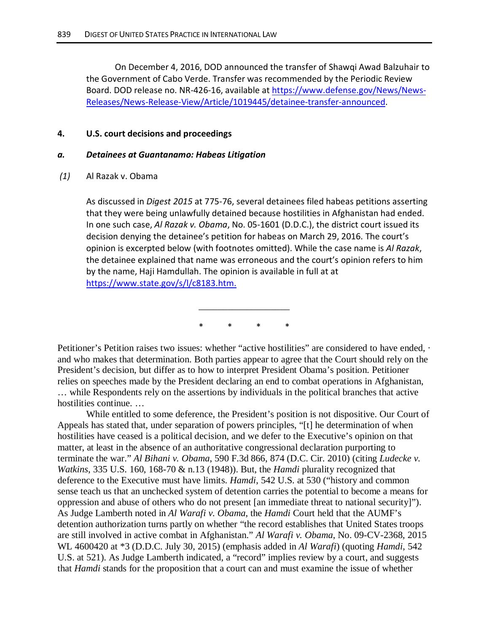On December 4, 2016, DOD announced the transfer of Shawqi Awad Balzuhair to the Government of Cabo Verde. Transfer was recommended by the Periodic Review Board. DOD release no. NR-426-16, available at [https://www.defense.gov/News/News-](https://www.defense.gov/News/News-Releases/News-Release-View/Article/1019445/detainee-transfer-announced)[Releases/News-Release-View/Article/1019445/detainee-transfer-announced.](https://www.defense.gov/News/News-Releases/News-Release-View/Article/1019445/detainee-transfer-announced)

## **4. U.S. court decisions and proceedings**

## *a. Detainees at Guantanamo: Habeas Litigation*

*(1)* Al Razak v. Obama

As discussed in *Digest 2015* at 775-76, several detainees filed habeas petitions asserting that they were being unlawfully detained because hostilities in Afghanistan had ended. In one such case, *Al Razak v. Obama*, No. 05-1601 (D.D.C.), the district court issued its decision denying the detainee's petition for habeas on March 29, 2016. The court's opinion is excerpted below (with footnotes omitted). While the case name is *Al Razak*, the detainee explained that name was erroneous and the court's opinion refers to him by the name, Haji Hamdullah. The opinion is available in full at at [https://www.state.gov/s/l/c8183.htm.](https://www.state.gov/s/l/c8183.htm)

\* \* \* \*

\_\_\_\_\_\_\_\_\_\_\_\_\_\_\_\_\_\_\_

Petitioner's Petition raises two issues: whether "active hostilities" are considered to have ended, · and who makes that determination. Both parties appear to agree that the Court should rely on the President's decision, but differ as to how to interpret President Obama's position. Petitioner relies on speeches made by the President declaring an end to combat operations in Afghanistan, … while Respondents rely on the assertions by individuals in the political branches that active hostilities continue. …

While entitled to some deference, the President's position is not dispositive. Our Court of Appeals has stated that, under separation of powers principles, "[t] he determination of when hostilities have ceased is a political decision, and we defer to the Executive's opinion on that matter, at least in the absence of an authoritative congressional declaration purporting to terminate the war." *Al Bihani v. Obama*, 590 F.3d 866, 874 (D.C. Cir. 2010) (citing *Ludecke v. Watkins*, 335 U.S. 160, 168-70 & n.13 (1948)). But, the *Hamdi* plurality recognized that deference to the Executive must have limits. *Hamdi*, 542 U.S. at 530 ("history and common sense teach us that an unchecked system of detention carries the potential to become a means for oppression and abuse of others who do not present [an immediate threat to national security]"). As Judge Lamberth noted in *Al Warafi v. Obama*, the *Hamdi* Court held that the AUMF's detention authorization turns partly on whether "the record establishes that United States troops are still involved in active combat in Afghanistan." *Al Warafi v. Obama*, No. 09-CV-2368, 2015 WL 4600420 at \*3 (D.D.C. July 30, 2015) (emphasis added in *Al Warafi*) (quoting *Hamdi*, 542 U.S. at 521). As Judge Lamberth indicated, a "record" implies review by a court, and suggests that *Hamdi* stands for the proposition that a court can and must examine the issue of whether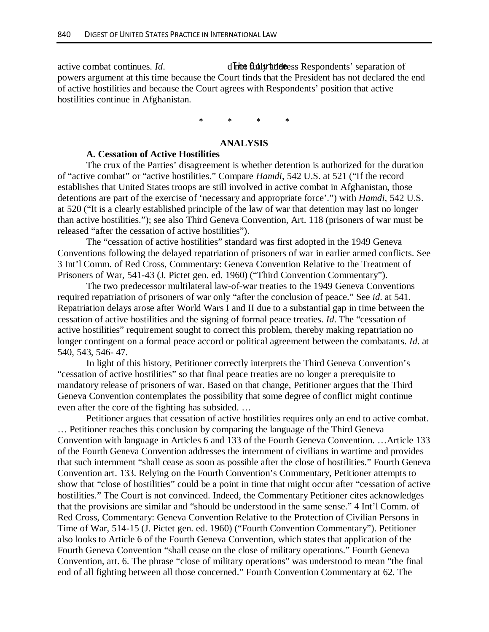active combat continues. *Id*. d  $\frac{d \ln \theta}{d \ln \theta}$  **Colly taidless** Respondents' separation of powers argument at this time because the Court finds that the President has not declared the end of active hostilities and because the Court agrees with Respondents' position that active hostilities continue in Afghanistan.

\* \* \* \*

## **ANALYSIS**

# **A. Cessation of Active Hostilities**

The crux of the Parties' disagreement is whether detention is authorized for the duration of "active combat" or "active hostilities." Compare *Hamdi*, 542 U.S. at 521 ("If the record establishes that United States troops are still involved in active combat in Afghanistan, those detentions are part of the exercise of 'necessary and appropriate force'.") with *Hamdi*, 542 U.S. at 520 ("It is a clearly established principle of the law of war that detention may last no longer than active hostilities."); see also Third Geneva Convention, Art. 118 (prisoners of war must be released "after the cessation of active hostilities").

The "cessation of active hostilities" standard was first adopted in the 1949 Geneva Conventions following the delayed repatriation of prisoners of war in earlier armed conflicts. See 3 Int'l Comm. of Red Cross, Commentary: Geneva Convention Relative to the Treatment of Prisoners of War, 541-43 (J. Pictet gen. ed. 1960) ("Third Convention Commentary").

The two predecessor multilateral law-of-war treaties to the 1949 Geneva Conventions required repatriation of prisoners of war only "after the conclusion of peace." See *id*. at 541. Repatriation delays arose after World Wars I and II due to a substantial gap in time between the cessation of active hostilities and the signing of formal peace treaties. *Id*. The "cessation of active hostilities" requirement sought to correct this problem, thereby making repatriation no longer contingent on a formal peace accord or political agreement between the combatants. *Id*. at 540, 543, 546- 47.

In light of this history, Petitioner correctly interprets the Third Geneva Convention's "cessation of active hostilities" so that final peace treaties are no longer a prerequisite to mandatory release of prisoners of war. Based on that change, Petitioner argues that the Third Geneva Convention contemplates the possibility that some degree of conflict might continue even after the core of the fighting has subsided. …

Petitioner argues that cessation of active hostilities requires only an end to active combat. … Petitioner reaches this conclusion by comparing the language of the Third Geneva Convention with language in Articles 6 and 133 of the Fourth Geneva Convention. …Article 133 of the Fourth Geneva Convention addresses the internment of civilians in wartime and provides that such internment "shall cease as soon as possible after the close of hostilities." Fourth Geneva Convention art. 133. Relying on the Fourth Convention's Commentary, Petitioner attempts to show that "close of hostilities" could be a point in time that might occur after "cessation of active hostilities." The Court is not convinced. Indeed, the Commentary Petitioner cites acknowledges that the provisions are similar and "should be understood in the same sense." 4 Int'l Comm. of Red Cross, Commentary: Geneva Convention Relative to the Protection of Civilian Persons in Time of War, 514-15 (J. Pictet gen. ed. 1960) ("Fourth Convention Commentary"). Petitioner also looks to Article 6 of the Fourth Geneva Convention, which states that application of the Fourth Geneva Convention "shall cease on the close of military operations." Fourth Geneva Convention, art. 6. The phrase "close of military operations" was understood to mean "the final end of all fighting between all those concerned." Fourth Convention Commentary at 62. The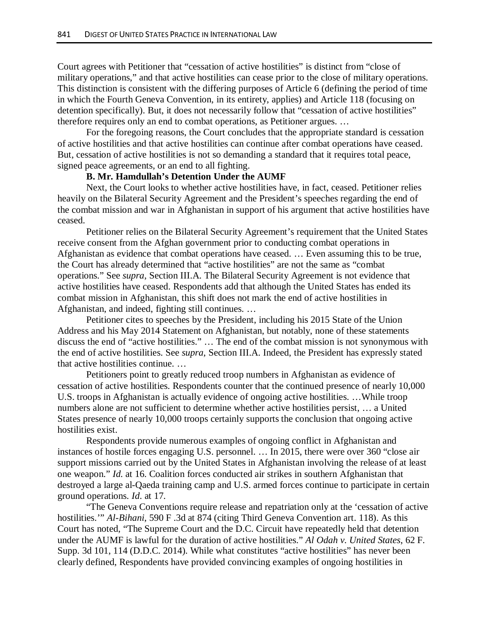Court agrees with Petitioner that "cessation of active hostilities" is distinct from "close of military operations," and that active hostilities can cease prior to the close of military operations. This distinction is consistent with the differing purposes of Article 6 (defining the period of time in which the Fourth Geneva Convention, in its entirety, applies) and Article 118 (focusing on detention specifically). But, it does not necessarily follow that "cessation of active hostilities" therefore requires only an end to combat operations, as Petitioner argues. …

For the foregoing reasons, the Court concludes that the appropriate standard is cessation of active hostilities and that active hostilities can continue after combat operations have ceased. But, cessation of active hostilities is not so demanding a standard that it requires total peace, signed peace agreements, or an end to all fighting.

# **B. Mr. Hamdullah's Detention Under the AUMF**

Next, the Court looks to whether active hostilities have, in fact, ceased. Petitioner relies heavily on the Bilateral Security Agreement and the President's speeches regarding the end of the combat mission and war in Afghanistan in support of his argument that active hostilities have ceased.

Petitioner relies on the Bilateral Security Agreement's requirement that the United States receive consent from the Afghan government prior to conducting combat operations in Afghanistan as evidence that combat operations have ceased. … Even assuming this to be true, the Court has already determined that "active hostilities" are not the same as "combat operations." See *supra*, Section III.A. The Bilateral Security Agreement is not evidence that active hostilities have ceased. Respondents add that although the United States has ended its combat mission in Afghanistan, this shift does not mark the end of active hostilities in Afghanistan, and indeed, fighting still continues. …

Petitioner cites to speeches by the President, including his 2015 State of the Union Address and his May 2014 Statement on Afghanistan, but notably, none of these statements discuss the end of "active hostilities." … The end of the combat mission is not synonymous with the end of active hostilities. See *supra*, Section III.A. Indeed, the President has expressly stated that active hostilities continue. …

Petitioners point to greatly reduced troop numbers in Afghanistan as evidence of cessation of active hostilities. Respondents counter that the continued presence of nearly 10,000 U.S. troops in Afghanistan is actually evidence of ongoing active hostilities. …While troop numbers alone are not sufficient to determine whether active hostilities persist, … a United States presence of nearly 10,000 troops certainly supports the conclusion that ongoing active hostilities exist.

Respondents provide numerous examples of ongoing conflict in Afghanistan and instances of hostile forces engaging U.S. personnel. … In 2015, there were over 360 "close air support missions carried out by the United States in Afghanistan involving the release of at least one weapon." *Id*. at 16. Coalition forces conducted air strikes in southern Afghanistan that destroyed a large al-Qaeda training camp and U.S. armed forces continue to participate in certain ground operations. *Id*. at 17.

"The Geneva Conventions require release and repatriation only at the 'cessation of active hostilities.'" *Al-Bihani*, 590 F .3d at 874 (citing Third Geneva Convention art. 118). As this Court has noted, "The Supreme Court and the D.C. Circuit have repeatedly held that detention under the AUMF is lawful for the duration of active hostilities." *Al Odah v. United States*, 62 F. Supp. 3d 101, 114 (D.D.C. 2014). While what constitutes "active hostilities" has never been clearly defined, Respondents have provided convincing examples of ongoing hostilities in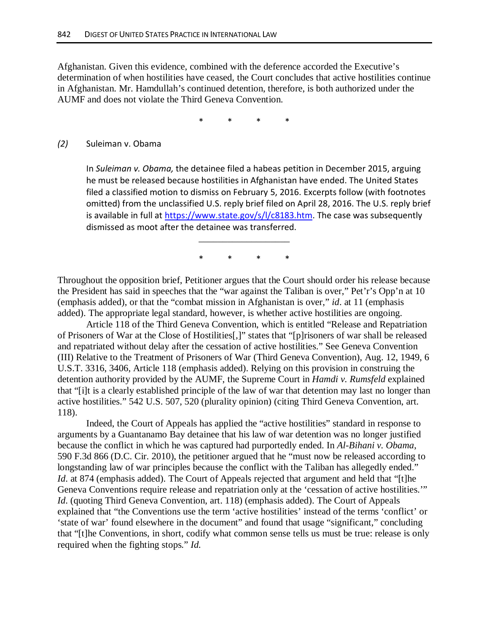Afghanistan. Given this evidence, combined with the deference accorded the Executive's determination of when hostilities have ceased, the Court concludes that active hostilities continue in Afghanistan. Mr. Hamdullah's continued detention, therefore, is both authorized under the AUMF and does not violate the Third Geneva Convention.

\* \* \* \*

#### *(2)* Suleiman v. Obama

In *Suleiman v. Obama,* the detainee filed a habeas petition in December 2015, arguing he must be released because hostilities in Afghanistan have ended. The United States filed a classified motion to dismiss on February 5, 2016. Excerpts follow (with footnotes omitted) from the unclassified U.S. reply brief filed on April 28, 2016. The U.S. reply brief is available in full at [https://www.state.gov/s/l/c8183.htm.](https://www.state.gov/s/l/c8183.htm) The case was subsequently dismissed as moot after the detainee was transferred.

\* \* \* \*

\_\_\_\_\_\_\_\_\_\_\_\_\_\_\_\_\_\_\_

Throughout the opposition brief, Petitioner argues that the Court should order his release because the President has said in speeches that the "war against the Taliban is over," Pet'r's Opp'n at 10 (emphasis added), or that the "combat mission in Afghanistan is over," *id*. at 11 (emphasis added). The appropriate legal standard, however, is whether active hostilities are ongoing.

Article 118 of the Third Geneva Convention, which is entitled "Release and Repatriation of Prisoners of War at the Close of Hostilities[,]" states that "[p]risoners of war shall be released and repatriated without delay after the cessation of active hostilities." See Geneva Convention (III) Relative to the Treatment of Prisoners of War (Third Geneva Convention), Aug. 12, 1949, 6 U.S.T. 3316, 3406, Article 118 (emphasis added). Relying on this provision in construing the detention authority provided by the AUMF, the Supreme Court in *Hamdi v. Rumsfeld* explained that "[i]t is a clearly established principle of the law of war that detention may last no longer than active hostilities." 542 U.S. 507, 520 (plurality opinion) (citing Third Geneva Convention, art. 118).

Indeed, the Court of Appeals has applied the "active hostilities" standard in response to arguments by a Guantanamo Bay detainee that his law of war detention was no longer justified because the conflict in which he was captured had purportedly ended. In *Al-Bihani v. Obama*, 590 F.3d 866 (D.C. Cir. 2010), the petitioner argued that he "must now be released according to longstanding law of war principles because the conflict with the Taliban has allegedly ended." *Id.* at 874 (emphasis added). The Court of Appeals rejected that argument and held that "[t]he Geneva Conventions require release and repatriation only at the 'cessation of active hostilities.'" *Id*. (quoting Third Geneva Convention, art. 118) (emphasis added). The Court of Appeals explained that "the Conventions use the term 'active hostilities' instead of the terms 'conflict' or 'state of war' found elsewhere in the document" and found that usage "significant," concluding that "[t]he Conventions, in short, codify what common sense tells us must be true: release is only required when the fighting stops." *Id*.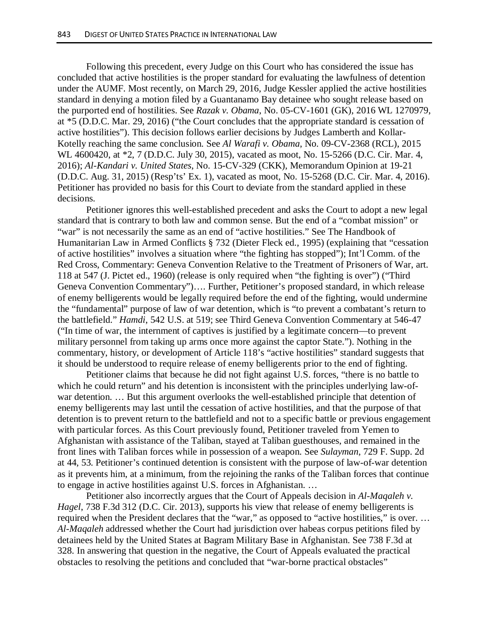Following this precedent, every Judge on this Court who has considered the issue has concluded that active hostilities is the proper standard for evaluating the lawfulness of detention under the AUMF. Most recently, on March 29, 2016, Judge Kessler applied the active hostilities standard in denying a motion filed by a Guantanamo Bay detainee who sought release based on the purported end of hostilities. See *Razak v. Obama*, No. 05-CV-1601 (GK), 2016 WL 1270979, at \*5 (D.D.C. Mar. 29, 2016) ("the Court concludes that the appropriate standard is cessation of active hostilities"). This decision follows earlier decisions by Judges Lamberth and Kollar-Kotelly reaching the same conclusion. See *Al Warafi v. Obama*, No. 09-CV-2368 (RCL), 2015 WL 4600420, at \*2, 7 (D.D.C. July 30, 2015), vacated as moot, No. 15-5266 (D.C. Cir. Mar. 4, 2016); *Al-Kandari v. United States*, No. 15-CV-329 (CKK), Memorandum Opinion at 19-21 (D.D.C. Aug. 31, 2015) (Resp'ts' Ex. 1), vacated as moot, No. 15-5268 (D.C. Cir. Mar. 4, 2016). Petitioner has provided no basis for this Court to deviate from the standard applied in these decisions.

Petitioner ignores this well-established precedent and asks the Court to adopt a new legal standard that is contrary to both law and common sense. But the end of a "combat mission" or "war" is not necessarily the same as an end of "active hostilities." See The Handbook of Humanitarian Law in Armed Conflicts § 732 (Dieter Fleck ed., 1995) (explaining that "cessation of active hostilities" involves a situation where "the fighting has stopped"); Int'l Comm. of the Red Cross, Commentary: Geneva Convention Relative to the Treatment of Prisoners of War, art. 118 at 547 (J. Pictet ed., 1960) (release is only required when "the fighting is over") ("Third Geneva Convention Commentary")…. Further, Petitioner's proposed standard, in which release of enemy belligerents would be legally required before the end of the fighting, would undermine the "fundamental" purpose of law of war detention, which is "to prevent a combatant's return to the battlefield." *Hamdi*, 542 U.S. at 519; see Third Geneva Convention Commentary at 546-47 ("In time of war, the internment of captives is justified by a legitimate concern—to prevent military personnel from taking up arms once more against the captor State."). Nothing in the commentary, history, or development of Article 118's "active hostilities" standard suggests that it should be understood to require release of enemy belligerents prior to the end of fighting.

Petitioner claims that because he did not fight against U.S. forces, "there is no battle to which he could return" and his detention is inconsistent with the principles underlying law-ofwar detention. … But this argument overlooks the well-established principle that detention of enemy belligerents may last until the cessation of active hostilities, and that the purpose of that detention is to prevent return to the battlefield and not to a specific battle or previous engagement with particular forces. As this Court previously found, Petitioner traveled from Yemen to Afghanistan with assistance of the Taliban, stayed at Taliban guesthouses, and remained in the front lines with Taliban forces while in possession of a weapon. See *Sulayman*, 729 F. Supp. 2d at 44, 53. Petitioner's continued detention is consistent with the purpose of law-of-war detention as it prevents him, at a minimum, from the rejoining the ranks of the Taliban forces that continue to engage in active hostilities against U.S. forces in Afghanistan. …

Petitioner also incorrectly argues that the Court of Appeals decision in *Al-Maqaleh v. Hagel*, 738 F.3d 312 (D.C. Cir. 2013), supports his view that release of enemy belligerents is required when the President declares that the "war," as opposed to "active hostilities," is over. … *Al-Maqaleh* addressed whether the Court had jurisdiction over habeas corpus petitions filed by detainees held by the United States at Bagram Military Base in Afghanistan. See 738 F.3d at 328. In answering that question in the negative, the Court of Appeals evaluated the practical obstacles to resolving the petitions and concluded that "war-borne practical obstacles"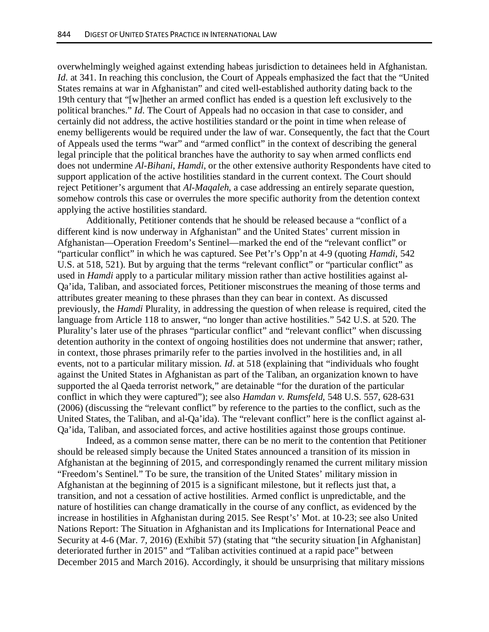overwhelmingly weighed against extending habeas jurisdiction to detainees held in Afghanistan. *Id.* at 341. In reaching this conclusion, the Court of Appeals emphasized the fact that the "United" States remains at war in Afghanistan" and cited well-established authority dating back to the 19th century that "[w]hether an armed conflict has ended is a question left exclusively to the political branches." *Id*. The Court of Appeals had no occasion in that case to consider, and certainly did not address, the active hostilities standard or the point in time when release of enemy belligerents would be required under the law of war. Consequently, the fact that the Court of Appeals used the terms "war" and "armed conflict" in the context of describing the general legal principle that the political branches have the authority to say when armed conflicts end does not undermine *Al-Bihani*, *Hamdi*, or the other extensive authority Respondents have cited to support application of the active hostilities standard in the current context. The Court should reject Petitioner's argument that *Al-Maqaleh*, a case addressing an entirely separate question, somehow controls this case or overrules the more specific authority from the detention context applying the active hostilities standard.

Additionally, Petitioner contends that he should be released because a "conflict of a different kind is now underway in Afghanistan" and the United States' current mission in Afghanistan—Operation Freedom's Sentinel—marked the end of the "relevant conflict" or "particular conflict" in which he was captured. See Pet'r's Opp'n at 4-9 (quoting *Hamdi*, 542 U.S. at 518, 521). But by arguing that the terms "relevant conflict" or "particular conflict" as used in *Hamdi* apply to a particular military mission rather than active hostilities against al-Qa'ida, Taliban, and associated forces, Petitioner misconstrues the meaning of those terms and attributes greater meaning to these phrases than they can bear in context. As discussed previously, the *Hamdi* Plurality, in addressing the question of when release is required, cited the language from Article 118 to answer, "no longer than active hostilities." 542 U.S. at 520. The Plurality's later use of the phrases "particular conflict" and "relevant conflict" when discussing detention authority in the context of ongoing hostilities does not undermine that answer; rather, in context, those phrases primarily refer to the parties involved in the hostilities and, in all events, not to a particular military mission. *Id*. at 518 (explaining that "individuals who fought against the United States in Afghanistan as part of the Taliban, an organization known to have supported the al Qaeda terrorist network," are detainable "for the duration of the particular conflict in which they were captured"); see also *Hamdan v. Rumsfeld*, 548 U.S. 557, 628-631 (2006) (discussing the "relevant conflict" by reference to the parties to the conflict, such as the United States, the Taliban, and al-Qa'ida). The "relevant conflict" here is the conflict against al-Qa'ida, Taliban, and associated forces, and active hostilities against those groups continue.

Indeed, as a common sense matter, there can be no merit to the contention that Petitioner should be released simply because the United States announced a transition of its mission in Afghanistan at the beginning of 2015, and correspondingly renamed the current military mission "Freedom's Sentinel." To be sure, the transition of the United States' military mission in Afghanistan at the beginning of 2015 is a significant milestone, but it reflects just that, a transition, and not a cessation of active hostilities. Armed conflict is unpredictable, and the nature of hostilities can change dramatically in the course of any conflict, as evidenced by the increase in hostilities in Afghanistan during 2015. See Respt's' Mot. at 10-23; see also United Nations Report: The Situation in Afghanistan and its Implications for International Peace and Security at 4-6 (Mar. 7, 2016) (Exhibit 57) (stating that "the security situation [in Afghanistan] deteriorated further in 2015" and "Taliban activities continued at a rapid pace" between December 2015 and March 2016). Accordingly, it should be unsurprising that military missions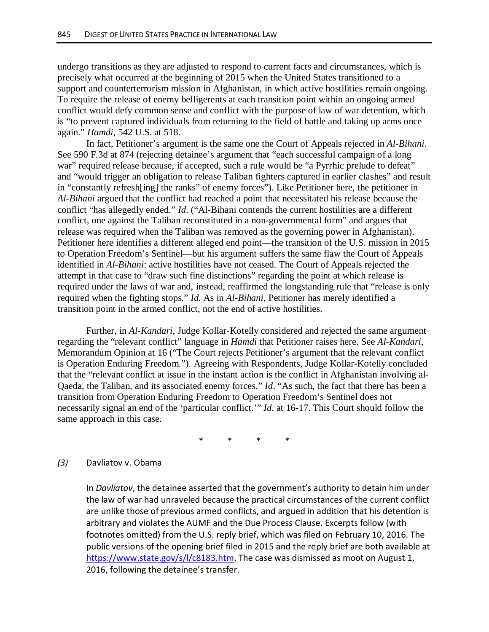undergo transitions as they are adjusted to respond to current facts and circumstances, which is precisely what occurred at the beginning of 2015 when the United States transitioned to a support and counterterrorism mission in Afghanistan, in which active hostilities remain ongoing. To require the release of enemy belligerents at each transition point within an ongoing armed conflict would defy common sense and conflict with the purpose of law of war detention, which is "to prevent captured individuals from returning to the field of battle and taking up arms once again." *Hamdi*, 542 U.S. at 518.

In fact, Petitioner's argument is the same one the Court of Appeals rejected in *Al-Bihani*. See 590 F.3d at 874 (rejecting detainee's argument that "each successful campaign of a long war" required release because, if accepted, such a rule would be "a Pyrrhic prelude to defeat" and "would trigger an obligation to release Taliban fighters captured in earlier clashes" and result in "constantly refresh[ing] the ranks" of enemy forces"). Like Petitioner here, the petitioner in *Al-Bihani* argued that the conflict had reached a point that necessitated his release because the conflict "has allegedly ended." *Id*. ("Al-Bihani contends the current hostilities are a different conflict, one against the Taliban reconstituted in a non-governmental form" and argues that release was required when the Taliban was removed as the governing power in Afghanistan). Petitioner here identifies a different alleged end point—the transition of the U.S. mission in 2015 to Operation Freedom's Sentinel—but his argument suffers the same flaw the Court of Appeals identified in *Al-Bihani*: active hostilities have not ceased. The Court of Appeals rejected the attempt in that case to "draw such fine distinctions" regarding the point at which release is required under the laws of war and, instead, reaffirmed the longstanding rule that "release is only required when the fighting stops." *Id*. As in *Al-Bihani*, Petitioner has merely identified a transition point in the armed conflict, not the end of active hostilities.

Further, in *Al-Kandari*, Judge Kollar-Kotelly considered and rejected the same argument regarding the "relevant conflict" language in *Hamdi* that Petitioner raises here. See *Al-Kandari*, Memorandum Opinion at 16 ("The Court rejects Petitioner's argument that the relevant conflict is Operation Enduring Freedom."). Agreeing with Respondents, Judge Kollar-Kotelly concluded that the "relevant conflict at issue in the instant action is the conflict in Afghanistan involving al-Qaeda, the Taliban, and its associated enemy forces." *Id*. "As such, the fact that there has been a transition from Operation Enduring Freedom to Operation Freedom's Sentinel does not necessarily signal an end of the 'particular conflict.'" *Id*. at 16-17. This Court should follow the same approach in this case.

\* \* \* \*

## *(3)* Davliatov v. Obama

In *Davliatov*, the detainee asserted that the government's authority to detain him under the law of war had unraveled because the practical circumstances of the current conflict are unlike those of previous armed conflicts, and argued in addition that his detention is arbitrary and violates the AUMF and the Due Process Clause. Excerpts follow (with footnotes omitted) from the U.S. reply brief, which was filed on February 10, 2016. The public versions of the opening brief filed in 2015 and the reply brief are both available at [https://www.state.gov/s/l/c8183.htm.](https://www.state.gov/s/l/c8183.htm) The case was dismissed as moot on August 1, 2016, following the detainee's transfer.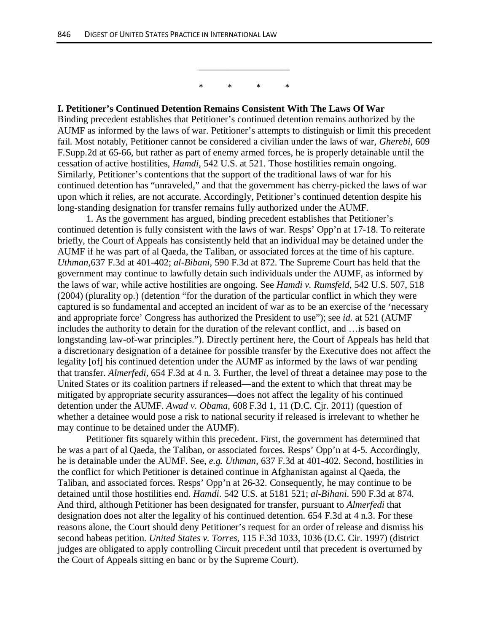\* \* \* \*

\_\_\_\_\_\_\_\_\_\_\_\_\_\_\_\_\_\_\_

#### **I. Petitioner's Continued Detention Remains Consistent With The Laws Of War**

Binding precedent establishes that Petitioner's continued detention remains authorized by the AUMF as informed by the laws of war. Petitioner's attempts to distinguish or limit this precedent fail. Most notably, Petitioner cannot be considered a civilian under the laws of war, *Gherebi*, 609 F.Supp.2d at 65-66, but rather as part of enemy armed forces, he is properly detainable until the cessation of active hostilities, *Hamdi*, 542 U.S. at 521. Those hostilities remain ongoing. Similarly, Petitioner's contentions that the support of the traditional laws of war for his continued detention has "unraveled," and that the government has cherry-picked the laws of war upon which it relies, are not accurate. Accordingly, Petitioner's continued detention despite his long-standing designation for transfer remains fully authorized under the AUMF.

1. As the government has argued, binding precedent establishes that Petitioner's continued detention is fully consistent with the laws of war. Resps' Opp'n at 17-18. To reiterate briefly, the Court of Appeals has consistently held that an individual may be detained under the AUMF if he was part of al Qaeda, the Taliban, or associated forces at the time of his capture. *Uthman*,637 F.3d at 401-402; *al-Bibani*, 590 F.3d at 872. The Supreme Court has held that the government may continue to lawfully detain such individuals under the AUMF, as informed by the laws of war, while active hostilities are ongoing. See *Hamdi v. Rumsfeld*, 542 U.S. 507, 518 (2004) (plurality op.) (detention "for the duration of the particular conflict in which they were captured is so fundamental and accepted an incident of war as to be an exercise of the 'necessary and appropriate force' Congress has authorized the President to use"); see *id*. at 521 (AUMF includes the authority to detain for the duration of the relevant conflict, and …is based on longstanding law-of-war principles."). Directly pertinent here, the Court of Appeals has held that a discretionary designation of a detainee for possible transfer by the Executive does not affect the legality [of] his continued detention under the AUMF as informed by the laws of war pending that transfer. *Almerfedi*, 654 F.3d at 4 n. 3. Further, the level of threat a detainee may pose to the United States or its coalition partners if released—and the extent to which that threat may be mitigated by appropriate security assurances—does not affect the legality of his continued detention under the AUMF. *Awad v. Obama*, 608 F.3d 1, 11 (D.C. Cjr. 2011) (question of whether a detainee would pose a risk to national security if released is irrelevant to whether he may continue to be detained under the AUMF).

Petitioner fits squarely within this precedent. First, the government has determined that he was a part of al Qaeda, the Taliban, or associated forces. Resps' Opp'n at 4-5. Accordingly, he is detainable under the AUMF. See, *e.g. Uthman*, 637 F.3d at 401-402. Second, hostilities in the conflict for which Petitioner is detained continue in Afghanistan against al Qaeda, the Taliban, and associated forces. Resps' Opp'n at 26-32. Consequently, he may continue to be detained until those hostilities end. *Hamdi*. 542 U.S. at 5181 521; *al-Bihani*. 590 F.3d at 874. And third, although Petitioner has been designated for transfer, pursuant to *Almerfedi* that designation does not alter the legality of his continued detention. 654 F.3d at 4 n.3. For these reasons alone, the Court should deny Petitioner's request for an order of release and dismiss his second habeas petition. *United States v. Torres*, 115 F.3d 1033, 1036 (D.C. Cir. 1997) (district judges are obligated to apply controlling Circuit precedent until that precedent is overturned by the Court of Appeals sitting en banc or by the Supreme Court).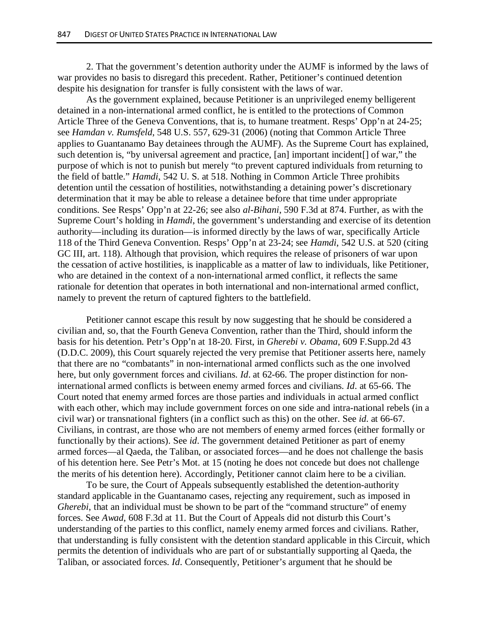2. That the government's detention authority under the AUMF is informed by the laws of war provides no basis to disregard this precedent. Rather, Petitioner's continued detention despite his designation for transfer is fully consistent with the laws of war.

As the government explained, because Petitioner is an unprivileged enemy belligerent detained in a non-international armed conflict, he is entitled to the protections of Common Article Three of the Geneva Conventions, that is, to humane treatment. Resps' Opp'n at 24-25; see *Hamdan v. Rumsfeld*, 548 U.S. 557, 629-31 (2006) (noting that Common Article Three applies to Guantanamo Bay detainees through the AUMF). As the Supreme Court has explained, such detention is, "by universal agreement and practice, [an] important incident[] of war," the purpose of which is not to punish but merely "to prevent captured individuals from returning to the field of battle." *Hamdi*, 542 U. S. at 518. Nothing in Common Article Three prohibits detention until the cessation of hostilities, notwithstanding a detaining power's discretionary determination that it may be able to release a detainee before that time under appropriate conditions. See Resps' Opp'n at 22-26; see also *al-Bihani*, 590 F.3d at 874. Further, as with the Supreme Court's holding in *Hamdi*, the government's understanding and exercise of its detention authority—including its duration—is informed directly by the laws of war, specifically Article 118 of the Third Geneva Convention. Resps' Opp'n at 23-24; see *Hamdi*, 542 U.S. at 520 (citing GC III, art. 118). Although that provision, which requires the release of prisoners of war upon the cessation of active hostilities, is inapplicable as a matter of law to individuals, like Petitioner, who are detained in the context of a non-international armed conflict, it reflects the same rationale for detention that operates in both international and non-international armed conflict, namely to prevent the return of captured fighters to the battlefield.

Petitioner cannot escape this result by now suggesting that he should be considered a civilian and, so, that the Fourth Geneva Convention, rather than the Third, should inform the basis for his detention. Petr's Opp'n at 18-20. First, in *Gherebi v. Obama*, 609 F.Supp.2d 43 (D.D.C. 2009), this Court squarely rejected the very premise that Petitioner asserts here, namely that there are no "combatants" in non-international armed conflicts such as the one involved here, but only government forces and civilians. *Id.* at 62-66. The proper distinction for noninternational armed conflicts is between enemy armed forces and civilians. *Id*. at 65-66. The Court noted that enemy armed forces are those parties and individuals in actual armed conflict with each other, which may include government forces on one side and intra-national rebels (in a civil war) or transnational fighters (in a conflict such as this) on the other. See *id*. at 66-67. Civilians, in contrast, are those who are not members of enemy armed forces (either formally or functionally by their actions). See *id*. The government detained Petitioner as part of enemy armed forces—al Qaeda, the Taliban, or associated forces—and he does not challenge the basis of his detention here. See Petr's Mot. at 15 (noting he does not concede but does not challenge the merits of his detention here). Accordingly, Petitioner cannot claim here to be a civilian.

To be sure, the Court of Appeals subsequently established the detention-authority standard applicable in the Guantanamo cases, rejecting any requirement, such as imposed in *Gherebi*, that an individual must be shown to be part of the "command structure" of enemy forces. See *Awad*, 608 F.3d at 11. But the Court of Appeals did not disturb this Court's understanding of the parties to this conflict, namely enemy armed forces and civilians. Rather, that understanding is fully consistent with the detention standard applicable in this Circuit, which permits the detention of individuals who are part of or substantially supporting al Qaeda, the Taliban, or associated forces. *Id*. Consequently, Petitioner's argument that he should be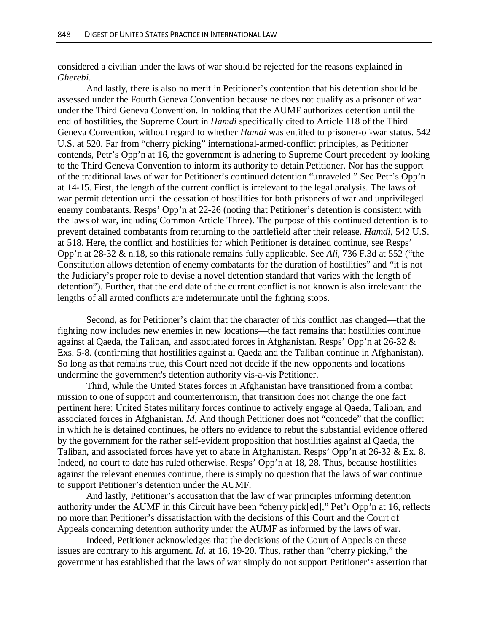considered a civilian under the laws of war should be rejected for the reasons explained in *Gherebi*.

And lastly, there is also no merit in Petitioner's contention that his detention should be assessed under the Fourth Geneva Convention because he does not qualify as a prisoner of war under the Third Geneva Convention. In holding that the AUMF authorizes detention until the end of hostilities, the Supreme Court in *Hamdi* specifically cited to Article 118 of the Third Geneva Convention, without regard to whether *Hamdi* was entitled to prisoner-of-war status. 542 U.S. at 520. Far from "cherry picking" international-armed-conflict principles, as Petitioner contends, Petr's Opp'n at 16, the government is adhering to Supreme Court precedent by looking to the Third Geneva Convention to inform its authority to detain Petitioner. Nor has the support of the traditional laws of war for Petitioner's continued detention "unraveled." See Petr's Opp'n at 14-15. First, the length of the current conflict is irrelevant to the legal analysis. The laws of war permit detention until the cessation of hostilities for both prisoners of war and unprivileged enemy combatants. Resps' Opp'n at 22-26 (noting that Petitioner's detention is consistent with the laws of war, including Common Article Three). The purpose of this continued detention is to prevent detained combatants from returning to the battlefield after their release. *Hamdi*, 542 U.S. at 518. Here, the conflict and hostilities for which Petitioner is detained continue, see Resps' Opp'n at 28-32 & n.18, so this rationale remains fully applicable. See *Ali*, 736 F.3d at 552 ("the Constitution allows detention of enemy combatants for the duration of hostilities" and "it is not the Judiciary's proper role to devise a novel detention standard that varies with the length of detention"). Further, that the end date of the current conflict is not known is also irrelevant: the lengths of all armed conflicts are indeterminate until the fighting stops.

Second, as for Petitioner's claim that the character of this conflict has changed—that the fighting now includes new enemies in new locations—the fact remains that hostilities continue against al Qaeda, the Taliban, and associated forces in Afghanistan. Resps' Opp'n at 26-32 & Exs. 5-8. (confirming that hostilities against al Qaeda and the Taliban continue in Afghanistan). So long as that remains true, this Court need not decide if the new opponents and locations undermine the government's detention authority vis-a-vis Petitioner.

Third, while the United States forces in Afghanistan have transitioned from a combat mission to one of support and counterterrorism, that transition does not change the one fact pertinent here: United States military forces continue to actively engage al Qaeda, Taliban, and associated forces in Afghanistan. *Id*. And though Petitioner does not "concede" that the conflict in which he is detained continues, he offers no evidence to rebut the substantial evidence offered by the government for the rather self-evident proposition that hostilities against al Qaeda, the Taliban, and associated forces have yet to abate in Afghanistan. Resps' Opp'n at 26-32 & Ex. 8. Indeed, no court to date has ruled otherwise. Resps' Opp'n at 18, 28. Thus, because hostilities against the relevant enemies continue, there is simply no question that the laws of war continue to support Petitioner's detention under the AUMF.

And lastly, Petitioner's accusation that the law of war principles informing detention authority under the AUMF in this Circuit have been "cherry pick[ed]," Pet'r Opp'n at 16, reflects no more than Petitioner's dissatisfaction with the decisions of this Court and the Court of Appeals concerning detention authority under the AUMF as informed by the laws of war.

Indeed, Petitioner acknowledges that the decisions of the Court of Appeals on these issues are contrary to his argument. *Id*. at 16, 19-20. Thus, rather than "cherry picking," the government has established that the laws of war simply do not support Petitioner's assertion that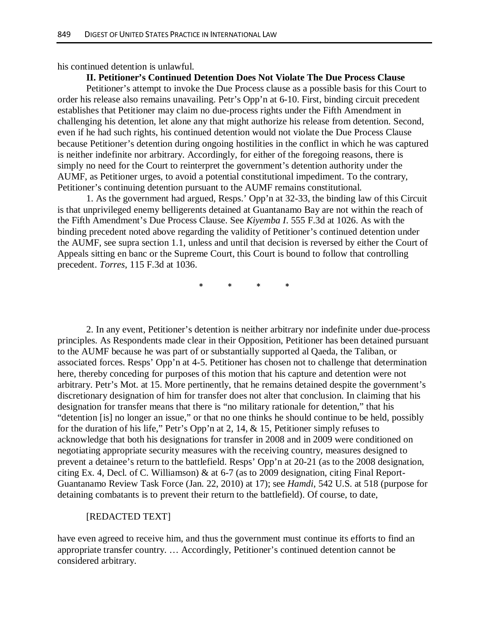his continued detention is unlawful.

### **II. Petitioner's Continued Detention Does Not Violate The Due Process Clause**

Petitioner's attempt to invoke the Due Process clause as a possible basis for this Court to order his release also remains unavailing. Petr's Opp'n at 6-10. First, binding circuit precedent establishes that Petitioner may claim no due-process rights under the Fifth Amendment in challenging his detention, let alone any that might authorize his release from detention. Second, even if he had such rights, his continued detention would not violate the Due Process Clause because Petitioner's detention during ongoing hostilities in the conflict in which he was captured is neither indefinite nor arbitrary. Accordingly, for either of the foregoing reasons, there is simply no need for the Court to reinterpret the government's detention authority under the AUMF, as Petitioner urges, to avoid a potential constitutional impediment. To the contrary, Petitioner's continuing detention pursuant to the AUMF remains constitutional.

1. As the government had argued, Resps.' Opp'n at 32-33, the binding law of this Circuit is that unprivileged enemy belligerents detained at Guantanamo Bay are not within the reach of the Fifth Amendment's Due Process Clause. See *Kiyemba I*. 555 F.3d at 1026. As with the binding precedent noted above regarding the validity of Petitioner's continued detention under the AUMF, see supra section 1.1, unless and until that decision is reversed by either the Court of Appeals sitting en banc or the Supreme Court, this Court is bound to follow that controlling precedent. *Torres*, 115 F.3d at 1036.

\* \* \* \*

2. In any event, Petitioner's detention is neither arbitrary nor indefinite under due-process principles. As Respondents made clear in their Opposition, Petitioner has been detained pursuant to the AUMF because he was part of or substantially supported al Qaeda, the Taliban, or associated forces. Resps' Opp'n at 4-5. Petitioner has chosen not to challenge that determination here, thereby conceding for purposes of this motion that his capture and detention were not arbitrary. Petr's Mot. at 15. More pertinently, that he remains detained despite the government's discretionary designation of him for transfer does not alter that conclusion. In claiming that his designation for transfer means that there is "no military rationale for detention," that his "detention [is] no longer an issue," or that no one thinks he should continue to be held, possibly for the duration of his life," Petr's Opp'n at 2, 14, & 15, Petitioner simply refuses to acknowledge that both his designations for transfer in 2008 and in 2009 were conditioned on negotiating appropriate security measures with the receiving country, measures designed to prevent a detainee's return to the battlefield. Resps' Opp'n at 20-21 (as to the 2008 designation, citing Ex. 4, Decl. of C. Williamson) & at 6-7 (as to 2009 designation, citing Final Report-Guantanamo Review Task Force (Jan. 22, 2010) at 17); see *Hamdi*, 542 U.S. at 518 (purpose for detaining combatants is to prevent their return to the battlefield). Of course, to date,

## [REDACTED TEXT]

have even agreed to receive him, and thus the government must continue its efforts to find an appropriate transfer country. … Accordingly, Petitioner's continued detention cannot be considered arbitrary.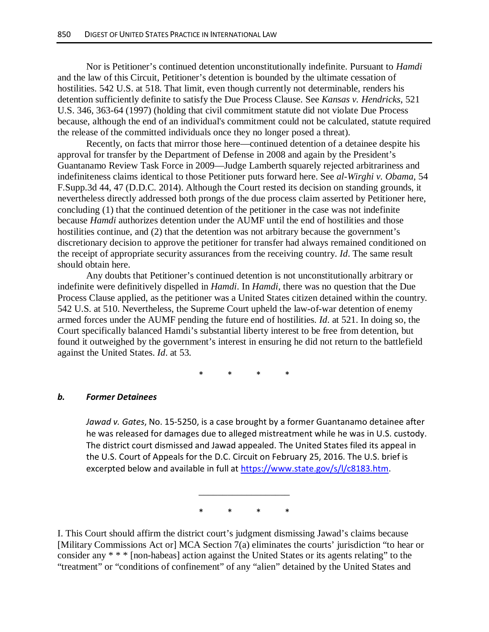Nor is Petitioner's continued detention unconstitutionally indefinite. Pursuant to *Hamdi* and the law of this Circuit, Petitioner's detention is bounded by the ultimate cessation of hostilities. 542 U.S. at 518. That limit, even though currently not determinable, renders his detention sufficiently definite to satisfy the Due Process Clause. See *Kansas v. Hendricks*, 521 U.S. 346, 363-64 (1997) (holding that civil commitment statute did not violate Due Process because, although the end of an individual's commitment could not be calculated, statute required the release of the committed individuals once they no longer posed a threat).

Recently, on facts that mirror those here—continued detention of a detainee despite his approval for transfer by the Department of Defense in 2008 and again by the President's Guantanamo Review Task Force in 2009—Judge Lamberth squarely rejected arbitrariness and indefiniteness claims identical to those Petitioner puts forward here. See *al-Wirghi v. Obama*, 54 F.Supp.3d 44, 47 (D.D.C. 2014). Although the Court rested its decision on standing grounds, it nevertheless directly addressed both prongs of the due process claim asserted by Petitioner here, concluding (1) that the continued detention of the petitioner in the case was not indefinite because *Hamdi* authorizes detention under the AUMF until the end of hostilities and those hostilities continue, and (2) that the detention was not arbitrary because the government's discretionary decision to approve the petitioner for transfer had always remained conditioned on the receipt of appropriate security assurances from the receiving country. *Id*. The same result should obtain here.

Any doubts that Petitioner's continued detention is not unconstitutionally arbitrary or indefinite were definitively dispelled in *Hamdi*. In *Hamdi*, there was no question that the Due Process Clause applied, as the petitioner was a United States citizen detained within the country. 542 U.S. at 510. Nevertheless, the Supreme Court upheld the law-of-war detention of enemy armed forces under the AUMF pending the future end of hostilities. *Id*. at 521. In doing so, the Court specifically balanced Hamdi's substantial liberty interest to be free from detention, but found it outweighed by the government's interest in ensuring he did not return to the battlefield against the United States. *Id*. at 53.

\* \* \* \*

### *b. Former Detainees*

*Jawad v. Gates*, No. 15-5250, is a case brought by a former Guantanamo detainee after he was released for damages due to alleged mistreatment while he was in U.S. custody. The district court dismissed and Jawad appealed. The United States filed its appeal in the U.S. Court of Appeals for the D.C. Circuit on February 25, 2016. The U.S. brief is excerpted below and available in full at [https://www.state.gov/s/l/c8183.htm.](https://www.state.gov/s/l/c8183.htm)

\* \* \* \*

\_\_\_\_\_\_\_\_\_\_\_\_\_\_\_\_\_\_\_

I. This Court should affirm the district court's judgment dismissing Jawad's claims because [Military Commissions Act or] MCA Section 7(a) eliminates the courts' jurisdiction "to hear or consider any \* \* \* [non-habeas] action against the United States or its agents relating" to the "treatment" or "conditions of confinement" of any "alien" detained by the United States and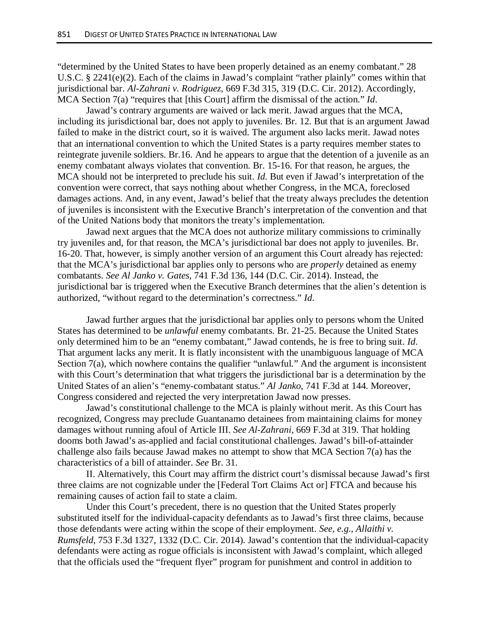"determined by the United States to have been properly detained as an enemy combatant." 28 U.S.C. § 2241(e)(2). Each of the claims in Jawad's complaint "rather plainly" comes within that jurisdictional bar. *Al-Zahrani v. Rodriguez*, 669 F.3d 315, 319 (D.C. Cir. 2012). Accordingly, MCA Section 7(a) "requires that [this Court] affirm the dismissal of the action." *Id*.

Jawad's contrary arguments are waived or lack merit. Jawad argues that the MCA, including its jurisdictional bar, does not apply to juveniles. Br. 12. But that is an argument Jawad failed to make in the district court, so it is waived. The argument also lacks merit. Jawad notes that an international convention to which the United States is a party requires member states to reintegrate juvenile soldiers. Br.16. And he appears to argue that the detention of a juvenile as an enemy combatant always violates that convention. Br. 15-16. For that reason, he argues, the MCA should not be interpreted to preclude his suit. *Id*. But even if Jawad's interpretation of the convention were correct, that says nothing about whether Congress, in the MCA, foreclosed damages actions. And, in any event, Jawad's belief that the treaty always precludes the detention of juveniles is inconsistent with the Executive Branch's interpretation of the convention and that of the United Nations body that monitors the treaty's implementation.

Jawad next argues that the MCA does not authorize military commissions to criminally try juveniles and, for that reason, the MCA's jurisdictional bar does not apply to juveniles. Br. 16-20. That, however, is simply another version of an argument this Court already has rejected: that the MCA's jurisdictional bar applies only to persons who are *properly* detained as enemy combatants. *See Al Janko v. Gates*, 741 F.3d 136, 144 (D.C. Cir. 2014). Instead, the jurisdictional bar is triggered when the Executive Branch determines that the alien's detention is authorized, "without regard to the determination's correctness." *Id*.

Jawad further argues that the jurisdictional bar applies only to persons whom the United States has determined to be *unlawful* enemy combatants. Br. 21-25. Because the United States only determined him to be an "enemy combatant," Jawad contends, he is free to bring suit. *Id*. That argument lacks any merit. It is flatly inconsistent with the unambiguous language of MCA Section 7(a), which nowhere contains the qualifier "unlawful." And the argument is inconsistent with this Court's determination that what triggers the jurisdictional bar is a determination by the United States of an alien's "enemy-combatant status." *Al Janko*, 741 F.3d at 144. Moreover, Congress considered and rejected the very interpretation Jawad now presses.

Jawad's constitutional challenge to the MCA is plainly without merit. As this Court has recognized, Congress may preclude Guantanamo detainees from maintaining claims for money damages without running afoul of Article III. *See Al-Zahrani*, 669 F.3d at 319. That holding dooms both Jawad's as-applied and facial constitutional challenges. Jawad's bill-of-attainder challenge also fails because Jawad makes no attempt to show that MCA Section 7(a) has the characteristics of a bill of attainder. *See* Br. 31.

II. Alternatively, this Court may affirm the district court's dismissal because Jawad's first three claims are not cognizable under the [Federal Tort Claims Act or] FTCA and because his remaining causes of action fail to state a claim.

Under this Court's precedent, there is no question that the United States properly substituted itself for the individual-capacity defendants as to Jawad's first three claims, because those defendants were acting within the scope of their employment. *See, e.g., Allaithi v. Rumsfeld*, 753 F.3d 1327, 1332 (D.C. Cir. 2014). Jawad's contention that the individual-capacity defendants were acting as rogue officials is inconsistent with Jawad's complaint, which alleged that the officials used the "frequent flyer" program for punishment and control in addition to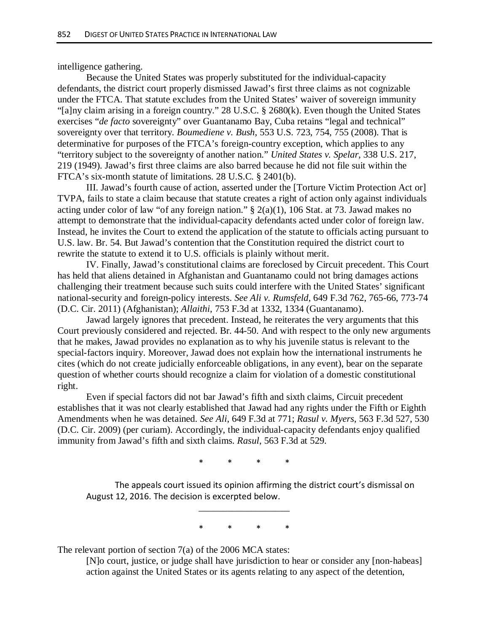intelligence gathering.

Because the United States was properly substituted for the individual-capacity defendants, the district court properly dismissed Jawad's first three claims as not cognizable under the FTCA. That statute excludes from the United States' waiver of sovereign immunity "[a]ny claim arising in a foreign country." 28 U.S.C. § 2680(k). Even though the United States exercises "*de facto* sovereignty" over Guantanamo Bay, Cuba retains "legal and technical" sovereignty over that territory. *Boumediene v. Bush*, 553 U.S. 723, 754, 755 (2008). That is determinative for purposes of the FTCA's foreign-country exception, which applies to any "territory subject to the sovereignty of another nation." *United States v. Spelar*, 338 U.S. 217, 219 (1949). Jawad's first three claims are also barred because he did not file suit within the FTCA's six-month statute of limitations. 28 U.S.C. § 2401(b).

III. Jawad's fourth cause of action, asserted under the [Torture Victim Protection Act or] TVPA, fails to state a claim because that statute creates a right of action only against individuals acting under color of law "of any foreign nation." § 2(a)(1), 106 Stat. at 73. Jawad makes no attempt to demonstrate that the individual-capacity defendants acted under color of foreign law. Instead, he invites the Court to extend the application of the statute to officials acting pursuant to U.S. law. Br. 54. But Jawad's contention that the Constitution required the district court to rewrite the statute to extend it to U.S. officials is plainly without merit.

IV. Finally, Jawad's constitutional claims are foreclosed by Circuit precedent. This Court has held that aliens detained in Afghanistan and Guantanamo could not bring damages actions challenging their treatment because such suits could interfere with the United States' significant national-security and foreign-policy interests. *See Ali v. Rumsfeld*, 649 F.3d 762, 765-66, 773-74 (D.C. Cir. 2011) (Afghanistan); *Allaithi*, 753 F.3d at 1332, 1334 (Guantanamo).

Jawad largely ignores that precedent. Instead, he reiterates the very arguments that this Court previously considered and rejected. Br. 44-50. And with respect to the only new arguments that he makes, Jawad provides no explanation as to why his juvenile status is relevant to the special-factors inquiry. Moreover, Jawad does not explain how the international instruments he cites (which do not create judicially enforceable obligations, in any event), bear on the separate question of whether courts should recognize a claim for violation of a domestic constitutional right.

Even if special factors did not bar Jawad's fifth and sixth claims, Circuit precedent establishes that it was not clearly established that Jawad had any rights under the Fifth or Eighth Amendments when he was detained. *See Ali*, 649 F.3d at 771; *Rasul v. Myers*, 563 F.3d 527, 530 (D.C. Cir. 2009) (per curiam). Accordingly, the individual-capacity defendants enjoy qualified immunity from Jawad's fifth and sixth claims. *Rasul*, 563 F.3d at 529.

\* \* \* \*

The appeals court issued its opinion affirming the district court's dismissal on August 12, 2016. The decision is excerpted below.

\* \* \* \*

\_\_\_\_\_\_\_\_\_\_\_\_\_\_\_\_\_\_\_

The relevant portion of section 7(a) of the 2006 MCA states:

[N]o court, justice, or judge shall have jurisdiction to hear or consider any [non-habeas] action against the United States or its agents relating to any aspect of the detention,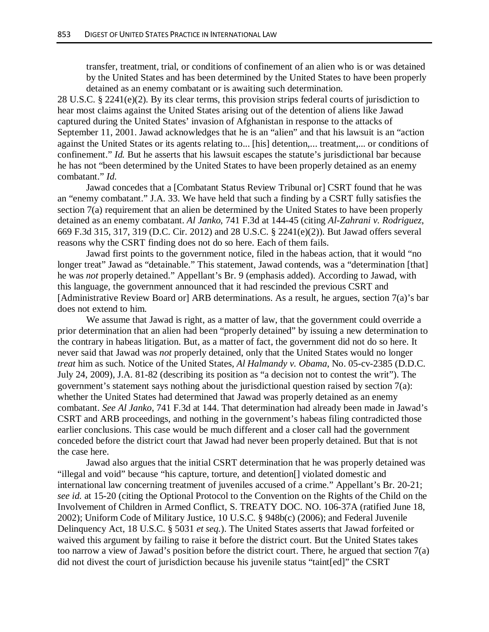transfer, treatment, trial, or conditions of confinement of an alien who is or was detained by the United States and has been determined by the United States to have been properly detained as an enemy combatant or is awaiting such determination.

28 U.S.C. § 2241(e)(2). By its clear terms, this provision strips federal courts of jurisdiction to hear most claims against the United States arising out of the detention of aliens like Jawad captured during the United States' invasion of Afghanistan in response to the attacks of September 11, 2001. Jawad acknowledges that he is an "alien" and that his lawsuit is an "action against the United States or its agents relating to... [his] detention,... treatment,... or conditions of confinement." *Id.* But he asserts that his lawsuit escapes the statute's jurisdictional bar because he has not "been determined by the United States to have been properly detained as an enemy combatant." *Id.* 

Jawad concedes that a [Combatant Status Review Tribunal or] CSRT found that he was an "enemy combatant." J.A. 33. We have held that such a finding by a CSRT fully satisfies the section 7(a) requirement that an alien be determined by the United States to have been properly detained as an enemy combatant. *Al Janko*, 741 F.3d at 144-45 (citing *Al-Zahrani v. Rodriguez*, 669 F.3d 315, 317, 319 (D.C. Cir. 2012) and 28 U.S.C. § 2241(e)(2)). But Jawad offers several reasons why the CSRT finding does not do so here. Each of them fails.

Jawad first points to the government notice, filed in the habeas action, that it would "no longer treat" Jawad as "detainable." This statement, Jawad contends, was a "determination [that] he was *not* properly detained." Appellant's Br. 9 (emphasis added). According to Jawad, with this language, the government announced that it had rescinded the previous CSRT and [Administrative Review Board or] ARB determinations. As a result, he argues, section 7(a)'s bar does not extend to him.

We assume that Jawad is right, as a matter of law, that the government could override a prior determination that an alien had been "properly detained" by issuing a new determination to the contrary in habeas litigation. But, as a matter of fact, the government did not do so here. It never said that Jawad was *not* properly detained, only that the United States would no longer *treat* him as such. Notice of the United States, *Al Halmandy v. Obama*, No. 05-cv-2385 (D.D.C. July 24, 2009), J.A. 81-82 (describing its position as "a decision not to contest the writ"). The government's statement says nothing about the jurisdictional question raised by section 7(a): whether the United States had determined that Jawad was properly detained as an enemy combatant. *See Al Janko*, 741 F.3d at 144. That determination had already been made in Jawad's CSRT and ARB proceedings, and nothing in the government's habeas filing contradicted those earlier conclusions. This case would be much different and a closer call had the government conceded before the district court that Jawad had never been properly detained. But that is not the case here.

Jawad also argues that the initial CSRT determination that he was properly detained was "illegal and void" because "his capture, torture, and detention[] violated domestic and international law concerning treatment of juveniles accused of a crime." Appellant's Br. 20-21; *see id.* at 15-20 (citing the Optional Protocol to the Convention on the Rights of the Child on the Involvement of Children in Armed Conflict, S. TREATY DOC. NO. 106-37A (ratified June 18, 2002); Uniform Code of Military Justice, 10 U.S.C. § 948b(c) (2006); and Federal Juvenile Delinquency Act, 18 U.S.C. § 5031 *et seq.*). The United States asserts that Jawad forfeited or waived this argument by failing to raise it before the district court. But the United States takes too narrow a view of Jawad's position before the district court. There, he argued that section 7(a) did not divest the court of jurisdiction because his juvenile status "taint[ed]" the CSRT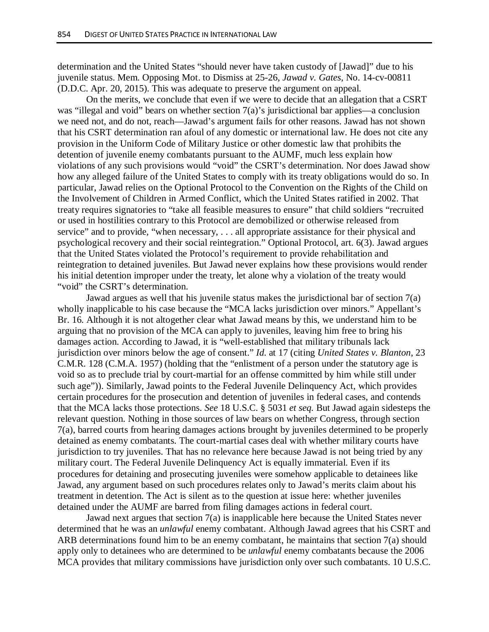determination and the United States "should never have taken custody of [Jawad]" due to his juvenile status. Mem. Opposing Mot. to Dismiss at 25-26, *Jawad v. Gates*, No. 14-cv-00811 (D.D.C. Apr. 20, 2015). This was adequate to preserve the argument on appeal.

On the merits, we conclude that even if we were to decide that an allegation that a CSRT was "illegal and void" bears on whether section 7(a)'s jurisdictional bar applies—a conclusion we need not, and do not, reach—Jawad's argument fails for other reasons. Jawad has not shown that his CSRT determination ran afoul of any domestic or international law. He does not cite any provision in the Uniform Code of Military Justice or other domestic law that prohibits the detention of juvenile enemy combatants pursuant to the AUMF, much less explain how violations of any such provisions would "void" the CSRT's determination. Nor does Jawad show how any alleged failure of the United States to comply with its treaty obligations would do so. In particular, Jawad relies on the Optional Protocol to the Convention on the Rights of the Child on the Involvement of Children in Armed Conflict, which the United States ratified in 2002. That treaty requires signatories to "take all feasible measures to ensure" that child soldiers "recruited or used in hostilities contrary to this Protocol are demobilized or otherwise released from service" and to provide, "when necessary, . . . all appropriate assistance for their physical and psychological recovery and their social reintegration." Optional Protocol, art. 6(3). Jawad argues that the United States violated the Protocol's requirement to provide rehabilitation and reintegration to detained juveniles. But Jawad never explains how these provisions would render his initial detention improper under the treaty, let alone why a violation of the treaty would "void" the CSRT's determination.

Jawad argues as well that his juvenile status makes the jurisdictional bar of section 7(a) wholly inapplicable to his case because the "MCA lacks jurisdiction over minors." Appellant's Br. 16. Although it is not altogether clear what Jawad means by this, we understand him to be arguing that no provision of the MCA can apply to juveniles, leaving him free to bring his damages action. According to Jawad, it is "well-established that military tribunals lack jurisdiction over minors below the age of consent." *Id.* at 17 (citing *United States v. Blanton*, 23 C.M.R. 128 (C.M.A. 1957) (holding that the "enlistment of a person under the statutory age is void so as to preclude trial by court-martial for an offense committed by him while still under such age")). Similarly, Jawad points to the Federal Juvenile Delinquency Act, which provides certain procedures for the prosecution and detention of juveniles in federal cases, and contends that the MCA lacks those protections. *See* 18 U.S.C. § 5031 *et seq.* But Jawad again sidesteps the relevant question. Nothing in those sources of law bears on whether Congress, through section 7(a), barred courts from hearing damages actions brought by juveniles determined to be properly detained as enemy combatants. The court-martial cases deal with whether military courts have jurisdiction to try juveniles. That has no relevance here because Jawad is not being tried by any military court. The Federal Juvenile Delinquency Act is equally immaterial. Even if its procedures for detaining and prosecuting juveniles were somehow applicable to detainees like Jawad, any argument based on such procedures relates only to Jawad's merits claim about his treatment in detention. The Act is silent as to the question at issue here: whether juveniles detained under the AUMF are barred from filing damages actions in federal court.

Jawad next argues that section 7(a) is inapplicable here because the United States never determined that he was an *unlawful* enemy combatant. Although Jawad agrees that his CSRT and ARB determinations found him to be an enemy combatant, he maintains that section 7(a) should apply only to detainees who are determined to be *unlawful* enemy combatants because the 2006 MCA provides that military commissions have jurisdiction only over such combatants. 10 U.S.C.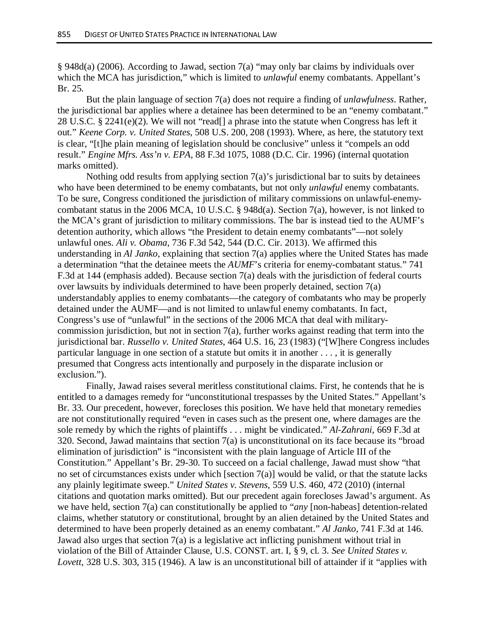§ 948d(a) (2006). According to Jawad, section 7(a) "may only bar claims by individuals over which the MCA has jurisdiction," which is limited to *unlawful* enemy combatants. Appellant's Br. 25.

But the plain language of section 7(a) does not require a finding of *unlawfulness*. Rather, the jurisdictional bar applies where a detainee has been determined to be an "enemy combatant." 28 U.S.C. § 2241(e)(2). We will not "read[] a phrase into the statute when Congress has left it out." *Keene Corp. v. United States*, 508 U.S. 200, 208 (1993). Where, as here, the statutory text is clear, "[t]he plain meaning of legislation should be conclusive" unless it "compels an odd result." *Engine Mfrs. Ass'n v. EPA*, 88 F.3d 1075, 1088 (D.C. Cir. 1996) (internal quotation marks omitted).

Nothing odd results from applying section  $7(a)$ 's jurisdictional bar to suits by detainees who have been determined to be enemy combatants, but not only *unlawful* enemy combatants. To be sure, Congress conditioned the jurisdiction of military commissions on unlawful-enemycombatant status in the 2006 MCA, 10 U.S.C. § 948d(a). Section 7(a), however, is not linked to the MCA's grant of jurisdiction to military commissions. The bar is instead tied to the AUMF's detention authority, which allows "the President to detain enemy combatants"—not solely unlawful ones. *Ali v. Obama*, 736 F.3d 542, 544 (D.C. Cir. 2013). We affirmed this understanding in *Al Janko*, explaining that section 7(a) applies where the United States has made a determination "that the detainee meets the *AUMF*'s criteria for enemy-combatant status." 741 F.3d at 144 (emphasis added). Because section 7(a) deals with the jurisdiction of federal courts over lawsuits by individuals determined to have been properly detained, section 7(a) understandably applies to enemy combatants—the category of combatants who may be properly detained under the AUMF—and is not limited to unlawful enemy combatants. In fact, Congress's use of "unlawful" in the sections of the 2006 MCA that deal with militarycommission jurisdiction, but not in section 7(a), further works against reading that term into the jurisdictional bar. *Russello v. United States*, 464 U.S. 16, 23 (1983) ("[W]here Congress includes particular language in one section of a statute but omits it in another . . . , it is generally presumed that Congress acts intentionally and purposely in the disparate inclusion or exclusion.").

Finally, Jawad raises several meritless constitutional claims. First, he contends that he is entitled to a damages remedy for "unconstitutional trespasses by the United States." Appellant's Br. 33. Our precedent, however, forecloses this position. We have held that monetary remedies are not constitutionally required "even in cases such as the present one, where damages are the sole remedy by which the rights of plaintiffs . . . might be vindicated." *Al-Zahrani*, 669 F.3d at 320. Second, Jawad maintains that section 7(a) is unconstitutional on its face because its "broad elimination of jurisdiction" is "inconsistent with the plain language of Article III of the Constitution." Appellant's Br. 29-30. To succeed on a facial challenge, Jawad must show "that no set of circumstances exists under which [section  $7(a)$ ] would be valid, or that the statute lacks any plainly legitimate sweep." *United States v. Stevens*, 559 U.S. 460, 472 (2010) (internal citations and quotation marks omitted). But our precedent again forecloses Jawad's argument. As we have held, section 7(a) can constitutionally be applied to "*any* [non-habeas] detention-related claims, whether statutory or constitutional, brought by an alien detained by the United States and determined to have been properly detained as an enemy combatant." *Al Janko*, 741 F.3d at 146. Jawad also urges that section 7(a) is a legislative act inflicting punishment without trial in violation of the Bill of Attainder Clause, U.S. CONST. art. I, § 9, cl. 3. *See United States v. Lovett*, 328 U.S. 303, 315 (1946). A law is an unconstitutional bill of attainder if it "applies with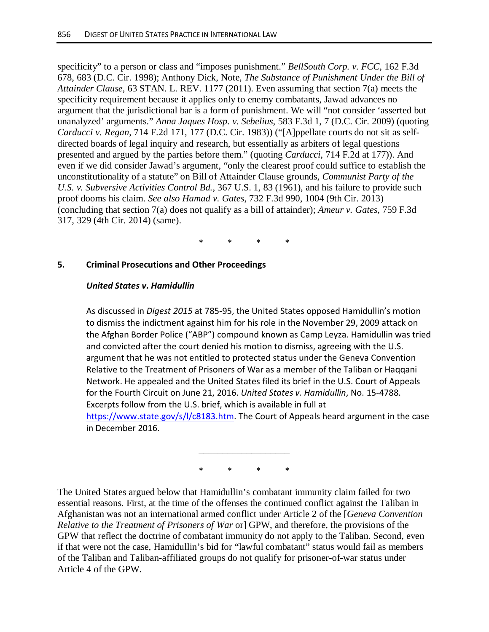specificity" to a person or class and "imposes punishment." *BellSouth Corp. v. FCC*, 162 F.3d 678, 683 (D.C. Cir. 1998); Anthony Dick, Note, *The Substance of Punishment Under the Bill of Attainder Clause*, 63 STAN. L. REV. 1177 (2011). Even assuming that section 7(a) meets the specificity requirement because it applies only to enemy combatants, Jawad advances no argument that the jurisdictional bar is a form of punishment. We will "not consider 'asserted but unanalyzed' arguments." *Anna Jaques Hosp. v. Sebelius*, 583 F.3d 1, 7 (D.C. Cir. 2009) (quoting *Carducci v. Regan*, 714 F.2d 171, 177 (D.C. Cir. 1983)) ("[A]ppellate courts do not sit as selfdirected boards of legal inquiry and research, but essentially as arbiters of legal questions presented and argued by the parties before them." (quoting *Carducci*, 714 F.2d at 177)). And even if we did consider Jawad's argument, "only the clearest proof could suffice to establish the unconstitutionality of a statute" on Bill of Attainder Clause grounds, *Communist Party of the U.S. v. Subversive Activities Control Bd.*, 367 U.S. 1, 83 (1961), and his failure to provide such proof dooms his claim. *See also Hamad v. Gates*, 732 F.3d 990, 1004 (9th Cir. 2013) (concluding that section 7(a) does not qualify as a bill of attainder); *Ameur v. Gates*, 759 F.3d 317, 329 (4th Cir. 2014) (same).

\* \* \* \*

## **5. Criminal Prosecutions and Other Proceedings**

## *United States v. Hamidullin*

As discussed in *Digest 2015* at 785-95, the United States opposed Hamidullin's motion to dismiss the indictment against him for his role in the November 29, 2009 attack on the Afghan Border Police ("ABP") compound known as Camp Leyza. Hamidullin was tried and convicted after the court denied his motion to dismiss, agreeing with the U.S. argument that he was not entitled to protected status under the Geneva Convention Relative to the Treatment of Prisoners of War as a member of the Taliban or Haqqani Network. He appealed and the United States filed its brief in the U.S. Court of Appeals for the Fourth Circuit on June 21, 2016. *United States v. Hamidullin*, No. 15-4788. Excerpts follow from the U.S. brief, which is available in full at [https://www.state.gov/s/l/c8183.htm.](https://www.state.gov/s/l/c8183.htm) The Court of Appeals heard argument in the case

in December 2016.

\* \* \* \*

\_\_\_\_\_\_\_\_\_\_\_\_\_\_\_\_\_\_\_

The United States argued below that Hamidullin's combatant immunity claim failed for two essential reasons. First, at the time of the offenses the continued conflict against the Taliban in Afghanistan was not an international armed conflict under Article 2 of the [*Geneva Convention Relative to the Treatment of Prisoners of War* or] GPW, and therefore, the provisions of the GPW that reflect the doctrine of combatant immunity do not apply to the Taliban. Second, even if that were not the case, Hamidullin's bid for "lawful combatant" status would fail as members of the Taliban and Taliban-affiliated groups do not qualify for prisoner-of-war status under Article 4 of the GPW.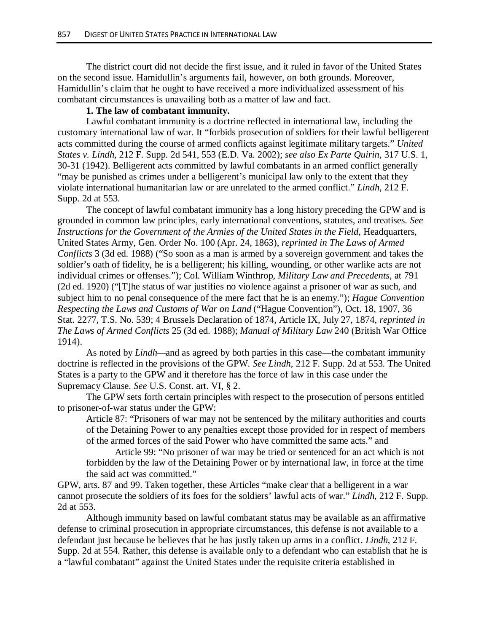The district court did not decide the first issue, and it ruled in favor of the United States on the second issue. Hamidullin's arguments fail, however, on both grounds. Moreover, Hamidullin's claim that he ought to have received a more individualized assessment of his combatant circumstances is unavailing both as a matter of law and fact.

## **1. The law of combatant immunity.**

Lawful combatant immunity is a doctrine reflected in international law, including the customary international law of war. It "forbids prosecution of soldiers for their lawful belligerent acts committed during the course of armed conflicts against legitimate military targets." *United States v. Lindh*, 212 F. Supp. 2d 541, 553 (E.D. Va. 2002); *see also Ex Parte Quirin*, 317 U.S. 1, 30-31 (1942). Belligerent acts committed by lawful combatants in an armed conflict generally "may be punished as crimes under a belligerent's municipal law only to the extent that they violate international humanitarian law or are unrelated to the armed conflict." *Lindh*, 212 F. Supp. 2d at 553.

The concept of lawful combatant immunity has a long history preceding the GPW and is grounded in common law principles, early international conventions, statutes, and treatises. *See Instructions for the Government of the Armies of the United States in the Field, Headquarters,* United States Army, Gen. Order No. 100 (Apr. 24, 1863), *reprinted in The Laws of Armed Conflicts* 3 (3d ed. 1988) ("So soon as a man is armed by a sovereign government and takes the soldier's oath of fidelity, he is a belligerent; his killing, wounding, or other warlike acts are not individual crimes or offenses."); Col. William Winthrop, *Military Law and Precedents*, at 791 (2d ed. 1920) ("[T]he status of war justifies no violence against a prisoner of war as such, and subject him to no penal consequence of the mere fact that he is an enemy."); *Hague Convention Respecting the Laws and Customs of War on Land* ("Hague Convention"), Oct. 18, 1907, 36 Stat. 2277, T.S. No. 539; 4 Brussels Declaration of 1874, Article IX, July 27, 1874, *reprinted in The Laws of Armed Conflicts* 25 (3d ed. 1988); *Manual of Military Law* 240 (British War Office 1914).

As noted by *Lindh—*and as agreed by both parties in this case—the combatant immunity doctrine is reflected in the provisions of the GPW. *See Lindh*, 212 F. Supp. 2d at 553. The United States is a party to the GPW and it therefore has the force of law in this case under the Supremacy Clause. *See* U.S. Const. art. VI, § 2.

The GPW sets forth certain principles with respect to the prosecution of persons entitled to prisoner-of-war status under the GPW:

Article 87: "Prisoners of war may not be sentenced by the military authorities and courts of the Detaining Power to any penalties except those provided for in respect of members of the armed forces of the said Power who have committed the same acts." and

Article 99: "No prisoner of war may be tried or sentenced for an act which is not forbidden by the law of the Detaining Power or by international law, in force at the time the said act was committed."

GPW, arts. 87 and 99. Taken together, these Articles "make clear that a belligerent in a war cannot prosecute the soldiers of its foes for the soldiers' lawful acts of war." *Lindh*, 212 F. Supp. 2d at 553.

Although immunity based on lawful combatant status may be available as an affirmative defense to criminal prosecution in appropriate circumstances, this defense is not available to a defendant just because he believes that he has justly taken up arms in a conflict. *Lindh*, 212 F. Supp. 2d at 554. Rather, this defense is available only to a defendant who can establish that he is a "lawful combatant" against the United States under the requisite criteria established in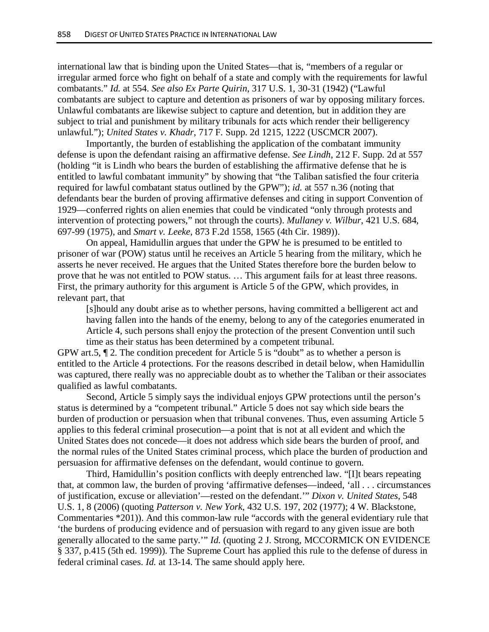international law that is binding upon the United States—that is, "members of a regular or irregular armed force who fight on behalf of a state and comply with the requirements for lawful combatants." *Id.* at 554. *See also Ex Parte Quirin*, 317 U.S. 1, 30-31 (1942) ("Lawful combatants are subject to capture and detention as prisoners of war by opposing military forces. Unlawful combatants are likewise subject to capture and detention, but in addition they are subject to trial and punishment by military tribunals for acts which render their belligerency unlawful."); *United States v. Khadr*, 717 F. Supp. 2d 1215, 1222 (USCMCR 2007).

Importantly, the burden of establishing the application of the combatant immunity defense is upon the defendant raising an affirmative defense. *See Lindh*, 212 F. Supp. 2d at 557 (holding "it is Lindh who bears the burden of establishing the affirmative defense that he is entitled to lawful combatant immunity" by showing that "the Taliban satisfied the four criteria required for lawful combatant status outlined by the GPW"); *id.* at 557 n.36 (noting that defendants bear the burden of proving affirmative defenses and citing in support Convention of 1929—conferred rights on alien enemies that could be vindicated "only through protests and intervention of protecting powers," not through the courts). *Mullaney v. Wilbur*, 421 U.S. 684, 697-99 (1975), and *Smart v. Leeke*, 873 F.2d 1558, 1565 (4th Cir. 1989)).

On appeal, Hamidullin argues that under the GPW he is presumed to be entitled to prisoner of war (POW) status until he receives an Article 5 hearing from the military, which he asserts he never received. He argues that the United States therefore bore the burden below to prove that he was not entitled to POW status. … This argument fails for at least three reasons. First, the primary authority for this argument is Article 5 of the GPW, which provides, in relevant part, that

[s]hould any doubt arise as to whether persons, having committed a belligerent act and having fallen into the hands of the enemy, belong to any of the categories enumerated in Article 4, such persons shall enjoy the protection of the present Convention until such time as their status has been determined by a competent tribunal.

GPW art.5, ¶ 2. The condition precedent for Article 5 is "doubt" as to whether a person is entitled to the Article 4 protections. For the reasons described in detail below, when Hamidullin was captured, there really was no appreciable doubt as to whether the Taliban or their associates qualified as lawful combatants.

Second, Article 5 simply says the individual enjoys GPW protections until the person's status is determined by a "competent tribunal." Article 5 does not say which side bears the burden of production or persuasion when that tribunal convenes. Thus, even assuming Article 5 applies to this federal criminal prosecution—a point that is not at all evident and which the United States does not concede—it does not address which side bears the burden of proof, and the normal rules of the United States criminal process, which place the burden of production and persuasion for affirmative defenses on the defendant, would continue to govern.

Third, Hamidullin's position conflicts with deeply entrenched law. "[I]t bears repeating that, at common law, the burden of proving 'affirmative defenses—indeed, 'all . . . circumstances of justification, excuse or alleviation'—rested on the defendant.'" *Dixon v. United States*, 548 U.S. 1, 8 (2006) (quoting *Patterson v. New York*, 432 U.S. 197, 202 (1977); 4 W. Blackstone, Commentaries \*201)). And this common-law rule "accords with the general evidentiary rule that 'the burdens of producing evidence and of persuasion with regard to any given issue are both generally allocated to the same party.'" *Id.* (quoting 2 J. Strong, MCCORMICK ON EVIDENCE § 337, p.415 (5th ed. 1999)). The Supreme Court has applied this rule to the defense of duress in federal criminal cases. *Id.* at 13-14. The same should apply here.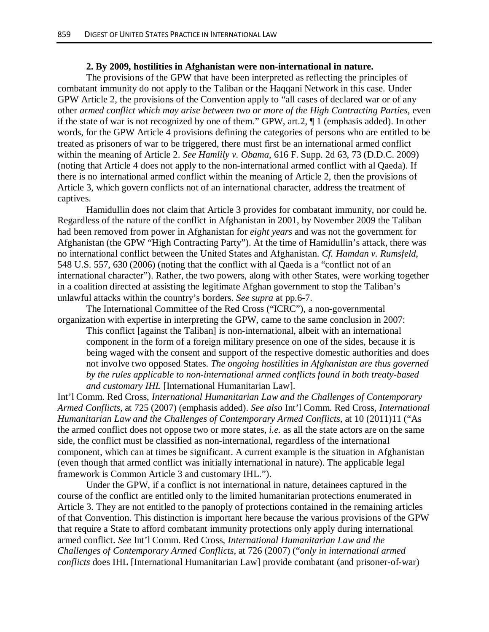#### **2. By 2009, hostilities in Afghanistan were non-international in nature.**

The provisions of the GPW that have been interpreted as reflecting the principles of combatant immunity do not apply to the Taliban or the Haqqani Network in this case. Under GPW Article 2, the provisions of the Convention apply to "all cases of declared war or of any other *armed conflict which may arise between two or more of the High Contracting Parties*, even if the state of war is not recognized by one of them." GPW, art.2, ¶ 1 (emphasis added). In other words, for the GPW Article 4 provisions defining the categories of persons who are entitled to be treated as prisoners of war to be triggered, there must first be an international armed conflict within the meaning of Article 2. *See Hamlily v. Obama*, 616 F. Supp. 2d 63, 73 (D.D.C. 2009) (noting that Article 4 does not apply to the non-international armed conflict with al Qaeda). If there is no international armed conflict within the meaning of Article 2, then the provisions of Article 3, which govern conflicts not of an international character, address the treatment of captives.

Hamidullin does not claim that Article 3 provides for combatant immunity, nor could he. Regardless of the nature of the conflict in Afghanistan in 2001, by November 2009 the Taliban had been removed from power in Afghanistan for *eight years* and was not the government for Afghanistan (the GPW "High Contracting Party"). At the time of Hamidullin's attack, there was no international conflict between the United States and Afghanistan. *Cf. Hamdan v. Rumsfeld*, 548 U.S. 557, 630 (2006) (noting that the conflict with al Qaeda is a "conflict not of an international character"). Rather, the two powers, along with other States, were working together in a coalition directed at assisting the legitimate Afghan government to stop the Taliban's unlawful attacks within the country's borders. *See supra* at pp.6-7.

The International Committee of the Red Cross ("ICRC"), a non-governmental organization with expertise in interpreting the GPW, came to the same conclusion in 2007:

This conflict [against the Taliban] is non-international, albeit with an international component in the form of a foreign military presence on one of the sides, because it is being waged with the consent and support of the respective domestic authorities and does not involve two opposed States. *The ongoing hostilities in Afghanistan are thus governed by the rules applicable to non-international armed conflicts found in both treaty-based and customary IHL* [International Humanitarian Law].

Int'l Comm. Red Cross, *International Humanitarian Law and the Challenges of Contemporary Armed Conflicts*, at 725 (2007) (emphasis added). *See also* Int'l Comm. Red Cross, *International Humanitarian Law and the Challenges of Contemporary Armed Conflicts*, at 10 (2011)11 ("As the armed conflict does not oppose two or more states, *i.e.* as all the state actors are on the same side, the conflict must be classified as non-international, regardless of the international component, which can at times be significant. A current example is the situation in Afghanistan (even though that armed conflict was initially international in nature). The applicable legal framework is Common Article 3 and customary IHL.").

Under the GPW, if a conflict is not international in nature, detainees captured in the course of the conflict are entitled only to the limited humanitarian protections enumerated in Article 3. They are not entitled to the panoply of protections contained in the remaining articles of that Convention. This distinction is important here because the various provisions of the GPW that require a State to afford combatant immunity protections only apply during international armed conflict. *See* Int'l Comm. Red Cross, *International Humanitarian Law and the Challenges of Contemporary Armed Conflicts*, at 726 (2007) ("*only in international armed conflicts* does IHL [International Humanitarian Law] provide combatant (and prisoner-of-war)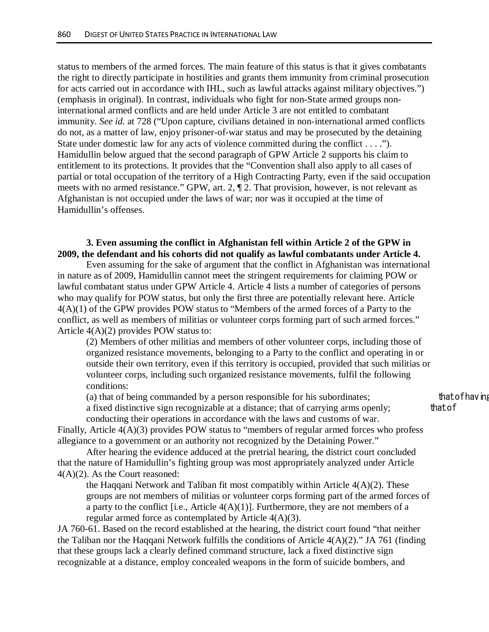status to members of the armed forces. The main feature of this status is that it gives combatants the right to directly participate in hostilities and grants them immunity from criminal prosecution for acts carried out in accordance with IHL, such as lawful attacks against military objectives.") (emphasis in original). In contrast, individuals who fight for non-State armed groups noninternational armed conflicts and are held under Article 3 are not entitled to combatant immunity. *See id.* at 728 ("Upon capture, civilians detained in non-international armed conflicts do not, as a matter of law, enjoy prisoner-of-war status and may be prosecuted by the detaining State under domestic law for any acts of violence committed during the conflict . . . ."). Hamidullin below argued that the second paragraph of GPW Article 2 supports his claim to entitlement to its protections. It provides that the "Convention shall also apply to all cases of partial or total occupation of the territory of a High Contracting Party, even if the said occupation meets with no armed resistance." GPW, art. 2, ¶ 2. That provision, however, is not relevant as Afghanistan is not occupied under the laws of war; nor was it occupied at the time of Hamidullin's offenses.

## **3. Even assuming the conflict in Afghanistan fell within Article 2 of the GPW in 2009, the defendant and his cohorts did not qualify as lawful combatants under Article 4.**

Even assuming for the sake of argument that the conflict in Afghanistan was international in nature as of 2009, Hamidullin cannot meet the stringent requirements for claiming POW or lawful combatant status under GPW Article 4. Article 4 lists a number of categories of persons who may qualify for POW status, but only the first three are potentially relevant here. Article 4(A)(1) of the GPW provides POW status to "Members of the armed forces of a Party to the conflict, as well as members of militias or volunteer corps forming part of such armed forces." Article 4(A)(2) provides POW status to:

(2) Members of other militias and members of other volunteer corps, including those of organized resistance movements, belonging to a Party to the conflict and operating in or outside their own territory, even if this territory is occupied, provided that such militias or volunteer corps, including such organized resistance movements, fulfil the following conditions:

(a) that of being commanded by a person responsible for his subordinates; that of having a fixed distinctive sign recognizable at a distance; that of carrying arms openly; that of conducting their operations in accordance with the laws and customs of war.

Finally, Article 4(A)(3) provides POW status to "members of regular armed forces who profess allegiance to a government or an authority not recognized by the Detaining Power."

After hearing the evidence adduced at the pretrial hearing, the district court concluded that the nature of Hamidullin's fighting group was most appropriately analyzed under Article 4(A)(2). As the Court reasoned:

the Haqqani Network and Taliban fit most compatibly within Article 4(A)(2). These groups are not members of militias or volunteer corps forming part of the armed forces of a party to the conflict [i.e., Article  $4(A)(1)$ ]. Furthermore, they are not members of a regular armed force as contemplated by Article 4(A)(3).

JA 760-61. Based on the record established at the hearing, the district court found "that neither the Taliban nor the Haqqani Network fulfills the conditions of Article  $4(A)(2)$ ." JA 761 (finding that these groups lack a clearly defined command structure, lack a fixed distinctive sign recognizable at a distance, employ concealed weapons in the form of suicide bombers, and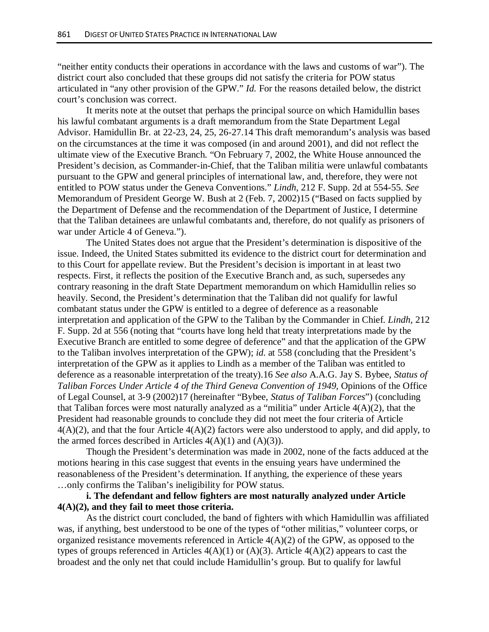"neither entity conducts their operations in accordance with the laws and customs of war"). The district court also concluded that these groups did not satisfy the criteria for POW status articulated in "any other provision of the GPW." *Id.* For the reasons detailed below, the district court's conclusion was correct.

It merits note at the outset that perhaps the principal source on which Hamidullin bases his lawful combatant arguments is a draft memorandum from the State Department Legal Advisor. Hamidullin Br. at 22-23, 24, 25, 26-27.14 This draft memorandum's analysis was based on the circumstances at the time it was composed (in and around 2001), and did not reflect the ultimate view of the Executive Branch. "On February 7, 2002, the White House announced the President's decision, as Commander-in-Chief, that the Taliban militia were unlawful combatants pursuant to the GPW and general principles of international law, and, therefore, they were not entitled to POW status under the Geneva Conventions." *Lindh*, 212 F. Supp. 2d at 554-55. *See*  Memorandum of President George W. Bush at 2 (Feb. 7, 2002)15 ("Based on facts supplied by the Department of Defense and the recommendation of the Department of Justice, I determine that the Taliban detainees are unlawful combatants and, therefore, do not qualify as prisoners of war under Article 4 of Geneva.").

The United States does not argue that the President's determination is dispositive of the issue. Indeed, the United States submitted its evidence to the district court for determination and to this Court for appellate review. But the President's decision is important in at least two respects. First, it reflects the position of the Executive Branch and, as such, supersedes any contrary reasoning in the draft State Department memorandum on which Hamidullin relies so heavily. Second, the President's determination that the Taliban did not qualify for lawful combatant status under the GPW is entitled to a degree of deference as a reasonable interpretation and application of the GPW to the Taliban by the Commander in Chief. *Lindh*, 212 F. Supp. 2d at 556 (noting that "courts have long held that treaty interpretations made by the Executive Branch are entitled to some degree of deference" and that the application of the GPW to the Taliban involves interpretation of the GPW); *id.* at 558 (concluding that the President's interpretation of the GPW as it applies to Lindh as a member of the Taliban was entitled to deference as a reasonable interpretation of the treaty).16 *See also* A.A.G. Jay S. Bybee, *Status of Taliban Forces Under Article 4 of the Third Geneva Convention of 1949*, Opinions of the Office of Legal Counsel, at 3-9 (2002)17 (hereinafter "Bybee, *Status of Taliban Forces*") (concluding that Taliban forces were most naturally analyzed as a "militia" under Article 4(A)(2), that the President had reasonable grounds to conclude they did not meet the four criteria of Article 4(A)(2), and that the four Article 4(A)(2) factors were also understood to apply, and did apply, to the armed forces described in Articles  $4(A)(1)$  and  $(A)(3)$ ).

Though the President's determination was made in 2002, none of the facts adduced at the motions hearing in this case suggest that events in the ensuing years have undermined the reasonableness of the President's determination. If anything, the experience of these years …only confirms the Taliban's ineligibility for POW status.

## **i. The defendant and fellow fighters are most naturally analyzed under Article 4(A)(2), and they fail to meet those criteria.**

As the district court concluded, the band of fighters with which Hamidullin was affiliated was, if anything, best understood to be one of the types of "other militias," volunteer corps, or organized resistance movements referenced in Article 4(A)(2) of the GPW, as opposed to the types of groups referenced in Articles  $4(A)(1)$  or  $(A)(3)$ . Article  $4(A)(2)$  appears to cast the broadest and the only net that could include Hamidullin's group. But to qualify for lawful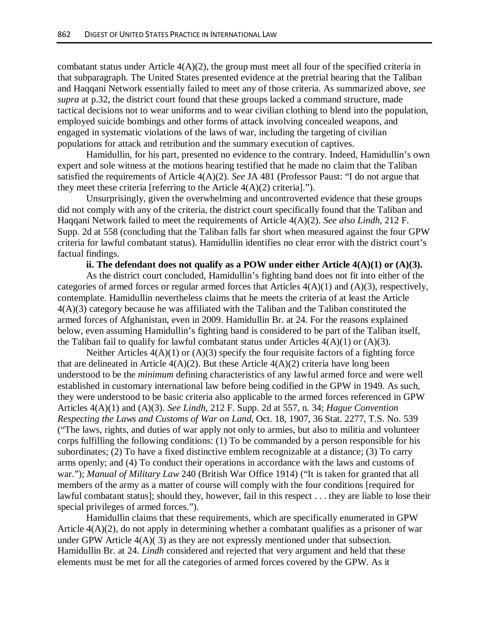combatant status under Article  $4(A)(2)$ , the group must meet all four of the specified criteria in that subparagraph. The United States presented evidence at the pretrial hearing that the Taliban and Haqqani Network essentially failed to meet any of those criteria. As summarized above, *see supra* at p.32, the district court found that these groups lacked a command structure, made tactical decisions not to wear uniforms and to wear civilian clothing to blend into the population, employed suicide bombings and other forms of attack involving concealed weapons, and engaged in systematic violations of the laws of war, including the targeting of civilian populations for attack and retribution and the summary execution of captives.

Hamidullin, for his part, presented no evidence to the contrary. Indeed, Hamidullin's own expert and sole witness at the motions hearing testified that he made no claim that the Taliban satisfied the requirements of Article 4(A)(2). *See* JA 481 (Professor Paust: "I do not argue that they meet these criteria [referring to the Article  $4(A)(2)$  criteria].").

Unsurprisingly, given the overwhelming and uncontroverted evidence that these groups did not comply with any of the criteria, the district court specifically found that the Taliban and Haqqani Network failed to meet the requirements of Article 4(A)(2). *See also Lindh*, 212 F. Supp. 2d at 558 (concluding that the Taliban falls far short when measured against the four GPW criteria for lawful combatant status). Hamidullin identifies no clear error with the district court's factual findings.

## **ii. The defendant does not qualify as a POW under either Article 4(A)(1) or (A)(3).**

As the district court concluded, Hamidullin's fighting band does not fit into either of the categories of armed forces or regular armed forces that Articles  $4(A)(1)$  and  $(A)(3)$ , respectively, contemplate. Hamidullin nevertheless claims that he meets the criteria of at least the Article 4(A)(3) category because he was affiliated with the Taliban and the Taliban constituted the armed forces of Afghanistan, even in 2009. Hamidullin Br. at 24. For the reasons explained below, even assuming Hamidullin's fighting band is considered to be part of the Taliban itself, the Taliban fail to qualify for lawful combatant status under Articles  $4(A)(1)$  or  $(A)(3)$ .

Neither Articles  $4(A)(1)$  or  $(A)(3)$  specify the four requisite factors of a fighting force that are delineated in Article  $4(A)(2)$ . But these Article  $4(A)(2)$  criteria have long been understood to be the *minimum* defining characteristics of any lawful armed force and were well established in customary international law before being codified in the GPW in 1949. As such, they were understood to be basic criteria also applicable to the armed forces referenced in GPW Articles 4(A)(1) and (A)(3). *See Lindh*, 212 F. Supp. 2d at 557, n. 34; *Hague Convention Respecting the Laws and Customs of War on Land*, Oct. 18, 1907, 36 Stat. 2277, T.S. No. 539 ("The laws, rights, and duties of war apply not only to armies, but also to militia and volunteer corps fulfilling the following conditions: (1) To be commanded by a person responsible for his subordinates; (2) To have a fixed distinctive emblem recognizable at a distance; (3) To carry arms openly; and (4) To conduct their operations in accordance with the laws and customs of war."); *Manual of Military Law* 240 (British War Office 1914) ("It is taken for granted that all members of the army as a matter of course will comply with the four conditions [required for lawful combatant status]; should they, however, fail in this respect . . . they are liable to lose their special privileges of armed forces.").

Hamidullin claims that these requirements, which are specifically enumerated in GPW Article 4(A)(2), do not apply in determining whether a combatant qualifies as a prisoner of war under GPW Article 4(A)( 3) as they are not expressly mentioned under that subsection. Hamidullin Br. at 24. *Lindh* considered and rejected that very argument and held that these elements must be met for all the categories of armed forces covered by the GPW. As it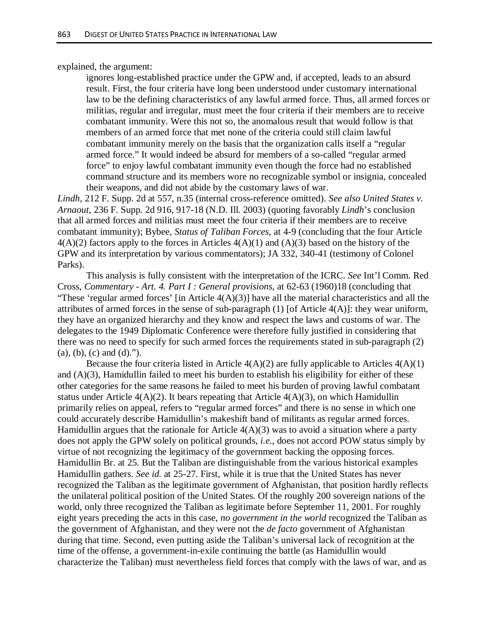explained, the argument:

ignores long-established practice under the GPW and, if accepted, leads to an absurd result. First, the four criteria have long been understood under customary international law to be the defining characteristics of any lawful armed force. Thus, all armed forces or militias, regular and irregular, must meet the four criteria if their members are to receive combatant immunity. Were this not so, the anomalous result that would follow is that members of an armed force that met none of the criteria could still claim lawful combatant immunity merely on the basis that the organization calls itself a "regular armed force." It would indeed be absurd for members of a so-called "regular armed force" to enjoy lawful combatant immunity even though the force had no established command structure and its members wore no recognizable symbol or insignia, concealed their weapons, and did not abide by the customary laws of war.

*Lindh*, 212 F. Supp. 2d at 557, n.35 (internal cross-reference omitted). *See also United States v. Arnaout*, 236 F. Supp. 2d 916, 917-18 (N.D. Ill. 2003) (quoting favorably *Lindh*'s conclusion that all armed forces and militias must meet the four criteria if their members are to receive combatant immunity); Bybee, *Status of Taliban Forces*, at 4-9 (concluding that the four Article  $4(A)(2)$  factors apply to the forces in Articles  $4(A)(1)$  and  $(A)(3)$  based on the history of the GPW and its interpretation by various commentators); JA 332, 340-41 (testimony of Colonel Parks).

This analysis is fully consistent with the interpretation of the ICRC. *See* Int'l Comm. Red Cross, *Commentary - Art. 4. Part I : General provisions*, at 62-63 (1960)18 (concluding that "These 'regular armed forces' [in Article  $4(A)(3)$ ] have all the material characteristics and all the attributes of armed forces in the sense of sub-paragraph  $(1)$  [of Article  $4(A)$ ]: they wear uniform, they have an organized hierarchy and they know and respect the laws and customs of war. The delegates to the 1949 Diplomatic Conference were therefore fully justified in considering that there was no need to specify for such armed forces the requirements stated in sub-paragraph (2)  $(a), (b), (c)$  and  $(d).$ ").

Because the four criteria listed in Article  $4(A)(2)$  are fully applicable to Articles  $4(A)(1)$ and (A)(3), Hamidullin failed to meet his burden to establish his eligibility for either of these other categories for the same reasons he failed to meet his burden of proving lawful combatant status under Article  $4(A)(2)$ . It bears repeating that Article  $4(A)(3)$ , on which Hamidullin primarily relies on appeal, refers to "regular armed forces" and there is no sense in which one could accurately describe Hamidullin's makeshift band of militants as regular armed forces. Hamidullin argues that the rationale for Article  $4(A)(3)$  was to avoid a situation where a party does not apply the GPW solely on political grounds, *i.e.*, does not accord POW status simply by virtue of not recognizing the legitimacy of the government backing the opposing forces. Hamidullin Br. at 25. But the Taliban are distinguishable from the various historical examples Hamidullin gathers. *See id.* at 25-27. First, while it is true that the United States has never recognized the Taliban as the legitimate government of Afghanistan, that position hardly reflects the unilateral political position of the United States. Of the roughly 200 sovereign nations of the world, only three recognized the Taliban as legitimate before September 11, 2001. For roughly eight years preceding the acts in this case, *no government in the world* recognized the Taliban as the government of Afghanistan, and they were not the *de facto* government of Afghanistan during that time. Second, even putting aside the Taliban's universal lack of recognition at the time of the offense, a government-in-exile continuing the battle (as Hamidullin would characterize the Taliban) must nevertheless field forces that comply with the laws of war, and as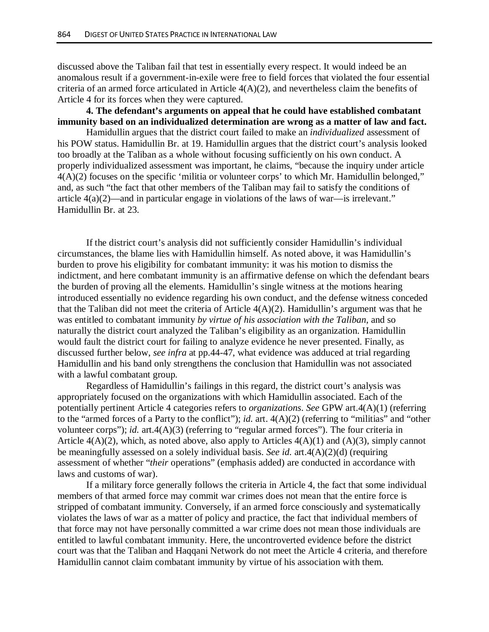discussed above the Taliban fail that test in essentially every respect. It would indeed be an anomalous result if a government-in-exile were free to field forces that violated the four essential criteria of an armed force articulated in Article  $4(A)(2)$ , and nevertheless claim the benefits of Article 4 for its forces when they were captured.

# **4. The defendant's arguments on appeal that he could have established combatant immunity based on an individualized determination are wrong as a matter of law and fact.**

Hamidullin argues that the district court failed to make an *individualized* assessment of his POW status. Hamidullin Br. at 19. Hamidullin argues that the district court's analysis looked too broadly at the Taliban as a whole without focusing sufficiently on his own conduct. A properly individualized assessment was important, he claims, "because the inquiry under article 4(A)(2) focuses on the specific 'militia or volunteer corps' to which Mr. Hamidullin belonged," and, as such "the fact that other members of the Taliban may fail to satisfy the conditions of article 4(a)(2)—and in particular engage in violations of the laws of war—is irrelevant." Hamidullin Br. at 23.

If the district court's analysis did not sufficiently consider Hamidullin's individual circumstances, the blame lies with Hamidullin himself. As noted above, it was Hamidullin's burden to prove his eligibility for combatant immunity: it was his motion to dismiss the indictment, and here combatant immunity is an affirmative defense on which the defendant bears the burden of proving all the elements. Hamidullin's single witness at the motions hearing introduced essentially no evidence regarding his own conduct, and the defense witness conceded that the Taliban did not meet the criteria of Article 4(A)(2). Hamidullin's argument was that he was entitled to combatant immunity *by virtue of his association with the Taliban*, and so naturally the district court analyzed the Taliban's eligibility as an organization. Hamidullin would fault the district court for failing to analyze evidence he never presented. Finally, as discussed further below, *see infra* at pp.44-47, what evidence was adduced at trial regarding Hamidullin and his band only strengthens the conclusion that Hamidullin was not associated with a lawful combatant group.

Regardless of Hamidullin's failings in this regard, the district court's analysis was appropriately focused on the organizations with which Hamidullin associated. Each of the potentially pertinent Article 4 categories refers to *organizations*. *See* GPW art.4(A)(1) (referring to the "armed forces of a Party to the conflict"); *id.* art. 4(A)(2) (referring to "militias" and "other volunteer corps"); *id.* art.4(A)(3) (referring to "regular armed forces"). The four criteria in Article  $4(A)(2)$ , which, as noted above, also apply to Articles  $4(A)(1)$  and  $(A)(3)$ , simply cannot be meaningfully assessed on a solely individual basis. *See id.* art.4(A)(2)(d) (requiring assessment of whether "*their* operations" (emphasis added) are conducted in accordance with laws and customs of war).

If a military force generally follows the criteria in Article 4, the fact that some individual members of that armed force may commit war crimes does not mean that the entire force is stripped of combatant immunity. Conversely, if an armed force consciously and systematically violates the laws of war as a matter of policy and practice, the fact that individual members of that force may not have personally committed a war crime does not mean those individuals are entitled to lawful combatant immunity. Here, the uncontroverted evidence before the district court was that the Taliban and Haqqani Network do not meet the Article 4 criteria, and therefore Hamidullin cannot claim combatant immunity by virtue of his association with them.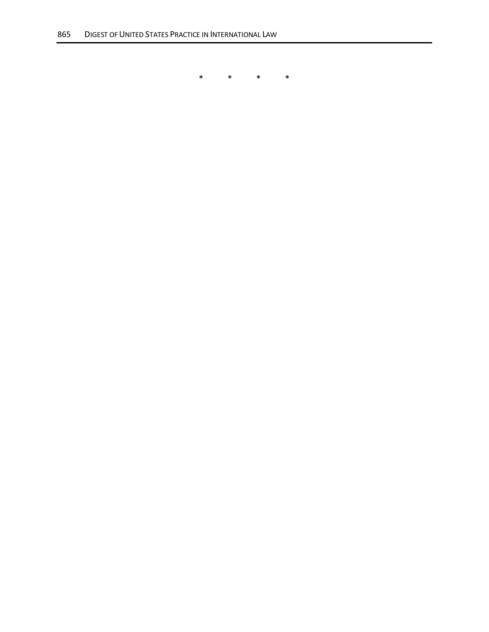\* \* \* \*